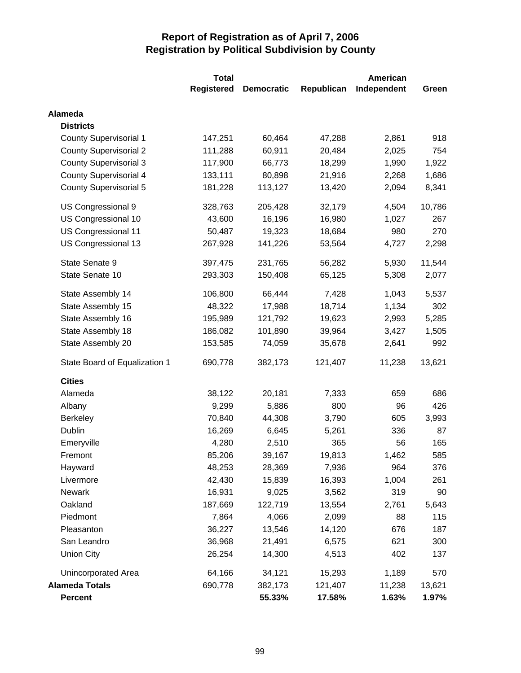|                               | <b>Total</b>      | <b>American</b>   |            |             |        |
|-------------------------------|-------------------|-------------------|------------|-------------|--------|
|                               | <b>Registered</b> | <b>Democratic</b> | Republican | Independent | Green  |
| <b>Alameda</b>                |                   |                   |            |             |        |
| <b>Districts</b>              |                   |                   |            |             |        |
| <b>County Supervisorial 1</b> | 147,251           | 60,464            | 47,288     | 2,861       | 918    |
| <b>County Supervisorial 2</b> | 111,288           | 60,911            | 20,484     | 2,025       | 754    |
| <b>County Supervisorial 3</b> | 117,900           | 66,773            | 18,299     | 1,990       | 1,922  |
| <b>County Supervisorial 4</b> | 133,111           | 80,898            | 21,916     | 2,268       | 1,686  |
| <b>County Supervisorial 5</b> | 181,228           | 113,127           | 13,420     | 2,094       | 8,341  |
| US Congressional 9            | 328,763           | 205,428           | 32,179     | 4,504       | 10,786 |
| US Congressional 10           | 43,600            | 16,196            | 16,980     | 1,027       | 267    |
| US Congressional 11           | 50,487            | 19,323            | 18,684     | 980         | 270    |
| US Congressional 13           | 267,928           | 141,226           | 53,564     | 4,727       | 2,298  |
| State Senate 9                | 397,475           | 231,765           | 56,282     | 5,930       | 11,544 |
| State Senate 10               | 293,303           | 150,408           | 65,125     | 5,308       | 2,077  |
| State Assembly 14             | 106,800           | 66,444            | 7,428      | 1,043       | 5,537  |
| State Assembly 15             | 48,322            | 17,988            | 18,714     | 1,134       | 302    |
| State Assembly 16             | 195,989           | 121,792           | 19,623     | 2,993       | 5,285  |
| State Assembly 18             | 186,082           | 101,890           | 39,964     | 3,427       | 1,505  |
| State Assembly 20             | 153,585           | 74,059            | 35,678     | 2,641       | 992    |
| State Board of Equalization 1 | 690,778           | 382,173           | 121,407    | 11,238      | 13,621 |
| <b>Cities</b>                 |                   |                   |            |             |        |
| Alameda                       | 38,122            | 20,181            | 7,333      | 659         | 686    |
| Albany                        | 9,299             | 5,886             | 800        | 96          | 426    |
| <b>Berkeley</b>               | 70,840            | 44,308            | 3,790      | 605         | 3,993  |
| Dublin                        | 16,269            | 6,645             | 5,261      | 336         | 87     |
| Emeryville                    | 4,280             | 2,510             | 365        | 56          | 165    |
| Fremont                       | 85,206            | 39,167            | 19,813     | 1,462       | 585    |
| Hayward                       | 48,253            | 28,369            | 7,936      | 964         | 376    |
| Livermore                     | 42,430            | 15,839            | 16,393     | 1,004       | 261    |
| <b>Newark</b>                 | 16,931            | 9,025             | 3,562      | 319         | 90     |
| Oakland                       | 187,669           | 122,719           | 13,554     | 2,761       | 5,643  |
| Piedmont                      | 7,864             | 4,066             | 2,099      | 88          | 115    |
| Pleasanton                    | 36,227            | 13,546            | 14,120     | 676         | 187    |
| San Leandro                   | 36,968            | 21,491            | 6,575      | 621         | 300    |
| <b>Union City</b>             | 26,254            | 14,300            | 4,513      | 402         | 137    |
| Unincorporated Area           | 64,166            | 34,121            | 15,293     | 1,189       | 570    |
| <b>Alameda Totals</b>         | 690,778           | 382,173           | 121,407    | 11,238      | 13,621 |
| <b>Percent</b>                |                   | 55.33%            | 17.58%     | 1.63%       | 1.97%  |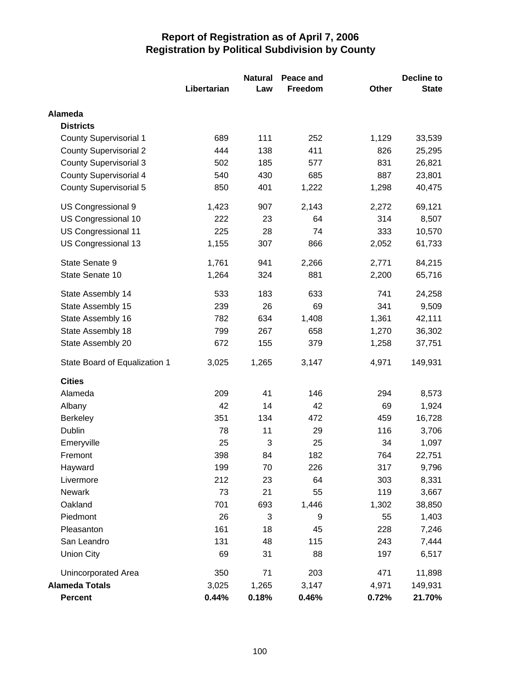|                               |             | <b>Natural</b> | Peace and |       | <b>Decline to</b> |  |
|-------------------------------|-------------|----------------|-----------|-------|-------------------|--|
|                               | Libertarian | Law            | Freedom   | Other | <b>State</b>      |  |
| <b>Alameda</b>                |             |                |           |       |                   |  |
| <b>Districts</b>              |             |                |           |       |                   |  |
| <b>County Supervisorial 1</b> | 689         | 111            | 252       | 1,129 | 33,539            |  |
| <b>County Supervisorial 2</b> | 444         | 138            | 411       | 826   | 25,295            |  |
| <b>County Supervisorial 3</b> | 502         | 185            | 577       | 831   | 26,821            |  |
| <b>County Supervisorial 4</b> | 540         | 430            | 685       | 887   | 23,801            |  |
| County Supervisorial 5        | 850         | 401            | 1,222     | 1,298 | 40,475            |  |
| US Congressional 9            | 1,423       | 907            | 2,143     | 2,272 | 69,121            |  |
| US Congressional 10           | 222         | 23             | 64        | 314   | 8,507             |  |
| US Congressional 11           | 225         | 28             | 74        | 333   | 10,570            |  |
| US Congressional 13           | 1,155       | 307            | 866       | 2,052 | 61,733            |  |
| State Senate 9                | 1,761       | 941            | 2,266     | 2,771 | 84,215            |  |
| State Senate 10               | 1,264       | 324            | 881       | 2,200 | 65,716            |  |
| State Assembly 14             | 533         | 183            | 633       | 741   | 24,258            |  |
| State Assembly 15             | 239         | 26             | 69        | 341   | 9,509             |  |
| State Assembly 16             | 782         | 634            | 1,408     | 1,361 | 42,111            |  |
| State Assembly 18             | 799         | 267            | 658       | 1,270 | 36,302            |  |
| State Assembly 20             | 672         | 155            | 379       | 1,258 | 37,751            |  |
| State Board of Equalization 1 | 3,025       | 1,265          | 3,147     | 4,971 | 149,931           |  |
| <b>Cities</b>                 |             |                |           |       |                   |  |
| Alameda                       | 209         | 41             | 146       | 294   | 8,573             |  |
| Albany                        | 42          | 14             | 42        | 69    | 1,924             |  |
| <b>Berkeley</b>               | 351         | 134            | 472       | 459   | 16,728            |  |
| Dublin                        | 78          | 11             | 29        | 116   | 3,706             |  |
| Emeryville                    | 25          | 3              | 25        | 34    | 1,097             |  |
| Fremont                       | 398         | 84             | 182       | 764   | 22,751            |  |
| Hayward                       | 199         | 70             | 226       | 317   | 9,796             |  |
| Livermore                     | 212         | 23             | 64        | 303   | 8,331             |  |
| Newark                        | 73          | 21             | 55        | 119   | 3,667             |  |
| Oakland                       | 701         | 693            | 1,446     | 1,302 | 38,850            |  |
| Piedmont                      | 26          | 3              | 9         | 55    | 1,403             |  |
| Pleasanton                    | 161         | 18             | 45        | 228   | 7,246             |  |
| San Leandro                   | 131         | 48             | 115       | 243   | 7,444             |  |
| <b>Union City</b>             | 69          | 31             | 88        | 197   | 6,517             |  |
| Unincorporated Area           | 350         | 71             | 203       | 471   | 11,898            |  |
| <b>Alameda Totals</b>         | 3,025       | 1,265          | 3,147     | 4,971 | 149,931           |  |
| <b>Percent</b>                | 0.44%       | 0.18%          | 0.46%     | 0.72% | 21.70%            |  |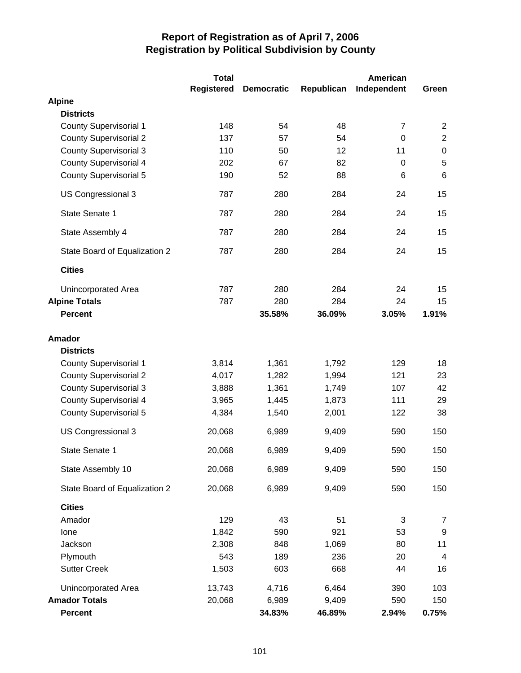|                               | <b>Total</b>      |                   |            | American       |                  |
|-------------------------------|-------------------|-------------------|------------|----------------|------------------|
|                               | <b>Registered</b> | <b>Democratic</b> | Republican | Independent    | Green            |
| <b>Alpine</b>                 |                   |                   |            |                |                  |
| <b>Districts</b>              |                   |                   |            |                |                  |
| <b>County Supervisorial 1</b> | 148               | 54                | 48         | $\overline{7}$ | $\overline{2}$   |
| <b>County Supervisorial 2</b> | 137               | 57                | 54         | $\mathbf 0$    | $\sqrt{2}$       |
| <b>County Supervisorial 3</b> | 110               | 50                | 12         | 11             | $\pmb{0}$        |
| <b>County Supervisorial 4</b> | 202               | 67                | 82         | 0              | $\sqrt{5}$       |
| <b>County Supervisorial 5</b> | 190               | 52                | 88         | 6              | $6\phantom{1}$   |
| US Congressional 3            | 787               | 280               | 284        | 24             | 15               |
| State Senate 1                | 787               | 280               | 284        | 24             | 15               |
| State Assembly 4              | 787               | 280               | 284        | 24             | 15               |
| State Board of Equalization 2 | 787               | 280               | 284        | 24             | 15               |
| <b>Cities</b>                 |                   |                   |            |                |                  |
| <b>Unincorporated Area</b>    | 787               | 280               | 284        | 24             | 15               |
| <b>Alpine Totals</b>          | 787               | 280               | 284        | 24             | 15               |
| <b>Percent</b>                |                   | 35.58%            | 36.09%     | 3.05%          | 1.91%            |
| <b>Amador</b>                 |                   |                   |            |                |                  |
| <b>Districts</b>              |                   |                   |            |                |                  |
| <b>County Supervisorial 1</b> | 3,814             | 1,361             | 1,792      | 129            | 18               |
| <b>County Supervisorial 2</b> | 4,017             | 1,282             | 1,994      | 121            | 23               |
| <b>County Supervisorial 3</b> | 3,888             | 1,361             | 1,749      | 107            | 42               |
| <b>County Supervisorial 4</b> | 3,965             | 1,445             | 1,873      | 111            | 29               |
| County Supervisorial 5        | 4,384             | 1,540             | 2,001      | 122            | 38               |
| US Congressional 3            | 20,068            | 6,989             | 9,409      | 590            | 150              |
| State Senate 1                | 20,068            | 6,989             | 9,409      | 590            | 150              |
| State Assembly 10             | 20,068            | 6,989             | 9,409      | 590            | 150              |
| State Board of Equalization 2 | 20,068            | 6,989             | 9,409      | 590            | 150              |
| <b>Cities</b>                 |                   |                   |            |                |                  |
| Amador                        | 129               | 43                | 51         | 3              | 7                |
| Ione                          | 1,842             | 590               | 921        | 53             | $\boldsymbol{9}$ |
| Jackson                       | 2,308             | 848               | 1,069      | 80             | 11               |
| Plymouth                      | 543               | 189               | 236        | 20             | $\overline{4}$   |
| <b>Sutter Creek</b>           | 1,503             | 603               | 668        | 44             | 16               |
| Unincorporated Area           | 13,743            | 4,716             | 6,464      | 390            | 103              |
| <b>Amador Totals</b>          | 20,068            | 6,989             | 9,409      | 590            | 150              |
| <b>Percent</b>                |                   | 34.83%            | 46.89%     | 2.94%          | 0.75%            |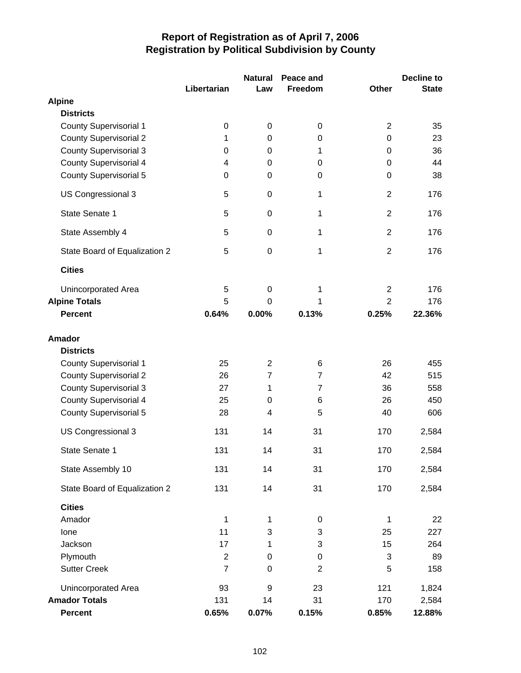|                               | Libertarian    | <b>Natural</b><br>Law | Peace and<br>Freedom | <b>Other</b>   | <b>Decline to</b><br><b>State</b> |
|-------------------------------|----------------|-----------------------|----------------------|----------------|-----------------------------------|
| <b>Alpine</b>                 |                |                       |                      |                |                                   |
| <b>Districts</b>              |                |                       |                      |                |                                   |
| <b>County Supervisorial 1</b> | 0              | 0                     | 0                    | $\overline{2}$ | 35                                |
| <b>County Supervisorial 2</b> | 1              | 0                     | 0                    | $\mathbf 0$    | 23                                |
| <b>County Supervisorial 3</b> | 0              | 0                     | 1                    | 0              | 36                                |
| County Supervisorial 4        | 4              | 0                     | 0                    | 0              | 44                                |
| <b>County Supervisorial 5</b> | 0              | 0                     | 0                    | 0              | 38                                |
| US Congressional 3            | 5              | $\mathbf 0$           | 1                    | $\overline{2}$ | 176                               |
| State Senate 1                | 5              | 0                     | 1                    | $\overline{2}$ | 176                               |
| State Assembly 4              | 5              | $\mathbf 0$           | $\mathbf{1}$         | $\overline{2}$ | 176                               |
| State Board of Equalization 2 | 5              | $\mathbf 0$           | 1                    | $\overline{2}$ | 176                               |
| <b>Cities</b>                 |                |                       |                      |                |                                   |
| <b>Unincorporated Area</b>    | 5              | $\mathbf 0$           | 1                    | $\overline{2}$ | 176                               |
| <b>Alpine Totals</b>          | 5              | $\Omega$              | 1                    | $\overline{2}$ | 176                               |
| <b>Percent</b>                | 0.64%          | 0.00%                 | 0.13%                | 0.25%          | 22.36%                            |
| <b>Amador</b>                 |                |                       |                      |                |                                   |
| <b>Districts</b>              |                |                       |                      |                |                                   |
| <b>County Supervisorial 1</b> | 25             | $\overline{2}$        | 6                    | 26             | 455                               |
| <b>County Supervisorial 2</b> | 26             | $\overline{7}$        | $\overline{7}$       | 42             | 515                               |
| County Supervisorial 3        | 27             | 1                     | $\overline{7}$       | 36             | 558                               |
| <b>County Supervisorial 4</b> | 25             | 0                     | 6                    | 26             | 450                               |
| <b>County Supervisorial 5</b> | 28             | $\overline{4}$        | 5                    | 40             | 606                               |
| US Congressional 3            | 131            | 14                    | 31                   | 170            | 2,584                             |
| State Senate 1                | 131            | 14                    | 31                   | 170            | 2,584                             |
| State Assembly 10             | 131            | 14                    | 31                   | 170            | 2,584                             |
| State Board of Equalization 2 | 131            | 14                    | 31                   | 170            | 2,584                             |
| <b>Cities</b>                 |                |                       |                      |                |                                   |
| Amador                        | 1              | 1                     | 0                    | 1              | 22                                |
| Ione                          | 11             | 3                     | 3                    | 25             | 227                               |
| Jackson                       | 17             | 1                     | 3                    | 15             | 264                               |
| Plymouth                      | $\overline{2}$ | $\boldsymbol{0}$      | $\mathbf 0$          | 3              | 89                                |
| <b>Sutter Creek</b>           | $\overline{7}$ | $\mathbf 0$           | $\overline{2}$       | 5              | 158                               |
| Unincorporated Area           | 93             | $\boldsymbol{9}$      | 23                   | 121            | 1,824                             |
| <b>Amador Totals</b>          | 131            | 14                    | 31                   | 170            | 2,584                             |
| Percent                       | 0.65%          | 0.07%                 | 0.15%                | 0.85%          | 12.88%                            |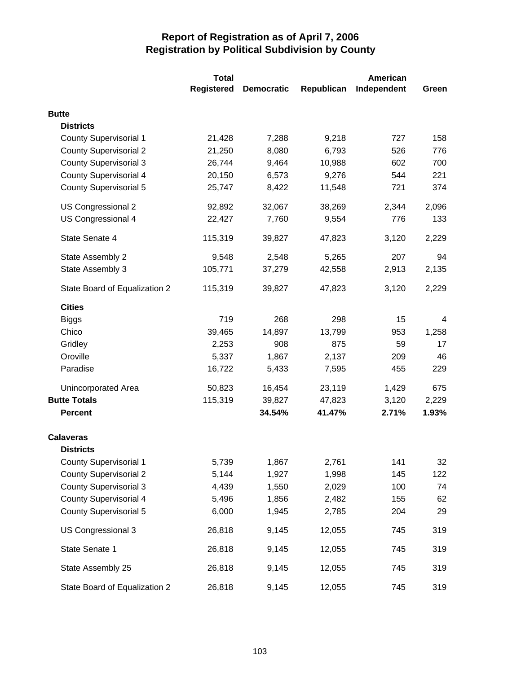|                               | <b>Total</b> |                   |            | <b>American</b> |       |  |
|-------------------------------|--------------|-------------------|------------|-----------------|-------|--|
|                               | Registered   | <b>Democratic</b> | Republican | Independent     | Green |  |
| <b>Butte</b>                  |              |                   |            |                 |       |  |
| <b>Districts</b>              |              |                   |            |                 |       |  |
| <b>County Supervisorial 1</b> | 21,428       | 7,288             | 9,218      | 727             | 158   |  |
| <b>County Supervisorial 2</b> | 21,250       | 8,080             | 6,793      | 526             | 776   |  |
| <b>County Supervisorial 3</b> | 26,744       | 9,464             | 10,988     | 602             | 700   |  |
| <b>County Supervisorial 4</b> | 20,150       | 6,573             | 9,276      | 544             | 221   |  |
| <b>County Supervisorial 5</b> | 25,747       | 8,422             | 11,548     | 721             | 374   |  |
| US Congressional 2            | 92,892       | 32,067            | 38,269     | 2,344           | 2,096 |  |
| US Congressional 4            | 22,427       | 7,760             | 9,554      | 776             | 133   |  |
| State Senate 4                | 115,319      | 39,827            | 47,823     | 3,120           | 2,229 |  |
| State Assembly 2              | 9,548        | 2,548             | 5,265      | 207             | 94    |  |
| State Assembly 3              | 105,771      | 37,279            | 42,558     | 2,913           | 2,135 |  |
| State Board of Equalization 2 | 115,319      | 39,827            | 47,823     | 3,120           | 2,229 |  |
| <b>Cities</b>                 |              |                   |            |                 |       |  |
| <b>Biggs</b>                  | 719          | 268               | 298        | 15              | 4     |  |
| Chico                         | 39,465       | 14,897            | 13,799     | 953             | 1,258 |  |
| Gridley                       | 2,253        | 908               | 875        | 59              | 17    |  |
| Oroville                      | 5,337        | 1,867             | 2,137      | 209             | 46    |  |
| Paradise                      | 16,722       | 5,433             | 7,595      | 455             | 229   |  |
| Unincorporated Area           | 50,823       | 16,454            | 23,119     | 1,429           | 675   |  |
| <b>Butte Totals</b>           | 115,319      | 39,827            | 47,823     | 3,120           | 2,229 |  |
| <b>Percent</b>                |              | 34.54%            | 41.47%     | 2.71%           | 1.93% |  |
| <b>Calaveras</b>              |              |                   |            |                 |       |  |
| <b>Districts</b>              |              |                   |            |                 |       |  |
| <b>County Supervisorial 1</b> | 5,739        | 1,867             | 2,761      | 141             | 32    |  |
| <b>County Supervisorial 2</b> | 5,144        | 1,927             | 1,998      | 145             | 122   |  |
| <b>County Supervisorial 3</b> | 4,439        | 1,550             | 2,029      | 100             | 74    |  |
| <b>County Supervisorial 4</b> | 5,496        | 1,856             | 2,482      | 155             | 62    |  |
| <b>County Supervisorial 5</b> | 6,000        | 1,945             | 2,785      | 204             | 29    |  |
| US Congressional 3            | 26,818       | 9,145             | 12,055     | 745             | 319   |  |
| State Senate 1                | 26,818       | 9,145             | 12,055     | 745             | 319   |  |
| State Assembly 25             | 26,818       | 9,145             | 12,055     | 745             | 319   |  |
| State Board of Equalization 2 | 26,818       | 9,145             | 12,055     | 745             | 319   |  |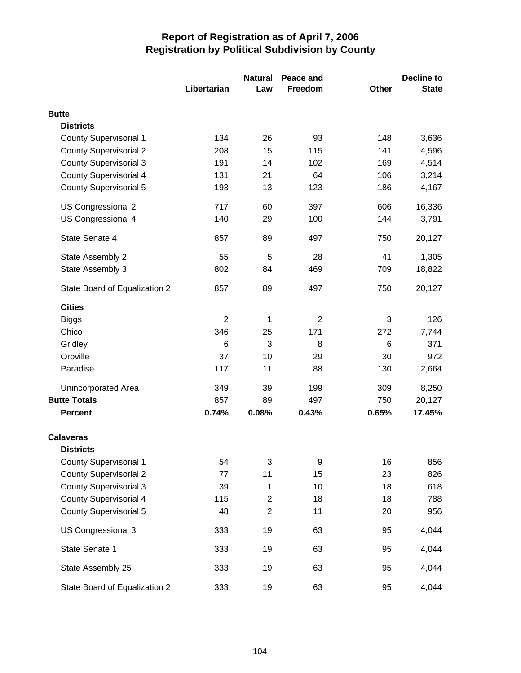|                               |                | <b>Natural</b> | Peace and      |       | Decline to   |  |
|-------------------------------|----------------|----------------|----------------|-------|--------------|--|
|                               | Libertarian    | Law            | Freedom        | Other | <b>State</b> |  |
| <b>Butte</b>                  |                |                |                |       |              |  |
| <b>Districts</b>              |                |                |                |       |              |  |
| <b>County Supervisorial 1</b> | 134            | 26             | 93             | 148   | 3,636        |  |
| <b>County Supervisorial 2</b> | 208            | 15             | 115            | 141   | 4,596        |  |
| <b>County Supervisorial 3</b> | 191            | 14             | 102            | 169   | 4,514        |  |
| <b>County Supervisorial 4</b> | 131            | 21             | 64             | 106   | 3,214        |  |
| <b>County Supervisorial 5</b> | 193            | 13             | 123            | 186   | 4,167        |  |
| US Congressional 2            | 717            | 60             | 397            | 606   | 16,336       |  |
| US Congressional 4            | 140            | 29             | 100            | 144   | 3,791        |  |
| State Senate 4                | 857            | 89             | 497            | 750   | 20,127       |  |
| State Assembly 2              | 55             | 5              | 28             | 41    | 1,305        |  |
| State Assembly 3              | 802            | 84             | 469            | 709   | 18,822       |  |
| State Board of Equalization 2 | 857            | 89             | 497            | 750   | 20,127       |  |
| <b>Cities</b>                 |                |                |                |       |              |  |
| <b>Biggs</b>                  | $\overline{2}$ | 1              | $\overline{2}$ | 3     | 126          |  |
| Chico                         | 346            | 25             | 171            | 272   | 7,744        |  |
| Gridley                       | 6              | 3              | 8              | 6     | 371          |  |
| Oroville                      | 37             | 10             | 29             | 30    | 972          |  |
| Paradise                      | 117            | 11             | 88             | 130   | 2,664        |  |
| Unincorporated Area           | 349            | 39             | 199            | 309   | 8,250        |  |
| <b>Butte Totals</b>           | 857            | 89             | 497            | 750   | 20,127       |  |
| <b>Percent</b>                | 0.74%          | 0.08%          | 0.43%          | 0.65% | 17.45%       |  |
| <b>Calaveras</b>              |                |                |                |       |              |  |
| <b>Districts</b>              |                |                |                |       |              |  |
| <b>County Supervisorial 1</b> | 54             | 3              | 9              | 16    | 856          |  |
| <b>County Supervisorial 2</b> | 77             | 11             | 15             | 23    | 826          |  |
| <b>County Supervisorial 3</b> | 39             | 1              | 10             | 18    | 618          |  |
| <b>County Supervisorial 4</b> | 115            | $\overline{c}$ | 18             | 18    | 788          |  |
| <b>County Supervisorial 5</b> | 48             | $\overline{c}$ | 11             | 20    | 956          |  |
| US Congressional 3            | 333            | 19             | 63             | 95    | 4,044        |  |
| State Senate 1                | 333            | 19             | 63             | 95    | 4,044        |  |
| State Assembly 25             | 333            | 19             | 63             | 95    | 4,044        |  |
| State Board of Equalization 2 | 333            | 19             | 63             | 95    | 4,044        |  |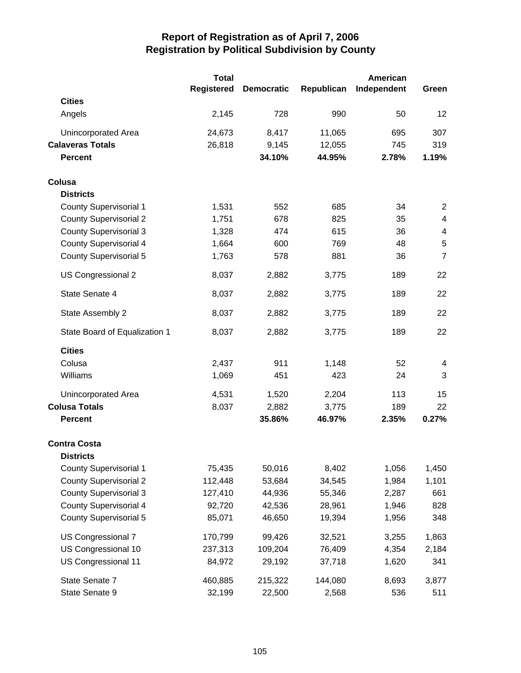|                               | <b>Total</b>      |                   |            | American    |                |
|-------------------------------|-------------------|-------------------|------------|-------------|----------------|
|                               | <b>Registered</b> | <b>Democratic</b> | Republican | Independent | Green          |
| <b>Cities</b>                 |                   |                   |            |             |                |
| Angels                        | 2,145             | 728               | 990        | 50          | 12             |
| Unincorporated Area           | 24,673            | 8,417             | 11,065     | 695         | 307            |
| <b>Calaveras Totals</b>       | 26,818            | 9,145             | 12,055     | 745         | 319            |
| <b>Percent</b>                |                   | 34.10%            | 44.95%     | 2.78%       | 1.19%          |
| Colusa                        |                   |                   |            |             |                |
| <b>Districts</b>              |                   |                   |            |             |                |
| <b>County Supervisorial 1</b> | 1,531             | 552               | 685        | 34          | $\overline{2}$ |
| <b>County Supervisorial 2</b> | 1,751             | 678               | 825        | 35          | 4              |
| <b>County Supervisorial 3</b> | 1,328             | 474               | 615        | 36          | 4              |
| <b>County Supervisorial 4</b> | 1,664             | 600               | 769        | 48          | $\sqrt{5}$     |
| <b>County Supervisorial 5</b> | 1,763             | 578               | 881        | 36          | $\overline{7}$ |
| US Congressional 2            | 8,037             | 2,882             | 3,775      | 189         | 22             |
| State Senate 4                | 8,037             | 2,882             | 3,775      | 189         | 22             |
| State Assembly 2              | 8,037             | 2,882             | 3,775      | 189         | 22             |
| State Board of Equalization 1 | 8,037             | 2,882             | 3,775      | 189         | 22             |
| <b>Cities</b>                 |                   |                   |            |             |                |
| Colusa                        | 2,437             | 911               | 1,148      | 52          | 4              |
| Williams                      | 1,069             | 451               | 423        | 24          | 3              |
| Unincorporated Area           | 4,531             | 1,520             | 2,204      | 113         | 15             |
| <b>Colusa Totals</b>          | 8,037             | 2,882             | 3,775      | 189         | 22             |
| <b>Percent</b>                |                   | 35.86%            | 46.97%     | 2.35%       | 0.27%          |
| <b>Contra Costa</b>           |                   |                   |            |             |                |
| <b>Districts</b>              |                   |                   |            |             |                |
| <b>County Supervisorial 1</b> | 75,435            | 50,016            | 8,402      | 1,056       | 1,450          |
| <b>County Supervisorial 2</b> | 112,448           | 53,684            | 34,545     | 1,984       | 1,101          |
| <b>County Supervisorial 3</b> | 127,410           | 44,936            | 55,346     | 2,287       | 661            |
| <b>County Supervisorial 4</b> | 92,720            | 42,536            | 28,961     | 1,946       | 828            |
| <b>County Supervisorial 5</b> | 85,071            | 46,650            | 19,394     | 1,956       | 348            |
| US Congressional 7            | 170,799           | 99,426            | 32,521     | 3,255       | 1,863          |
| US Congressional 10           | 237,313           | 109,204           | 76,409     | 4,354       | 2,184          |
| US Congressional 11           | 84,972            | 29,192            | 37,718     | 1,620       | 341            |
| State Senate 7                | 460,885           | 215,322           | 144,080    | 8,693       | 3,877          |
| State Senate 9                | 32,199            | 22,500            | 2,568      | 536         | 511            |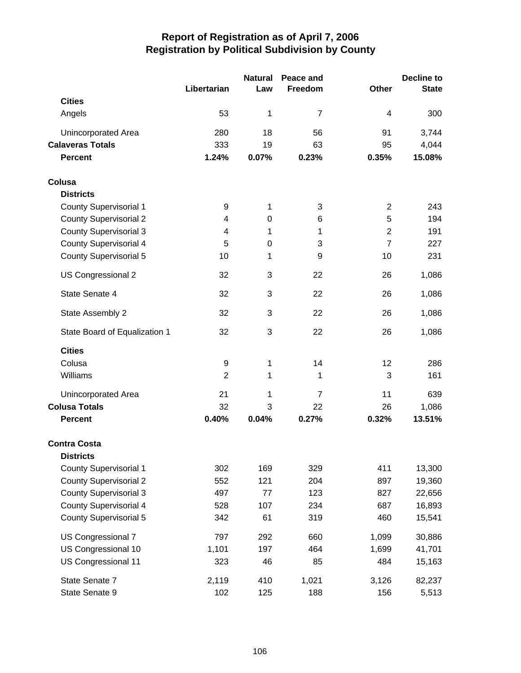|                               |                | <b>Natural</b> | Peace and      |                | <b>Decline to</b> |
|-------------------------------|----------------|----------------|----------------|----------------|-------------------|
|                               | Libertarian    | Law            | Freedom        | <b>Other</b>   | <b>State</b>      |
| <b>Cities</b>                 |                |                |                |                |                   |
| Angels                        | 53             | 1              | $\overline{7}$ | 4              | 300               |
| <b>Unincorporated Area</b>    | 280            | 18             | 56             | 91             | 3,744             |
| <b>Calaveras Totals</b>       | 333            | 19             | 63             | 95             | 4,044             |
| <b>Percent</b>                | 1.24%          | 0.07%          | 0.23%          | 0.35%          | 15.08%            |
| Colusa                        |                |                |                |                |                   |
| <b>Districts</b>              |                |                |                |                |                   |
| County Supervisorial 1        | 9              | 1              | 3              | $\overline{2}$ | 243               |
| <b>County Supervisorial 2</b> | 4              | $\mathbf 0$    | 6              | 5              | 194               |
| <b>County Supervisorial 3</b> | 4              | 1              | 1              | $\overline{2}$ | 191               |
| <b>County Supervisorial 4</b> | 5              | 0              | 3              | $\overline{7}$ | 227               |
| <b>County Supervisorial 5</b> | 10             | 1              | 9              | 10             | 231               |
| US Congressional 2            | 32             | 3              | 22             | 26             | 1,086             |
| State Senate 4                | 32             | 3              | 22             | 26             | 1,086             |
| State Assembly 2              | 32             | 3              | 22             | 26             | 1,086             |
| State Board of Equalization 1 | 32             | 3              | 22             | 26             | 1,086             |
| <b>Cities</b>                 |                |                |                |                |                   |
| Colusa                        | 9              | 1              | 14             | 12             | 286               |
| Williams                      | $\overline{2}$ | 1              | 1              | 3              | 161               |
| Unincorporated Area           | 21             | 1              | $\overline{7}$ | 11             | 639               |
| <b>Colusa Totals</b>          | 32             | 3              | 22             | 26             | 1,086             |
| <b>Percent</b>                | 0.40%          | 0.04%          | 0.27%          | 0.32%          | 13.51%            |
| <b>Contra Costa</b>           |                |                |                |                |                   |
| <b>Districts</b>              |                |                |                |                |                   |
| <b>County Supervisorial 1</b> | 302            | 169            | 329            | 411            | 13,300            |
| <b>County Supervisorial 2</b> | 552            | 121            | 204            | 897            | 19,360            |
| <b>County Supervisorial 3</b> | 497            | 77             | 123            | 827            | 22,656            |
| <b>County Supervisorial 4</b> | 528            | 107            | 234            | 687            | 16,893            |
| <b>County Supervisorial 5</b> | 342            | 61             | 319            | 460            | 15,541            |
| US Congressional 7            | 797            | 292            | 660            | 1,099          | 30,886            |
| US Congressional 10           | 1,101          | 197            | 464            | 1,699          | 41,701            |
| US Congressional 11           | 323            | 46             | 85             | 484            | 15,163            |
| State Senate 7                | 2,119          | 410            | 1,021          | 3,126          | 82,237            |
| State Senate 9                | 102            | 125            | 188            | 156            | 5,513             |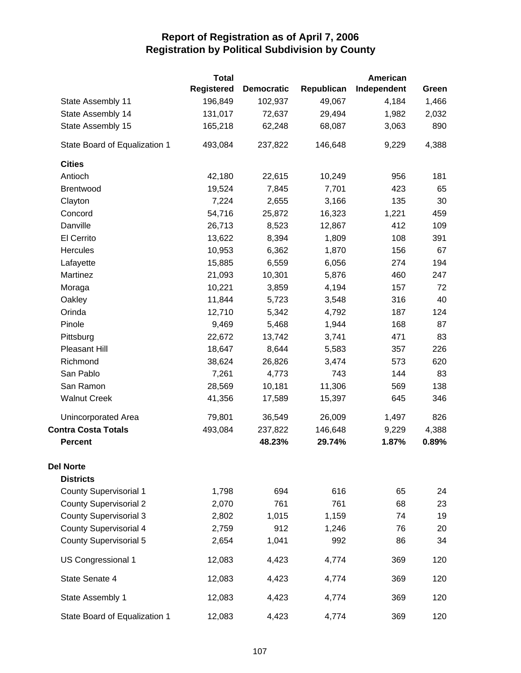|                               | <b>Total</b>      |                   |            | American    |       |
|-------------------------------|-------------------|-------------------|------------|-------------|-------|
|                               | <b>Registered</b> | <b>Democratic</b> | Republican | Independent | Green |
| State Assembly 11             | 196,849           | 102,937           | 49,067     | 4,184       | 1,466 |
| State Assembly 14             | 131,017           | 72,637            | 29,494     | 1,982       | 2,032 |
| State Assembly 15             | 165,218           | 62,248            | 68,087     | 3,063       | 890   |
| State Board of Equalization 1 | 493,084           | 237,822           | 146,648    | 9,229       | 4,388 |
| <b>Cities</b>                 |                   |                   |            |             |       |
| Antioch                       | 42,180            | 22,615            | 10,249     | 956         | 181   |
| Brentwood                     | 19,524            | 7,845             | 7,701      | 423         | 65    |
| Clayton                       | 7,224             | 2,655             | 3,166      | 135         | 30    |
| Concord                       | 54,716            | 25,872            | 16,323     | 1,221       | 459   |
| Danville                      | 26,713            | 8,523             | 12,867     | 412         | 109   |
| El Cerrito                    | 13,622            | 8,394             | 1,809      | 108         | 391   |
| Hercules                      | 10,953            | 6,362             | 1,870      | 156         | 67    |
| Lafayette                     | 15,885            | 6,559             | 6,056      | 274         | 194   |
| Martinez                      | 21,093            | 10,301            | 5,876      | 460         | 247   |
| Moraga                        | 10,221            | 3,859             | 4,194      | 157         | 72    |
| Oakley                        | 11,844            | 5,723             | 3,548      | 316         | 40    |
| Orinda                        | 12,710            | 5,342             | 4,792      | 187         | 124   |
| Pinole                        | 9,469             | 5,468             | 1,944      | 168         | 87    |
| Pittsburg                     | 22,672            | 13,742            | 3,741      | 471         | 83    |
| Pleasant Hill                 | 18,647            | 8,644             | 5,583      | 357         | 226   |
| Richmond                      | 38,624            | 26,826            | 3,474      | 573         | 620   |
| San Pablo                     | 7,261             | 4,773             | 743        | 144         | 83    |
| San Ramon                     | 28,569            | 10,181            | 11,306     | 569         | 138   |
| <b>Walnut Creek</b>           | 41,356            | 17,589            | 15,397     | 645         | 346   |
| Unincorporated Area           | 79,801            | 36,549            | 26,009     | 1,497       | 826   |
| <b>Contra Costa Totals</b>    | 493,084           | 237,822           | 146,648    | 9,229       | 4,388 |
| <b>Percent</b>                |                   | 48.23%            | 29.74%     | 1.87%       | 0.89% |
| <b>Del Norte</b>              |                   |                   |            |             |       |
| <b>Districts</b>              |                   |                   |            |             |       |
| <b>County Supervisorial 1</b> | 1,798             | 694               | 616        | 65          | 24    |
| <b>County Supervisorial 2</b> | 2,070             | 761               | 761        | 68          | 23    |
| <b>County Supervisorial 3</b> | 2,802             | 1,015             | 1,159      | 74          | 19    |
| <b>County Supervisorial 4</b> | 2,759             | 912               | 1,246      | 76          | 20    |
| <b>County Supervisorial 5</b> | 2,654             | 1,041             | 992        | 86          | 34    |
| US Congressional 1            | 12,083            | 4,423             | 4,774      | 369         | 120   |
| State Senate 4                | 12,083            | 4,423             | 4,774      | 369         | 120   |
| State Assembly 1              | 12,083            | 4,423             | 4,774      | 369         | 120   |
| State Board of Equalization 1 | 12,083            | 4,423             | 4,774      | 369         | 120   |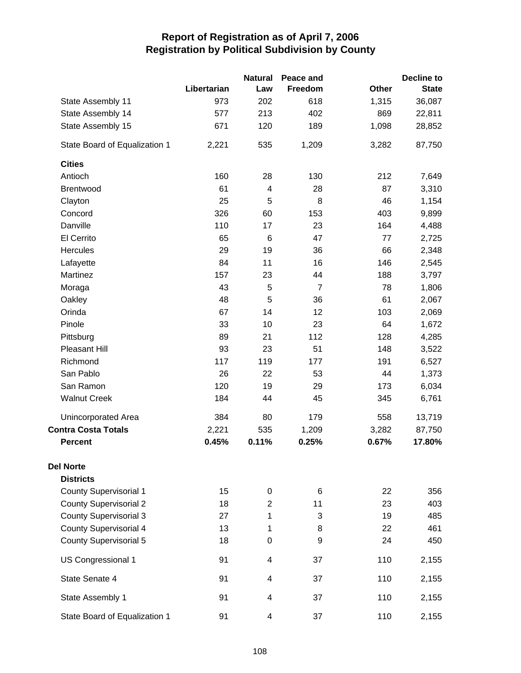|                               |             | <b>Natural</b> | Peace and      |       | <b>Decline to</b> |
|-------------------------------|-------------|----------------|----------------|-------|-------------------|
|                               | Libertarian | Law            | Freedom        | Other | <b>State</b>      |
| State Assembly 11             | 973         | 202            | 618            | 1,315 | 36,087            |
| State Assembly 14             | 577         | 213            | 402            | 869   | 22,811            |
| State Assembly 15             | 671         | 120            | 189            | 1,098 | 28,852            |
| State Board of Equalization 1 | 2,221       | 535            | 1,209          | 3,282 | 87,750            |
| <b>Cities</b>                 |             |                |                |       |                   |
| Antioch                       | 160         | 28             | 130            | 212   | 7,649             |
| Brentwood                     | 61          | 4              | 28             | 87    | 3,310             |
| Clayton                       | 25          | 5              | 8              | 46    | 1,154             |
| Concord                       | 326         | 60             | 153            | 403   | 9,899             |
| Danville                      | 110         | 17             | 23             | 164   | 4,488             |
| El Cerrito                    | 65          | $\,6$          | 47             | 77    | 2,725             |
| Hercules                      | 29          | 19             | 36             | 66    | 2,348             |
| Lafayette                     | 84          | 11             | 16             | 146   | 2,545             |
| Martinez                      | 157         | 23             | 44             | 188   | 3,797             |
| Moraga                        | 43          | 5              | $\overline{7}$ | 78    | 1,806             |
| Oakley                        | 48          | 5              | 36             | 61    | 2,067             |
| Orinda                        | 67          | 14             | 12             | 103   | 2,069             |
| Pinole                        | 33          | 10             | 23             | 64    | 1,672             |
| Pittsburg                     | 89          | 21             | 112            | 128   | 4,285             |
| Pleasant Hill                 | 93          | 23             | 51             | 148   | 3,522             |
| Richmond                      | 117         | 119            | 177            | 191   | 6,527             |
| San Pablo                     | 26          | 22             | 53             | 44    | 1,373             |
| San Ramon                     | 120         | 19             | 29             | 173   | 6,034             |
| <b>Walnut Creek</b>           | 184         | 44             | 45             | 345   | 6,761             |
| Unincorporated Area           | 384         | 80             | 179            | 558   | 13,719            |
| <b>Contra Costa Totals</b>    | 2,221       | 535            | 1,209          | 3,282 | 87,750            |
| <b>Percent</b>                | 0.45%       | 0.11%          | 0.25%          | 0.67% | 17.80%            |
| <b>Del Norte</b>              |             |                |                |       |                   |
| <b>Districts</b>              |             |                |                |       |                   |
| <b>County Supervisorial 1</b> | 15          | 0              | 6              | 22    | 356               |
| <b>County Supervisorial 2</b> | 18          | $\overline{2}$ | 11             | 23    | 403               |
| <b>County Supervisorial 3</b> | 27          | 1              | 3              | 19    | 485               |
| <b>County Supervisorial 4</b> | 13          | 1              | 8              | 22    | 461               |
| <b>County Supervisorial 5</b> | 18          | 0              | 9              | 24    | 450               |
| US Congressional 1            | 91          | 4              | 37             | 110   | 2,155             |
| State Senate 4                | 91          | 4              | 37             | 110   | 2,155             |
| State Assembly 1              | 91          | 4              | 37             | 110   | 2,155             |
| State Board of Equalization 1 | 91          | 4              | 37             | 110   | 2,155             |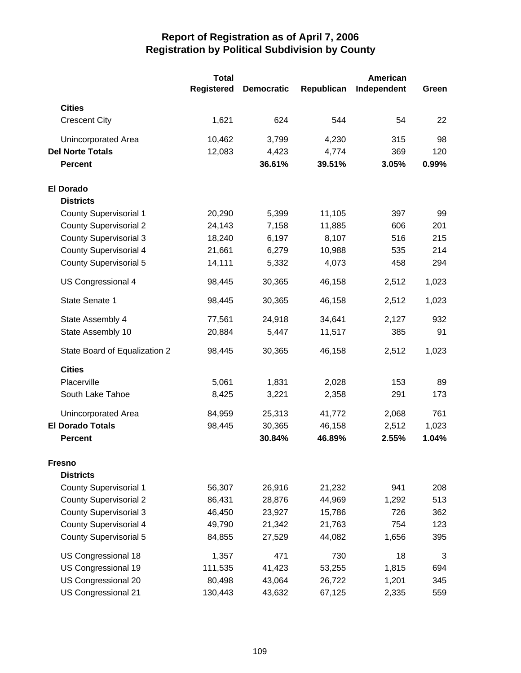|                               | <b>Total</b><br><b>Registered</b> | <b>Democratic</b> | Republican | American<br>Independent | Green |
|-------------------------------|-----------------------------------|-------------------|------------|-------------------------|-------|
| <b>Cities</b>                 |                                   |                   |            |                         |       |
| <b>Crescent City</b>          | 1,621                             | 624               | 544        | 54                      | 22    |
| Unincorporated Area           | 10,462                            | 3,799             | 4,230      | 315                     | 98    |
| <b>Del Norte Totals</b>       | 12,083                            | 4,423             | 4,774      | 369                     | 120   |
| <b>Percent</b>                |                                   | 36.61%            | 39.51%     | 3.05%                   | 0.99% |
| <b>El Dorado</b>              |                                   |                   |            |                         |       |
| <b>Districts</b>              |                                   |                   |            |                         |       |
| <b>County Supervisorial 1</b> | 20,290                            | 5,399             | 11,105     | 397                     | 99    |
| <b>County Supervisorial 2</b> | 24,143                            | 7,158             | 11,885     | 606                     | 201   |
| <b>County Supervisorial 3</b> | 18,240                            | 6,197             | 8,107      | 516                     | 215   |
| <b>County Supervisorial 4</b> | 21,661                            | 6,279             | 10,988     | 535                     | 214   |
| County Supervisorial 5        | 14,111                            | 5,332             | 4,073      | 458                     | 294   |
| US Congressional 4            | 98,445                            | 30,365            | 46,158     | 2,512                   | 1,023 |
| State Senate 1                | 98,445                            | 30,365            | 46,158     | 2,512                   | 1,023 |
| State Assembly 4              | 77,561                            | 24,918            | 34,641     | 2,127                   | 932   |
| State Assembly 10             | 20,884                            | 5,447             | 11,517     | 385                     | 91    |
| State Board of Equalization 2 | 98,445                            | 30,365            | 46,158     | 2,512                   | 1,023 |
| <b>Cities</b>                 |                                   |                   |            |                         |       |
| Placerville                   | 5,061                             | 1,831             | 2,028      | 153                     | 89    |
| South Lake Tahoe              | 8,425                             | 3,221             | 2,358      | 291                     | 173   |
| Unincorporated Area           | 84,959                            | 25,313            | 41,772     | 2,068                   | 761   |
| <b>El Dorado Totals</b>       | 98,445                            | 30,365            | 46,158     | 2,512                   | 1,023 |
| <b>Percent</b>                |                                   | 30.84%            | 46.89%     | 2.55%                   | 1.04% |
| <b>Fresno</b>                 |                                   |                   |            |                         |       |
| <b>Districts</b>              |                                   |                   |            |                         |       |
| <b>County Supervisorial 1</b> | 56,307                            | 26,916            | 21,232     | 941                     | 208   |
| <b>County Supervisorial 2</b> | 86,431                            | 28,876            | 44,969     | 1,292                   | 513   |
| <b>County Supervisorial 3</b> | 46,450                            | 23,927            | 15,786     | 726                     | 362   |
| <b>County Supervisorial 4</b> | 49,790                            | 21,342            | 21,763     | 754                     | 123   |
| County Supervisorial 5        | 84,855                            | 27,529            | 44,082     | 1,656                   | 395   |
| US Congressional 18           | 1,357                             | 471               | 730        | 18                      | 3     |
| US Congressional 19           | 111,535                           | 41,423            | 53,255     | 1,815                   | 694   |
| US Congressional 20           | 80,498                            | 43,064            | 26,722     | 1,201                   | 345   |
| US Congressional 21           | 130,443                           | 43,632            | 67,125     | 2,335                   | 559   |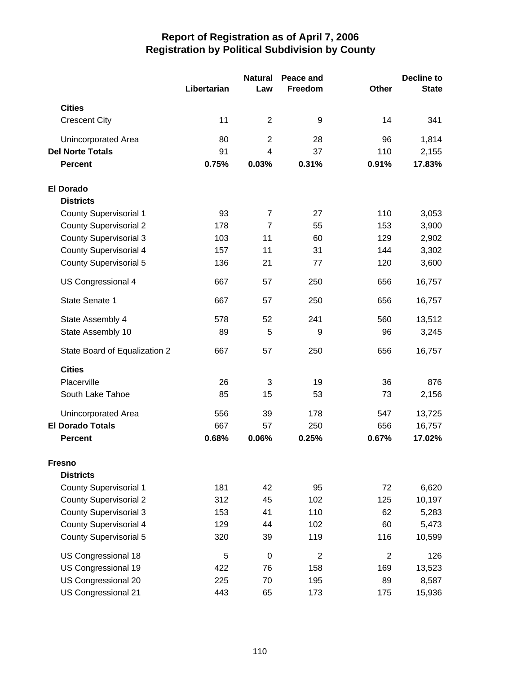|                               |             | <b>Natural</b>          | Peace and      |                | <b>Decline to</b> |  |
|-------------------------------|-------------|-------------------------|----------------|----------------|-------------------|--|
|                               | Libertarian | Law                     | Freedom        | <b>Other</b>   | <b>State</b>      |  |
| <b>Cities</b>                 |             |                         |                |                |                   |  |
| <b>Crescent City</b>          | 11          | $\overline{2}$          | 9              | 14             | 341               |  |
| Unincorporated Area           | 80          | $\overline{2}$          | 28             | 96             | 1,814             |  |
| <b>Del Norte Totals</b>       | 91          | $\overline{\mathbf{4}}$ | 37             | 110            | 2,155             |  |
| <b>Percent</b>                | 0.75%       | 0.03%                   | 0.31%          | 0.91%          | 17.83%            |  |
| <b>El Dorado</b>              |             |                         |                |                |                   |  |
| <b>Districts</b>              |             |                         |                |                |                   |  |
| <b>County Supervisorial 1</b> | 93          | $\overline{7}$          | 27             | 110            | 3,053             |  |
| <b>County Supervisorial 2</b> | 178         | $\overline{7}$          | 55             | 153            | 3,900             |  |
| <b>County Supervisorial 3</b> | 103         | 11                      | 60             | 129            | 2,902             |  |
| <b>County Supervisorial 4</b> | 157         | 11                      | 31             | 144            | 3,302             |  |
| <b>County Supervisorial 5</b> | 136         | 21                      | 77             | 120            | 3,600             |  |
| US Congressional 4            | 667         | 57                      | 250            | 656            | 16,757            |  |
| State Senate 1                | 667         | 57                      | 250            | 656            | 16,757            |  |
| State Assembly 4              | 578         | 52                      | 241            | 560            | 13,512            |  |
| State Assembly 10             | 89          | 5                       | 9              | 96             | 3,245             |  |
| State Board of Equalization 2 | 667         | 57                      | 250            | 656            | 16,757            |  |
| <b>Cities</b>                 |             |                         |                |                |                   |  |
| Placerville                   | 26          | 3                       | 19             | 36             | 876               |  |
| South Lake Tahoe              | 85          | 15                      | 53             | 73             | 2,156             |  |
| Unincorporated Area           | 556         | 39                      | 178            | 547            | 13,725            |  |
| <b>El Dorado Totals</b>       | 667         | 57                      | 250            | 656            | 16,757            |  |
| <b>Percent</b>                | 0.68%       | 0.06%                   | 0.25%          | 0.67%          | 17.02%            |  |
| <b>Fresno</b>                 |             |                         |                |                |                   |  |
| <b>Districts</b>              |             |                         |                |                |                   |  |
| County Supervisorial 1        | 181         | 42                      | 95             | 72             | 6,620             |  |
| <b>County Supervisorial 2</b> | 312         | 45                      | 102            | 125            | 10,197            |  |
| <b>County Supervisorial 3</b> | 153         | 41                      | 110            | 62             | 5,283             |  |
| <b>County Supervisorial 4</b> | 129         | 44                      | 102            | 60             | 5,473             |  |
| <b>County Supervisorial 5</b> | 320         | 39                      | 119            | 116            | 10,599            |  |
| US Congressional 18           | 5           | $\mathbf 0$             | $\overline{2}$ | $\overline{2}$ | 126               |  |
| US Congressional 19           | 422         | 76                      | 158            | 169            | 13,523            |  |
| US Congressional 20           | 225         | 70                      | 195            | 89             | 8,587             |  |
| US Congressional 21           | 443         | 65                      | 173            | 175            | 15,936            |  |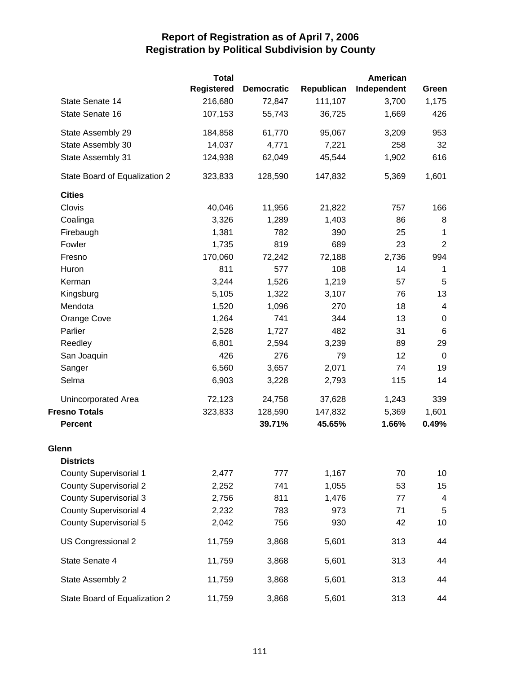|                               | <b>Total</b>      |                   |            | American    |                 |
|-------------------------------|-------------------|-------------------|------------|-------------|-----------------|
|                               | <b>Registered</b> | <b>Democratic</b> | Republican | Independent | Green           |
| State Senate 14               | 216,680           | 72,847            | 111,107    | 3,700       | 1,175           |
| State Senate 16               | 107,153           | 55,743            | 36,725     | 1,669       | 426             |
| State Assembly 29             | 184,858           | 61,770            | 95,067     | 3,209       | 953             |
| State Assembly 30             | 14,037            | 4,771             | 7,221      | 258         | 32              |
| State Assembly 31             | 124,938           | 62,049            | 45,544     | 1,902       | 616             |
| State Board of Equalization 2 | 323,833           | 128,590           | 147,832    | 5,369       | 1,601           |
| <b>Cities</b>                 |                   |                   |            |             |                 |
| Clovis                        | 40,046            | 11,956            | 21,822     | 757         | 166             |
| Coalinga                      | 3,326             | 1,289             | 1,403      | 86          | 8               |
| Firebaugh                     | 1,381             | 782               | 390        | 25          | $\mathbf{1}$    |
| Fowler                        | 1,735             | 819               | 689        | 23          | $\overline{2}$  |
| Fresno                        | 170,060           | 72,242            | 72,188     | 2,736       | 994             |
| Huron                         | 811               | 577               | 108        | 14          | $\mathbf 1$     |
| Kerman                        | 3,244             | 1,526             | 1,219      | 57          | 5               |
| Kingsburg                     | 5,105             | 1,322             | 3,107      | 76          | 13              |
| Mendota                       | 1,520             | 1,096             | 270        | 18          | $\overline{4}$  |
| Orange Cove                   | 1,264             | 741               | 344        | 13          | $\mathbf 0$     |
| Parlier                       | 2,528             | 1,727             | 482        | 31          | $6\phantom{1}6$ |
| Reedley                       | 6,801             | 2,594             | 3,239      | 89          | 29              |
| San Joaquin                   | 426               | 276               | 79         | 12          | $\mathbf 0$     |
| Sanger                        | 6,560             | 3,657             | 2,071      | 74          | 19              |
| Selma                         | 6,903             | 3,228             | 2,793      | 115         | 14              |
| Unincorporated Area           | 72,123            | 24,758            | 37,628     | 1,243       | 339             |
| <b>Fresno Totals</b>          | 323,833           | 128,590           | 147,832    | 5,369       | 1,601           |
| <b>Percent</b>                |                   | 39.71%            | 45.65%     | 1.66%       | 0.49%           |
| Glenn                         |                   |                   |            |             |                 |
| <b>Districts</b>              |                   |                   |            |             |                 |
| <b>County Supervisorial 1</b> | 2,477             | 777               | 1,167      | 70          | 10              |
| <b>County Supervisorial 2</b> | 2,252             | 741               | 1,055      | 53          | 15              |
| <b>County Supervisorial 3</b> | 2,756             | 811               | 1,476      | 77          | 4               |
| <b>County Supervisorial 4</b> | 2,232             | 783               | 973        | 71          | 5               |
| <b>County Supervisorial 5</b> | 2,042             | 756               | 930        | 42          | 10              |
| US Congressional 2            | 11,759            | 3,868             | 5,601      | 313         | 44              |
| State Senate 4                | 11,759            | 3,868             | 5,601      | 313         | 44              |
| State Assembly 2              | 11,759            | 3,868             | 5,601      | 313         | 44              |
| State Board of Equalization 2 | 11,759            | 3,868             | 5,601      | 313         | 44              |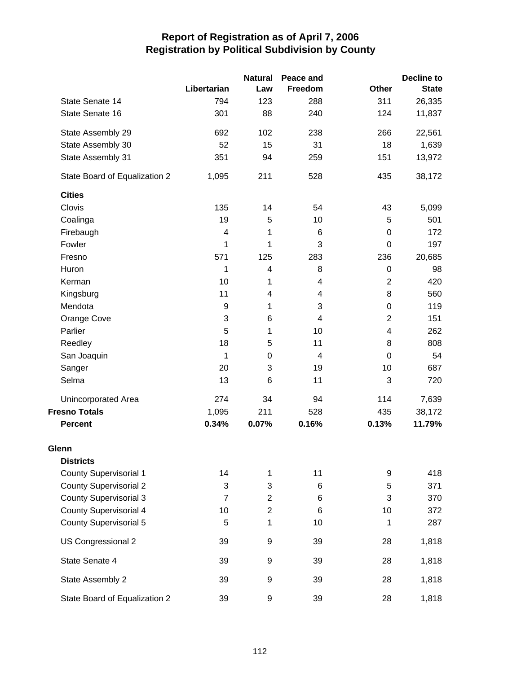|                               |                  | <b>Natural</b>          | Peace and                 |                         | <b>Decline to</b> |
|-------------------------------|------------------|-------------------------|---------------------------|-------------------------|-------------------|
|                               | Libertarian      | Law                     | Freedom                   | <b>Other</b>            | <b>State</b>      |
| State Senate 14               | 794              | 123                     | 288                       | 311                     | 26,335            |
| State Senate 16               | 301              | 88                      | 240                       | 124                     | 11,837            |
| State Assembly 29             | 692              | 102                     | 238                       | 266                     | 22,561            |
| State Assembly 30             | 52               | 15                      | 31                        | 18                      | 1,639             |
| State Assembly 31             | 351              | 94                      | 259                       | 151                     | 13,972            |
| State Board of Equalization 2 | 1,095            | 211                     | 528                       | 435                     | 38,172            |
| <b>Cities</b>                 |                  |                         |                           |                         |                   |
| Clovis                        | 135              | 14                      | 54                        | 43                      | 5,099             |
| Coalinga                      | 19               | 5                       | 10                        | 5                       | 501               |
| Firebaugh                     | 4                | 1                       | 6                         | $\mathbf 0$             | 172               |
| Fowler                        | 1                | 1                       | 3                         | $\mathbf 0$             | 197               |
| Fresno                        | 571              | 125                     | 283                       | 236                     | 20,685            |
| Huron                         | 1                | 4                       | 8                         | $\boldsymbol{0}$        | 98                |
| Kerman                        | 10               | 1                       | 4                         | $\overline{2}$          | 420               |
| Kingsburg                     | 11               | $\overline{\mathbf{4}}$ | 4                         | 8                       | 560               |
| Mendota                       | $\boldsymbol{9}$ | 1                       | $\ensuremath{\mathsf{3}}$ | $\boldsymbol{0}$        | 119               |
| Orange Cove                   | 3                | 6                       | $\overline{4}$            | $\overline{2}$          | 151               |
| Parlier                       | 5                | 1                       | 10                        | $\overline{\mathbf{4}}$ | 262               |
| Reedley                       | 18               | 5                       | 11                        | 8                       | 808               |
| San Joaquin                   | 1                | $\boldsymbol{0}$        | 4                         | $\mathbf 0$             | 54                |
| Sanger                        | 20               | 3                       | 19                        | 10                      | 687               |
| Selma                         | 13               | 6                       | 11                        | 3                       | 720               |
| Unincorporated Area           | 274              | 34                      | 94                        | 114                     | 7,639             |
| <b>Fresno Totals</b>          | 1,095            | 211                     | 528                       | 435                     | 38,172            |
| <b>Percent</b>                | 0.34%            | 0.07%                   | 0.16%                     | 0.13%                   | 11.79%            |
| Glenn                         |                  |                         |                           |                         |                   |
| <b>Districts</b>              |                  |                         |                           |                         |                   |
| <b>County Supervisorial 1</b> | 14               | 1                       | 11                        | 9                       | 418               |
| <b>County Supervisorial 2</b> | 3                | 3                       | 6                         | 5                       | 371               |
| <b>County Supervisorial 3</b> | $\overline{7}$   | $\overline{c}$          | 6                         | 3                       | 370               |
| <b>County Supervisorial 4</b> | 10               | $\overline{2}$          | 6                         | 10                      | 372               |
| <b>County Supervisorial 5</b> | 5                | 1                       | 10                        | 1                       | 287               |
| US Congressional 2            | 39               | 9                       | 39                        | 28                      | 1,818             |
| State Senate 4                | 39               | 9                       | 39                        | 28                      | 1,818             |
| State Assembly 2              | 39               | 9                       | 39                        | 28                      | 1,818             |
| State Board of Equalization 2 | 39               | 9                       | 39                        | 28                      | 1,818             |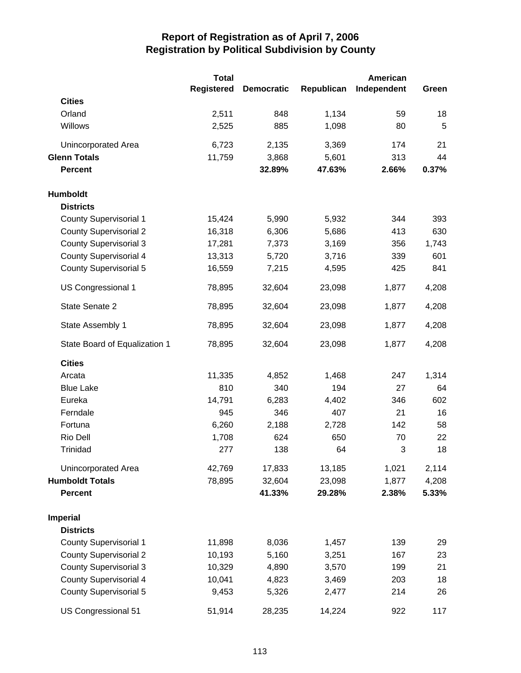|                               | <b>Total</b>      |                   |            | <b>American</b> |       |
|-------------------------------|-------------------|-------------------|------------|-----------------|-------|
|                               | <b>Registered</b> | <b>Democratic</b> | Republican | Independent     | Green |
| <b>Cities</b>                 |                   |                   |            |                 |       |
| Orland                        | 2,511             | 848               | 1,134      | 59              | 18    |
| Willows                       | 2,525             | 885               | 1,098      | 80              | 5     |
| Unincorporated Area           | 6,723             | 2,135             | 3,369      | 174             | 21    |
| <b>Glenn Totals</b>           | 11,759            | 3,868             | 5,601      | 313             | 44    |
| <b>Percent</b>                |                   | 32.89%            | 47.63%     | 2.66%           | 0.37% |
| <b>Humboldt</b>               |                   |                   |            |                 |       |
| <b>Districts</b>              |                   |                   |            |                 |       |
| <b>County Supervisorial 1</b> | 15,424            | 5,990             | 5,932      | 344             | 393   |
| <b>County Supervisorial 2</b> | 16,318            | 6,306             | 5,686      | 413             | 630   |
| <b>County Supervisorial 3</b> | 17,281            | 7,373             | 3,169      | 356             | 1,743 |
| <b>County Supervisorial 4</b> | 13,313            | 5,720             | 3,716      | 339             | 601   |
| <b>County Supervisorial 5</b> | 16,559            | 7,215             | 4,595      | 425             | 841   |
| US Congressional 1            | 78,895            | 32,604            | 23,098     | 1,877           | 4,208 |
| State Senate 2                | 78,895            | 32,604            | 23,098     | 1,877           | 4,208 |
| State Assembly 1              | 78,895            | 32,604            | 23,098     | 1,877           | 4,208 |
| State Board of Equalization 1 | 78,895            | 32,604            | 23,098     | 1,877           | 4,208 |
| <b>Cities</b>                 |                   |                   |            |                 |       |
| Arcata                        | 11,335            | 4,852             | 1,468      | 247             | 1,314 |
| <b>Blue Lake</b>              | 810               | 340               | 194        | 27              | 64    |
| Eureka                        | 14,791            | 6,283             | 4,402      | 346             | 602   |
| Ferndale                      | 945               | 346               | 407        | 21              | 16    |
| Fortuna                       | 6,260             | 2,188             | 2,728      | 142             | 58    |
| Rio Dell                      | 1,708             | 624               | 650        | 70              | 22    |
| Trinidad                      | 277               | 138               | 64         | 3               | 18    |
| Unincorporated Area           | 42,769            | 17,833            | 13,185     | 1,021           | 2,114 |
| <b>Humboldt Totals</b>        | 78,895            | 32,604            | 23,098     | 1,877           | 4,208 |
| <b>Percent</b>                |                   | 41.33%            | 29.28%     | 2.38%           | 5.33% |
| <b>Imperial</b>               |                   |                   |            |                 |       |
| <b>Districts</b>              |                   |                   |            |                 |       |
| <b>County Supervisorial 1</b> | 11,898            | 8,036             | 1,457      | 139             | 29    |
| <b>County Supervisorial 2</b> | 10,193            | 5,160             | 3,251      | 167             | 23    |
| <b>County Supervisorial 3</b> | 10,329            | 4,890             | 3,570      | 199             | 21    |
| <b>County Supervisorial 4</b> | 10,041            | 4,823             | 3,469      | 203             | 18    |
| <b>County Supervisorial 5</b> | 9,453             | 5,326             | 2,477      | 214             | 26    |
| US Congressional 51           | 51,914            | 28,235            | 14,224     | 922             | 117   |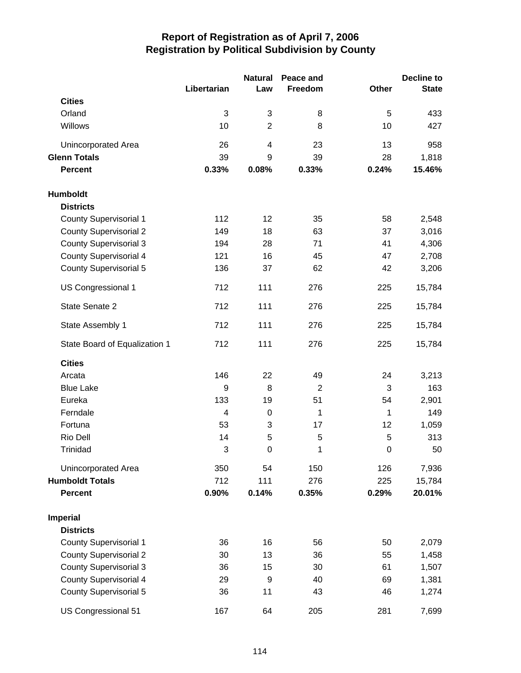|                               |                | <b>Natural</b>          | Peace and      |              | Decline to   |
|-------------------------------|----------------|-------------------------|----------------|--------------|--------------|
|                               | Libertarian    | Law                     | Freedom        | <b>Other</b> | <b>State</b> |
| <b>Cities</b>                 |                |                         |                |              |              |
| Orland                        | 3              | 3                       | 8              | 5            | 433          |
| Willows                       | 10             | $\overline{2}$          | 8              | 10           | 427          |
| Unincorporated Area           | 26             | $\overline{\mathbf{4}}$ | 23             | 13           | 958          |
| <b>Glenn Totals</b>           | 39             | 9                       | 39             | 28           | 1,818        |
| <b>Percent</b>                | 0.33%          | 0.08%                   | 0.33%          | 0.24%        | 15.46%       |
| Humboldt                      |                |                         |                |              |              |
| <b>Districts</b>              |                |                         |                |              |              |
| County Supervisorial 1        | 112            | 12                      | 35             | 58           | 2,548        |
| <b>County Supervisorial 2</b> | 149            | 18                      | 63             | 37           | 3,016        |
| <b>County Supervisorial 3</b> | 194            | 28                      | 71             | 41           | 4,306        |
| <b>County Supervisorial 4</b> | 121            | 16                      | 45             | 47           | 2,708        |
| <b>County Supervisorial 5</b> | 136            | 37                      | 62             | 42           | 3,206        |
| US Congressional 1            | 712            | 111                     | 276            | 225          | 15,784       |
| State Senate 2                | 712            | 111                     | 276            | 225          | 15,784       |
| State Assembly 1              | 712            | 111                     | 276            | 225          | 15,784       |
| State Board of Equalization 1 | 712            | 111                     | 276            | 225          | 15,784       |
| <b>Cities</b>                 |                |                         |                |              |              |
| Arcata                        | 146            | 22                      | 49             | 24           | 3,213        |
| <b>Blue Lake</b>              | 9              | 8                       | $\overline{2}$ | 3            | 163          |
| Eureka                        | 133            | 19                      | 51             | 54           | 2,901        |
| Ferndale                      | $\overline{4}$ | $\mathbf 0$             | 1              | 1            | 149          |
| Fortuna                       | 53             | 3                       | 17             | 12           | 1,059        |
| Rio Dell                      | 14             | 5                       | 5              | 5            | 313          |
| Trinidad                      | 3              | $\mathbf 0$             | 1              | $\mathbf 0$  | 50           |
| Unincorporated Area           | 350            | 54                      | 150            | 126          | 7,936        |
| <b>Humboldt Totals</b>        | 712            | 111                     | 276            | 225          | 15,784       |
| <b>Percent</b>                | 0.90%          | 0.14%                   | 0.35%          | 0.29%        | 20.01%       |
| <b>Imperial</b>               |                |                         |                |              |              |
| <b>Districts</b>              |                |                         |                |              |              |
| County Supervisorial 1        | 36             | 16                      | 56             | 50           | 2,079        |
| <b>County Supervisorial 2</b> | 30             | 13                      | 36             | 55           | 1,458        |
| <b>County Supervisorial 3</b> | 36             | 15                      | 30             | 61           | 1,507        |
| <b>County Supervisorial 4</b> | 29             | 9                       | 40             | 69           | 1,381        |
| <b>County Supervisorial 5</b> | 36             | 11                      | 43             | 46           | 1,274        |
| US Congressional 51           | 167            | 64                      | 205            | 281          | 7,699        |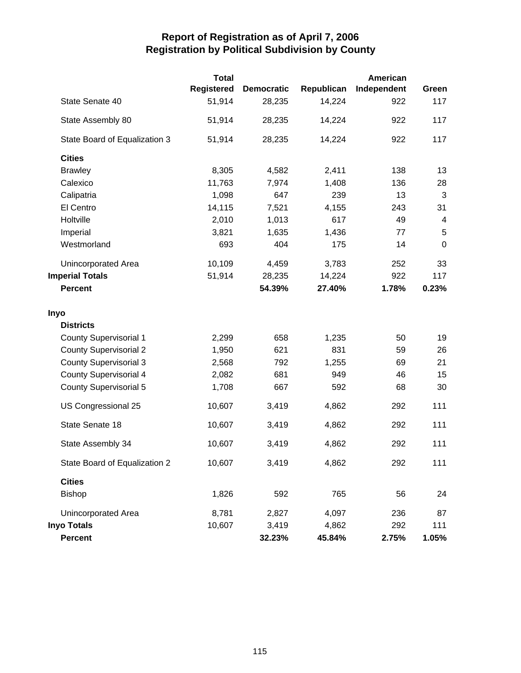|                               | <b>Total</b>      |                   |            | American    |             |
|-------------------------------|-------------------|-------------------|------------|-------------|-------------|
|                               | <b>Registered</b> | <b>Democratic</b> | Republican | Independent | Green       |
| State Senate 40               | 51,914            | 28,235            | 14,224     | 922         | 117         |
| State Assembly 80             | 51,914            | 28,235            | 14,224     | 922         | 117         |
| State Board of Equalization 3 | 51,914            | 28,235            | 14,224     | 922         | 117         |
| <b>Cities</b>                 |                   |                   |            |             |             |
| <b>Brawley</b>                | 8,305             | 4,582             | 2,411      | 138         | 13          |
| Calexico                      | 11,763            | 7,974             | 1,408      | 136         | 28          |
| Calipatria                    | 1,098             | 647               | 239        | 13          | 3           |
| El Centro                     | 14,115            | 7,521             | 4,155      | 243         | 31          |
| Holtville                     | 2,010             | 1,013             | 617        | 49          | 4           |
| Imperial                      | 3,821             | 1,635             | 1,436      | 77          | 5           |
| Westmorland                   | 693               | 404               | 175        | 14          | $\mathbf 0$ |
| Unincorporated Area           | 10,109            | 4,459             | 3,783      | 252         | 33          |
| <b>Imperial Totals</b>        | 51,914            | 28,235            | 14,224     | 922         | 117         |
| <b>Percent</b>                |                   | 54.39%            | 27.40%     | 1.78%       | 0.23%       |
| Inyo                          |                   |                   |            |             |             |
| <b>Districts</b>              |                   |                   |            |             |             |
| <b>County Supervisorial 1</b> | 2,299             | 658               | 1,235      | 50          | 19          |
| <b>County Supervisorial 2</b> | 1,950             | 621               | 831        | 59          | 26          |
| <b>County Supervisorial 3</b> | 2,568             | 792               | 1,255      | 69          | 21          |
| <b>County Supervisorial 4</b> | 2,082             | 681               | 949        | 46          | 15          |
| <b>County Supervisorial 5</b> | 1,708             | 667               | 592        | 68          | 30          |
| US Congressional 25           | 10,607            | 3,419             | 4,862      | 292         | 111         |
| State Senate 18               | 10,607            | 3,419             | 4,862      | 292         | 111         |
| State Assembly 34             | 10,607            | 3,419             | 4,862      | 292         | 111         |
| State Board of Equalization 2 | 10,607            | 3,419             | 4,862      | 292         | 111         |
| <b>Cities</b>                 |                   |                   |            |             |             |
| <b>Bishop</b>                 | 1,826             | 592               | 765        | 56          | 24          |
| Unincorporated Area           | 8,781             | 2,827             | 4,097      | 236         | 87          |
| <b>Inyo Totals</b>            | 10,607            | 3,419             | 4,862      | 292         | 111         |
| Percent                       |                   | 32.23%            | 45.84%     | 2.75%       | 1.05%       |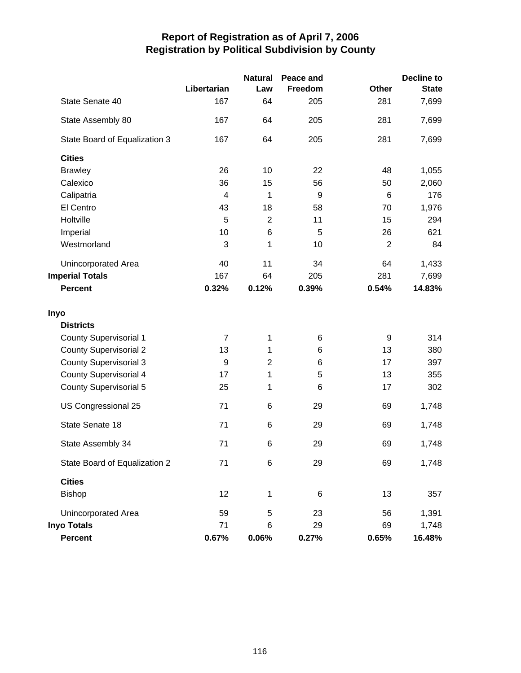|                               |                  | <b>Natural</b> | Peace and |                | <b>Decline to</b> |
|-------------------------------|------------------|----------------|-----------|----------------|-------------------|
|                               | Libertarian      | Law            | Freedom   | <b>Other</b>   | <b>State</b>      |
| State Senate 40               | 167              | 64             | 205       | 281            | 7,699             |
| State Assembly 80             | 167              | 64             | 205       | 281            | 7,699             |
| State Board of Equalization 3 | 167              | 64             | 205       | 281            | 7,699             |
| <b>Cities</b>                 |                  |                |           |                |                   |
| <b>Brawley</b>                | 26               | 10             | 22        | 48             | 1,055             |
| Calexico                      | 36               | 15             | 56        | 50             | 2,060             |
| Calipatria                    | $\overline{4}$   | 1              | 9         | 6              | 176               |
| El Centro                     | 43               | 18             | 58        | 70             | 1,976             |
| Holtville                     | 5                | $\overline{2}$ | 11        | 15             | 294               |
| Imperial                      | 10               | 6              | 5         | 26             | 621               |
| Westmorland                   | 3                | 1              | 10        | $\overline{2}$ | 84                |
| Unincorporated Area           | 40               | 11             | 34        | 64             | 1,433             |
| <b>Imperial Totals</b>        | 167              | 64             | 205       | 281            | 7,699             |
| <b>Percent</b>                | 0.32%            | 0.12%          | 0.39%     | 0.54%          | 14.83%            |
| Inyo                          |                  |                |           |                |                   |
| <b>Districts</b>              |                  |                |           |                |                   |
| <b>County Supervisorial 1</b> | $\overline{7}$   | 1              | $\,6$     | 9              | 314               |
| <b>County Supervisorial 2</b> | 13               | 1              | 6         | 13             | 380               |
| <b>County Supervisorial 3</b> | $\boldsymbol{9}$ | $\overline{c}$ | 6         | 17             | 397               |
| <b>County Supervisorial 4</b> | 17               | 1              | 5         | 13             | 355               |
| <b>County Supervisorial 5</b> | 25               | 1              | 6         | 17             | 302               |
| US Congressional 25           | 71               | 6              | 29        | 69             | 1,748             |
| State Senate 18               | 71               | 6              | 29        | 69             | 1,748             |
| State Assembly 34             | 71               | 6              | 29        | 69             | 1,748             |
| State Board of Equalization 2 | 71               | 6              | 29        | 69             | 1,748             |
| <b>Cities</b>                 |                  |                |           |                |                   |
| Bishop                        | 12               | 1              | 6         | 13             | 357               |
| Unincorporated Area           | 59               | 5              | 23        | 56             | 1,391             |
| <b>Inyo Totals</b>            | 71               | 6              | 29        | 69             | 1,748             |
| <b>Percent</b>                | 0.67%            | 0.06%          | 0.27%     | 0.65%          | 16.48%            |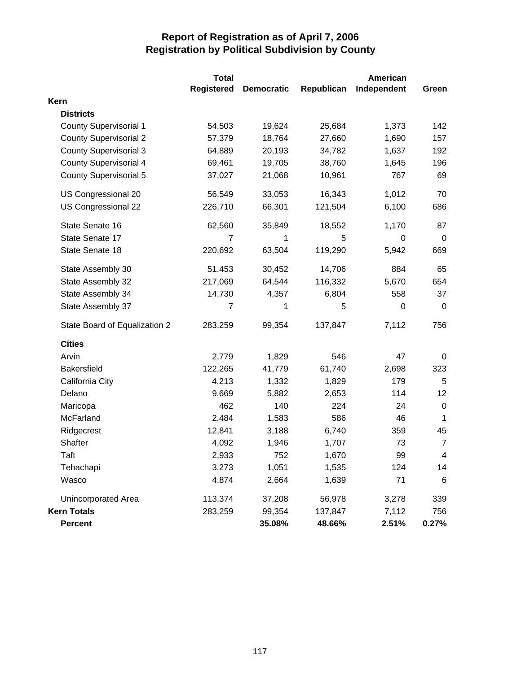|                               | <b>Total</b>      |                   |            | <b>American</b>  |                |
|-------------------------------|-------------------|-------------------|------------|------------------|----------------|
|                               | <b>Registered</b> | <b>Democratic</b> | Republican | Independent      | Green          |
| Kern                          |                   |                   |            |                  |                |
| <b>Districts</b>              |                   |                   |            |                  |                |
| <b>County Supervisorial 1</b> | 54,503            | 19,624            | 25,684     | 1,373            | 142            |
| <b>County Supervisorial 2</b> | 57,379            | 18,764            | 27,660     | 1,690            | 157            |
| <b>County Supervisorial 3</b> | 64,889            | 20,193            | 34,782     | 1,637            | 192            |
| <b>County Supervisorial 4</b> | 69,461            | 19,705            | 38,760     | 1,645            | 196            |
| <b>County Supervisorial 5</b> | 37,027            | 21,068            | 10,961     | 767              | 69             |
| US Congressional 20           | 56,549            | 33,053            | 16,343     | 1,012            | 70             |
| US Congressional 22           | 226,710           | 66,301            | 121,504    | 6,100            | 686            |
| State Senate 16               | 62,560            | 35,849            | 18,552     | 1,170            | 87             |
| State Senate 17               | 7                 | 1                 | 5          | $\boldsymbol{0}$ | $\mathbf 0$    |
| State Senate 18               | 220,692           | 63,504            | 119,290    | 5,942            | 669            |
| State Assembly 30             | 51,453            | 30,452            | 14,706     | 884              | 65             |
| State Assembly 32             | 217,069           | 64,544            | 116,332    | 5,670            | 654            |
| State Assembly 34             | 14,730            | 4,357             | 6,804      | 558              | 37             |
| State Assembly 37             | $\overline{7}$    | 1                 | 5          | $\boldsymbol{0}$ | $\mathbf 0$    |
| State Board of Equalization 2 | 283,259           | 99,354            | 137,847    | 7,112            | 756            |
| <b>Cities</b>                 |                   |                   |            |                  |                |
| Arvin                         | 2,779             | 1,829             | 546        | 47               | 0              |
| <b>Bakersfield</b>            | 122,265           | 41,779            | 61,740     | 2,698            | 323            |
| California City               | 4,213             | 1,332             | 1,829      | 179              | 5              |
| Delano                        | 9,669             | 5,882             | 2,653      | 114              | 12             |
| Maricopa                      | 462               | 140               | 224        | 24               | $\mathbf 0$    |
| McFarland                     | 2,484             | 1,583             | 586        | 46               | 1              |
| Ridgecrest                    | 12,841            | 3,188             | 6,740      | 359              | 45             |
| Shafter                       | 4,092             | 1,946             | 1,707      | 73               | $\overline{7}$ |
| Taft                          | 2,933             | 752               | 1,670      | 99               | $\overline{4}$ |
| Tehachapi                     | 3,273             | 1,051             | 1,535      | 124              | 14             |
| Wasco                         | 4,874             | 2,664             | 1,639      | 71               | 6              |
| Unincorporated Area           | 113,374           | 37,208            | 56,978     | 3,278            | 339            |
| <b>Kern Totals</b>            | 283,259           | 99,354            | 137,847    | 7,112            | 756            |
| <b>Percent</b>                |                   | 35.08%            | 48.66%     | 2.51%            | 0.27%          |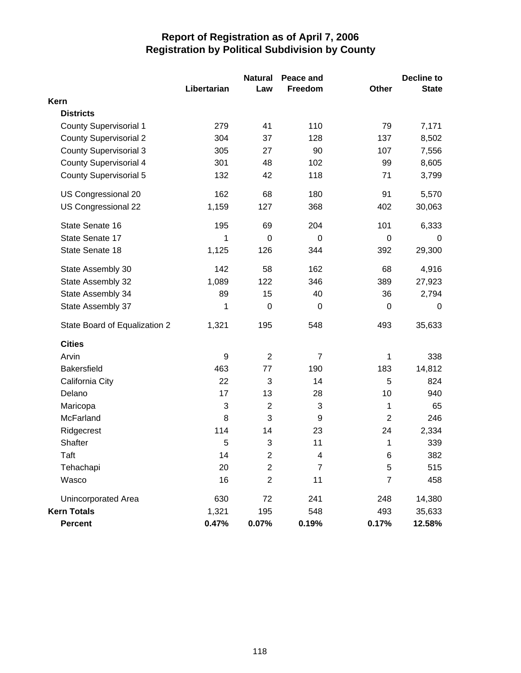|                               |             | <b>Natural</b>          | Peace and      |                | <b>Decline to</b> |
|-------------------------------|-------------|-------------------------|----------------|----------------|-------------------|
|                               | Libertarian | Law                     | Freedom        | Other          | <b>State</b>      |
| Kern                          |             |                         |                |                |                   |
| <b>Districts</b>              |             |                         |                |                |                   |
| <b>County Supervisorial 1</b> | 279         | 41                      | 110            | 79             | 7,171             |
| <b>County Supervisorial 2</b> | 304         | 37                      | 128            | 137            | 8,502             |
| <b>County Supervisorial 3</b> | 305         | 27                      | 90             | 107            | 7,556             |
| <b>County Supervisorial 4</b> | 301         | 48                      | 102            | 99             | 8,605             |
| <b>County Supervisorial 5</b> | 132         | 42                      | 118            | 71             | 3,799             |
| US Congressional 20           | 162         | 68                      | 180            | 91             | 5,570             |
| US Congressional 22           | 1,159       | 127                     | 368            | 402            | 30,063            |
| State Senate 16               | 195         | 69                      | 204            | 101            | 6,333             |
| State Senate 17               | 1           | $\mathbf 0$             | $\mathbf 0$    | $\mathbf 0$    | 0                 |
| State Senate 18               | 1,125       | 126                     | 344            | 392            | 29,300            |
| State Assembly 30             | 142         | 58                      | 162            | 68             | 4,916             |
| State Assembly 32             | 1,089       | 122                     | 346            | 389            | 27,923            |
| State Assembly 34             | 89          | 15                      | 40             | 36             | 2,794             |
| State Assembly 37             | 1           | $\mathbf 0$             | $\mathbf 0$    | 0              | 0                 |
| State Board of Equalization 2 | 1,321       | 195                     | 548            | 493            | 35,633            |
| <b>Cities</b>                 |             |                         |                |                |                   |
| Arvin                         | 9           | $\overline{2}$          | $\overline{7}$ | 1              | 338               |
| <b>Bakersfield</b>            | 463         | 77                      | 190            | 183            | 14,812            |
| California City               | 22          | 3                       | 14             | 5              | 824               |
| Delano                        | 17          | 13                      | 28             | 10             | 940               |
| Maricopa                      | 3           | $\overline{2}$          | 3              | 1              | 65                |
| McFarland                     | 8           | 3                       | 9              | $\overline{2}$ | 246               |
| Ridgecrest                    | 114         | 14                      | 23             | 24             | 2,334             |
| Shafter                       | 5           | 3                       | 11             | 1              | 339               |
| Taft                          | 14          | $\overline{\mathbf{c}}$ | 4              | 6              | 382               |
| Tehachapi                     | 20          | $\overline{c}$          | $\overline{7}$ | 5              | 515               |
| Wasco                         | 16          | $\overline{2}$          | 11             | $\overline{7}$ | 458               |
| <b>Unincorporated Area</b>    | 630         | 72                      | 241            | 248            | 14,380            |
| <b>Kern Totals</b>            | 1,321       | 195                     | 548            | 493            | 35,633            |
| Percent                       | 0.47%       | 0.07%                   | 0.19%          | 0.17%          | 12.58%            |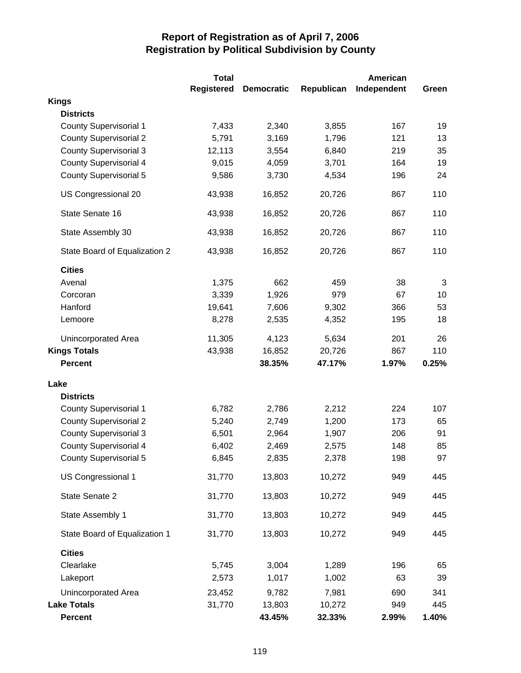|                               | <b>Total</b>      |                   |            | <b>American</b> |       |
|-------------------------------|-------------------|-------------------|------------|-----------------|-------|
|                               | <b>Registered</b> | <b>Democratic</b> | Republican | Independent     | Green |
| <b>Kings</b>                  |                   |                   |            |                 |       |
| <b>Districts</b>              |                   |                   |            |                 |       |
| <b>County Supervisorial 1</b> | 7,433             | 2,340             | 3,855      | 167             | 19    |
| <b>County Supervisorial 2</b> | 5,791             | 3,169             | 1,796      | 121             | 13    |
| <b>County Supervisorial 3</b> | 12,113            | 3,554             | 6,840      | 219             | 35    |
| <b>County Supervisorial 4</b> | 9,015             | 4,059             | 3,701      | 164             | 19    |
| <b>County Supervisorial 5</b> | 9,586             | 3,730             | 4,534      | 196             | 24    |
| US Congressional 20           | 43,938            | 16,852            | 20,726     | 867             | 110   |
| State Senate 16               | 43,938            | 16,852            | 20,726     | 867             | 110   |
| State Assembly 30             | 43,938            | 16,852            | 20,726     | 867             | 110   |
| State Board of Equalization 2 | 43,938            | 16,852            | 20,726     | 867             | 110   |
| <b>Cities</b>                 |                   |                   |            |                 |       |
| Avenal                        | 1,375             | 662               | 459        | 38              | 3     |
| Corcoran                      | 3,339             | 1,926             | 979        | 67              | 10    |
| Hanford                       | 19,641            | 7,606             | 9,302      | 366             | 53    |
| Lemoore                       | 8,278             | 2,535             | 4,352      | 195             | 18    |
| Unincorporated Area           | 11,305            | 4,123             | 5,634      | 201             | 26    |
| <b>Kings Totals</b>           | 43,938            | 16,852            | 20,726     | 867             | 110   |
| <b>Percent</b>                |                   | 38.35%            | 47.17%     | 1.97%           | 0.25% |
| Lake                          |                   |                   |            |                 |       |
| <b>Districts</b>              |                   |                   |            |                 |       |
| <b>County Supervisorial 1</b> | 6,782             | 2,786             | 2,212      | 224             | 107   |
| <b>County Supervisorial 2</b> | 5,240             | 2,749             | 1,200      | 173             | 65    |
| <b>County Supervisorial 3</b> | 6,501             | 2,964             | 1,907      | 206             | 91    |
| <b>County Supervisorial 4</b> | 6,402             | 2,469             | 2,575      | 148             | 85    |
| <b>County Supervisorial 5</b> | 6,845             | 2,835             | 2,378      | 198             | 97    |
| US Congressional 1            | 31,770            | 13,803            | 10,272     | 949             | 445   |
| State Senate 2                | 31,770            | 13,803            | 10,272     | 949             | 445   |
| State Assembly 1              | 31,770            | 13,803            | 10,272     | 949             | 445   |
| State Board of Equalization 1 | 31,770            | 13,803            | 10,272     | 949             | 445   |
| <b>Cities</b>                 |                   |                   |            |                 |       |
| Clearlake                     | 5,745             | 3,004             | 1,289      | 196             | 65    |
| Lakeport                      | 2,573             | 1,017             | 1,002      | 63              | 39    |
| Unincorporated Area           | 23,452            | 9,782             | 7,981      | 690             | 341   |
| <b>Lake Totals</b>            | 31,770            | 13,803            | 10,272     | 949             | 445   |
| <b>Percent</b>                |                   | 43.45%            | 32.33%     | 2.99%           | 1.40% |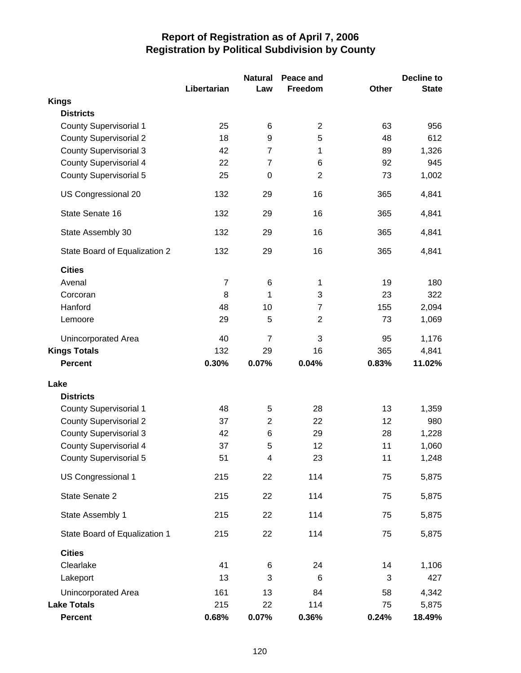|                               |                | <b>Natural</b> | Peace and      |              | Decline to   |
|-------------------------------|----------------|----------------|----------------|--------------|--------------|
|                               | Libertarian    | Law            | Freedom        | <b>Other</b> | <b>State</b> |
| <b>Kings</b>                  |                |                |                |              |              |
| <b>Districts</b>              |                |                |                |              |              |
| <b>County Supervisorial 1</b> | 25             | 6              | $\overline{2}$ | 63           | 956          |
| <b>County Supervisorial 2</b> | 18             | 9              | 5              | 48           | 612          |
| <b>County Supervisorial 3</b> | 42             | $\overline{7}$ | 1              | 89           | 1,326        |
| <b>County Supervisorial 4</b> | 22             | $\overline{7}$ | 6              | 92           | 945          |
| <b>County Supervisorial 5</b> | 25             | 0              | $\overline{2}$ | 73           | 1,002        |
| US Congressional 20           | 132            | 29             | 16             | 365          | 4,841        |
| State Senate 16               | 132            | 29             | 16             | 365          | 4,841        |
| State Assembly 30             | 132            | 29             | 16             | 365          | 4,841        |
| State Board of Equalization 2 | 132            | 29             | 16             | 365          | 4,841        |
| <b>Cities</b>                 |                |                |                |              |              |
| Avenal                        | $\overline{7}$ | 6              | $\mathbf{1}$   | 19           | 180          |
| Corcoran                      | 8              | 1              | 3              | 23           | 322          |
| Hanford                       | 48             | 10             | $\overline{7}$ | 155          | 2,094        |
| Lemoore                       | 29             | 5              | $\overline{2}$ | 73           | 1,069        |
| <b>Unincorporated Area</b>    | 40             | $\overline{7}$ | 3              | 95           | 1,176        |
| <b>Kings Totals</b>           | 132            | 29             | 16             | 365          | 4,841        |
| <b>Percent</b>                | 0.30%          | 0.07%          | 0.04%          | 0.83%        | 11.02%       |
| Lake                          |                |                |                |              |              |
| <b>Districts</b>              |                |                |                |              |              |
| County Supervisorial 1        | 48             | 5              | 28             | 13           | 1,359        |
| <b>County Supervisorial 2</b> | 37             | $\overline{2}$ | 22             | 12           | 980          |
| <b>County Supervisorial 3</b> | 42             | 6              | 29             | 28           | 1,228        |
| <b>County Supervisorial 4</b> | 37             | 5              | 12             | 11           | 1,060        |
| <b>County Supervisorial 5</b> | 51             | 4              | 23             | 11           | 1,248        |
| US Congressional 1            | 215            | 22             | 114            | 75           | 5,875        |
| State Senate 2                | 215            | 22             | 114            | 75           | 5,875        |
| State Assembly 1              | 215            | 22             | 114            | 75           | 5,875        |
| State Board of Equalization 1 | 215            | 22             | 114            | 75           | 5,875        |
| <b>Cities</b>                 |                |                |                |              |              |
| Clearlake                     | 41             | 6              | 24             | 14           | 1,106        |
| Lakeport                      | 13             | 3              | 6              | 3            | 427          |
| Unincorporated Area           | 161            | 13             | 84             | 58           | 4,342        |
| <b>Lake Totals</b>            | 215            | 22             | 114            | 75           | 5,875        |
| <b>Percent</b>                | 0.68%          | 0.07%          | 0.36%          | 0.24%        | 18.49%       |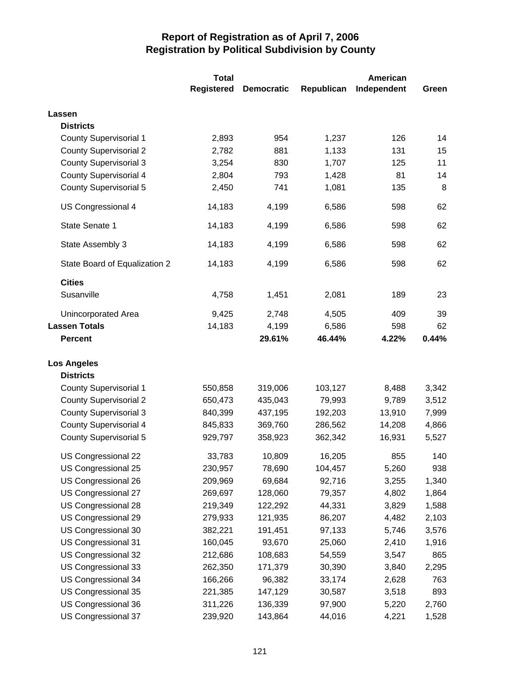|                               | <b>Total</b>      | American          |            |             |       |
|-------------------------------|-------------------|-------------------|------------|-------------|-------|
|                               | <b>Registered</b> | <b>Democratic</b> | Republican | Independent | Green |
| Lassen                        |                   |                   |            |             |       |
| <b>Districts</b>              |                   |                   |            |             |       |
| <b>County Supervisorial 1</b> | 2,893             | 954               | 1,237      | 126         | 14    |
| <b>County Supervisorial 2</b> | 2,782             | 881               | 1,133      | 131         | 15    |
| <b>County Supervisorial 3</b> | 3,254             | 830               | 1,707      | 125         | 11    |
| <b>County Supervisorial 4</b> | 2,804             | 793               | 1,428      | 81          | 14    |
| <b>County Supervisorial 5</b> | 2,450             | 741               | 1,081      | 135         | 8     |
| US Congressional 4            | 14,183            | 4,199             | 6,586      | 598         | 62    |
| State Senate 1                | 14,183            | 4,199             | 6,586      | 598         | 62    |
| State Assembly 3              | 14,183            | 4,199             | 6,586      | 598         | 62    |
| State Board of Equalization 2 | 14,183            | 4,199             | 6,586      | 598         | 62    |
| <b>Cities</b>                 |                   |                   |            |             |       |
| Susanville                    | 4,758             | 1,451             | 2,081      | 189         | 23    |
| Unincorporated Area           | 9,425             | 2,748             | 4,505      | 409         | 39    |
| <b>Lassen Totals</b>          | 14,183            | 4,199             | 6,586      | 598         | 62    |
| <b>Percent</b>                |                   | 29.61%            | 46.44%     | 4.22%       | 0.44% |
| <b>Los Angeles</b>            |                   |                   |            |             |       |
| <b>Districts</b>              |                   |                   |            |             |       |
| <b>County Supervisorial 1</b> | 550,858           | 319,006           | 103,127    | 8,488       | 3,342 |
| <b>County Supervisorial 2</b> | 650,473           | 435,043           | 79,993     | 9,789       | 3,512 |
| <b>County Supervisorial 3</b> | 840,399           | 437,195           | 192,203    | 13,910      | 7,999 |
| <b>County Supervisorial 4</b> | 845,833           | 369,760           | 286,562    | 14,208      | 4,866 |
| <b>County Supervisorial 5</b> | 929,797           | 358,923           | 362,342    | 16,931      | 5,527 |
| US Congressional 22           | 33,783            | 10,809            | 16,205     | 855         | 140   |
| US Congressional 25           | 230,957           | 78,690            | 104,457    | 5,260       | 938   |
| US Congressional 26           | 209,969           | 69,684            | 92,716     | 3,255       | 1,340 |
| US Congressional 27           | 269,697           | 128,060           | 79,357     | 4,802       | 1,864 |
| US Congressional 28           | 219,349           | 122,292           | 44,331     | 3,829       | 1,588 |
| US Congressional 29           | 279,933           | 121,935           | 86,207     | 4,482       | 2,103 |
| US Congressional 30           | 382,221           | 191,451           | 97,133     | 5,746       | 3,576 |
| US Congressional 31           | 160,045           | 93,670            | 25,060     | 2,410       | 1,916 |
| US Congressional 32           | 212,686           | 108,683           | 54,559     | 3,547       | 865   |
| US Congressional 33           | 262,350           | 171,379           | 30,390     | 3,840       | 2,295 |
| US Congressional 34           | 166,266           | 96,382            | 33,174     | 2,628       | 763   |
| US Congressional 35           | 221,385           | 147,129           | 30,587     | 3,518       | 893   |
| US Congressional 36           | 311,226           | 136,339           | 97,900     | 5,220       | 2,760 |
| US Congressional 37           | 239,920           | 143,864           | 44,016     | 4,221       | 1,528 |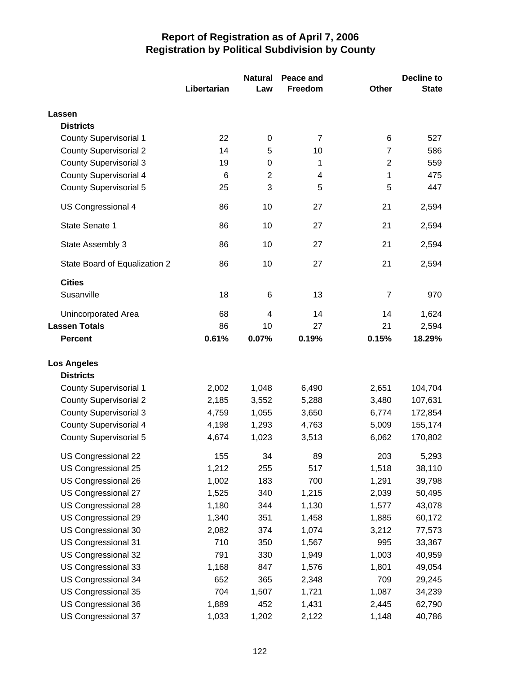|                               |             | <b>Natural</b> | Peace and      |                | Decline to   |  |
|-------------------------------|-------------|----------------|----------------|----------------|--------------|--|
|                               | Libertarian | Law            | Freedom        | <b>Other</b>   | <b>State</b> |  |
| Lassen                        |             |                |                |                |              |  |
| <b>Districts</b>              |             |                |                |                |              |  |
| <b>County Supervisorial 1</b> | 22          | 0              | $\overline{7}$ | 6              | 527          |  |
| <b>County Supervisorial 2</b> | 14          | 5              | 10             | $\overline{7}$ | 586          |  |
| <b>County Supervisorial 3</b> | 19          | $\pmb{0}$      | 1              | $\mathbf 2$    | 559          |  |
| <b>County Supervisorial 4</b> | 6           | $\overline{2}$ | $\overline{4}$ | 1              | 475          |  |
| <b>County Supervisorial 5</b> | 25          | 3              | 5              | 5              | 447          |  |
| US Congressional 4            | 86          | 10             | 27             | 21             | 2,594        |  |
| State Senate 1                | 86          | 10             | 27             | 21             | 2,594        |  |
| State Assembly 3              | 86          | 10             | 27             | 21             | 2,594        |  |
| State Board of Equalization 2 | 86          | 10             | 27             | 21             | 2,594        |  |
| <b>Cities</b>                 |             |                |                |                |              |  |
| Susanville                    | 18          | 6              | 13             | $\overline{7}$ | 970          |  |
| <b>Unincorporated Area</b>    | 68          | 4              | 14             | 14             | 1,624        |  |
| <b>Lassen Totals</b>          | 86          | 10             | 27             | 21             | 2,594        |  |
| <b>Percent</b>                | 0.61%       | 0.07%          | 0.19%          | 0.15%          | 18.29%       |  |
| <b>Los Angeles</b>            |             |                |                |                |              |  |
| <b>Districts</b>              |             |                |                |                |              |  |
| <b>County Supervisorial 1</b> | 2,002       | 1,048          | 6,490          | 2,651          | 104,704      |  |
| <b>County Supervisorial 2</b> | 2,185       | 3,552          | 5,288          | 3,480          | 107,631      |  |
| <b>County Supervisorial 3</b> | 4,759       | 1,055          | 3,650          | 6,774          | 172,854      |  |
| <b>County Supervisorial 4</b> | 4,198       | 1,293          | 4,763          | 5,009          | 155,174      |  |
| <b>County Supervisorial 5</b> | 4,674       | 1,023          | 3,513          | 6,062          | 170,802      |  |
| US Congressional 22           | 155         | 34             | 89             | 203            | 5,293        |  |
| US Congressional 25           | 1,212       | 255            | 517            | 1,518          | 38,110       |  |
| US Congressional 26           | 1,002       | 183            | 700            | 1,291          | 39,798       |  |
| US Congressional 27           | 1,525       | 340            | 1,215          | 2,039          | 50,495       |  |
| US Congressional 28           | 1,180       | 344            | 1,130          | 1,577          | 43,078       |  |
| US Congressional 29           | 1,340       | 351            | 1,458          | 1,885          | 60,172       |  |
| US Congressional 30           | 2,082       | 374            | 1,074          | 3,212          | 77,573       |  |
| US Congressional 31           | 710         | 350            | 1,567          | 995            | 33,367       |  |
| US Congressional 32           | 791         | 330            | 1,949          | 1,003          | 40,959       |  |
| US Congressional 33           | 1,168       | 847            | 1,576          | 1,801          | 49,054       |  |
| US Congressional 34           | 652         | 365            | 2,348          | 709            | 29,245       |  |
| US Congressional 35           | 704         | 1,507          | 1,721          | 1,087          | 34,239       |  |
| US Congressional 36           | 1,889       | 452            | 1,431          | 2,445          | 62,790       |  |
| US Congressional 37           | 1,033       | 1,202          | 2,122          | 1,148          | 40,786       |  |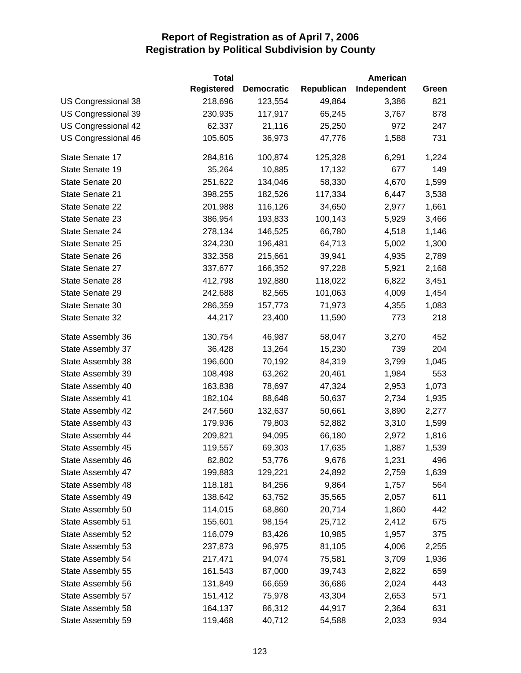|                     | <b>Total</b>      |                   |            | American    |       |
|---------------------|-------------------|-------------------|------------|-------------|-------|
|                     | <b>Registered</b> | <b>Democratic</b> | Republican | Independent | Green |
| US Congressional 38 | 218,696           | 123,554           | 49,864     | 3,386       | 821   |
| US Congressional 39 | 230,935           | 117,917           | 65,245     | 3,767       | 878   |
| US Congressional 42 | 62,337            | 21,116            | 25,250     | 972         | 247   |
| US Congressional 46 | 105,605           | 36,973            | 47,776     | 1,588       | 731   |
| State Senate 17     | 284,816           | 100,874           | 125,328    | 6,291       | 1,224 |
| State Senate 19     | 35,264            | 10,885            | 17,132     | 677         | 149   |
| State Senate 20     | 251,622           | 134,046           | 58,330     | 4,670       | 1,599 |
| State Senate 21     | 398,255           | 182,526           | 117,334    | 6,447       | 3,538 |
| State Senate 22     | 201,988           | 116,126           | 34,650     | 2,977       | 1,661 |
| State Senate 23     | 386,954           | 193,833           | 100,143    | 5,929       | 3,466 |
| State Senate 24     | 278,134           | 146,525           | 66,780     | 4,518       | 1,146 |
| State Senate 25     | 324,230           | 196,481           | 64,713     | 5,002       | 1,300 |
| State Senate 26     | 332,358           | 215,661           | 39,941     | 4,935       | 2,789 |
| State Senate 27     | 337,677           | 166,352           | 97,228     | 5,921       | 2,168 |
| State Senate 28     | 412,798           | 192,880           | 118,022    | 6,822       | 3,451 |
| State Senate 29     | 242,688           | 82,565            | 101,063    | 4,009       | 1,454 |
| State Senate 30     | 286,359           | 157,773           | 71,973     | 4,355       | 1,083 |
| State Senate 32     | 44,217            | 23,400            | 11,590     | 773         | 218   |
| State Assembly 36   | 130,754           | 46,987            | 58,047     | 3,270       | 452   |
| State Assembly 37   | 36,428            | 13,264            | 15,230     | 739         | 204   |
| State Assembly 38   | 196,600           | 70,192            | 84,319     | 3,799       | 1,045 |
| State Assembly 39   | 108,498           | 63,262            | 20,461     | 1,984       | 553   |
| State Assembly 40   | 163,838           | 78,697            | 47,324     | 2,953       | 1,073 |
| State Assembly 41   | 182,104           | 88,648            | 50,637     | 2,734       | 1,935 |
| State Assembly 42   | 247,560           | 132,637           | 50,661     | 3,890       | 2,277 |
| State Assembly 43   | 179,936           | 79,803            | 52,882     | 3,310       | 1,599 |
| State Assembly 44   | 209,821           | 94,095            | 66,180     | 2,972       | 1,816 |
| State Assembly 45   | 119,557           | 69,303            | 17,635     | 1,887       | 1,539 |
| State Assembly 46   | 82,802            | 53,776            | 9,676      | 1,231       | 496   |
| State Assembly 47   | 199,883           | 129,221           | 24,892     | 2,759       | 1,639 |
| State Assembly 48   | 118,181           | 84,256            | 9,864      | 1,757       | 564   |
| State Assembly 49   | 138,642           | 63,752            | 35,565     | 2,057       | 611   |
| State Assembly 50   | 114,015           | 68,860            | 20,714     | 1,860       | 442   |
| State Assembly 51   | 155,601           | 98,154            | 25,712     | 2,412       | 675   |
| State Assembly 52   | 116,079           | 83,426            | 10,985     | 1,957       | 375   |
| State Assembly 53   | 237,873           | 96,975            | 81,105     | 4,006       | 2,255 |
| State Assembly 54   | 217,471           | 94,074            | 75,581     | 3,709       | 1,936 |
| State Assembly 55   | 161,543           | 87,000            | 39,743     | 2,822       | 659   |
| State Assembly 56   | 131,849           | 66,659            | 36,686     | 2,024       | 443   |
| State Assembly 57   | 151,412           | 75,978            | 43,304     | 2,653       | 571   |
| State Assembly 58   | 164,137           | 86,312            | 44,917     | 2,364       | 631   |
| State Assembly 59   | 119,468           | 40,712            | 54,588     | 2,033       | 934   |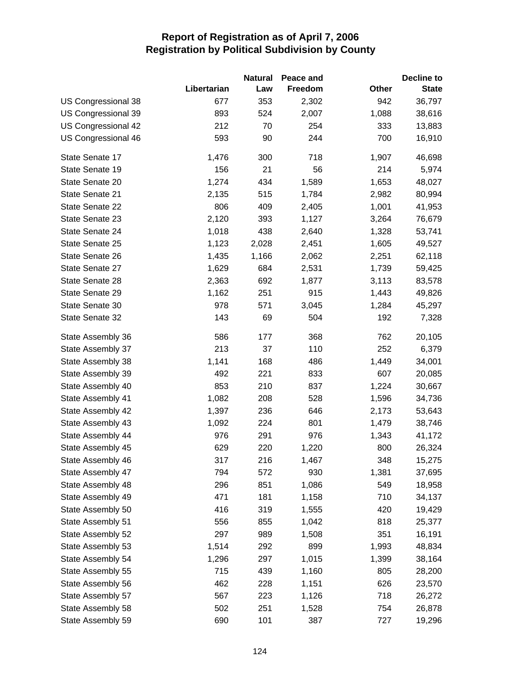|                            |             | <b>Natural</b> | Peace and |       | <b>Decline to</b> |
|----------------------------|-------------|----------------|-----------|-------|-------------------|
|                            | Libertarian | Law            | Freedom   | Other | <b>State</b>      |
| <b>US Congressional 38</b> | 677         | 353            | 2,302     | 942   | 36,797            |
| US Congressional 39        | 893         | 524            | 2,007     | 1,088 | 38,616            |
| US Congressional 42        | 212         | 70             | 254       | 333   | 13,883            |
| US Congressional 46        | 593         | 90             | 244       | 700   | 16,910            |
| State Senate 17            | 1,476       | 300            | 718       | 1,907 | 46,698            |
| State Senate 19            | 156         | 21             | 56        | 214   | 5,974             |
| State Senate 20            | 1,274       | 434            | 1,589     | 1,653 | 48,027            |
| State Senate 21            | 2,135       | 515            | 1,784     | 2,982 | 80,994            |
| State Senate 22            | 806         | 409            | 2,405     | 1,001 | 41,953            |
| State Senate 23            | 2,120       | 393            | 1,127     | 3,264 | 76,679            |
| State Senate 24            | 1,018       | 438            | 2,640     | 1,328 | 53,741            |
| State Senate 25            | 1,123       | 2,028          | 2,451     | 1,605 | 49,527            |
| State Senate 26            | 1,435       | 1,166          | 2,062     | 2,251 | 62,118            |
| State Senate 27            | 1,629       | 684            | 2,531     | 1,739 | 59,425            |
| State Senate 28            | 2,363       | 692            | 1,877     | 3,113 | 83,578            |
| State Senate 29            | 1,162       | 251            | 915       | 1,443 | 49,826            |
| State Senate 30            | 978         | 571            | 3,045     | 1,284 | 45,297            |
| State Senate 32            | 143         | 69             | 504       | 192   | 7,328             |
| State Assembly 36          | 586         | 177            | 368       | 762   | 20,105            |
| State Assembly 37          | 213         | 37             | 110       | 252   | 6,379             |
| State Assembly 38          | 1,141       | 168            | 486       | 1,449 | 34,001            |
| State Assembly 39          | 492         | 221            | 833       | 607   | 20,085            |
| State Assembly 40          | 853         | 210            | 837       | 1,224 | 30,667            |
| State Assembly 41          | 1,082       | 208            | 528       | 1,596 | 34,736            |
| State Assembly 42          | 1,397       | 236            | 646       | 2,173 | 53,643            |
| State Assembly 43          | 1,092       | 224            | 801       | 1,479 | 38,746            |
| State Assembly 44          | 976         | 291            | 976       | 1,343 | 41,172            |
| State Assembly 45          | 629         | 220            | 1,220     | 800   | 26,324            |
| State Assembly 46          | 317         | 216            | 1,467     | 348   | 15,275            |
| State Assembly 47          | 794         | 572            | 930       | 1,381 | 37,695            |
| State Assembly 48          | 296         | 851            | 1,086     | 549   | 18,958            |
| State Assembly 49          | 471         | 181            | 1,158     | 710   | 34,137            |
| State Assembly 50          | 416         | 319            | 1,555     | 420   | 19,429            |
| State Assembly 51          | 556         | 855            | 1,042     | 818   | 25,377            |
| State Assembly 52          | 297         | 989            | 1,508     | 351   | 16,191            |
| State Assembly 53          | 1,514       | 292            | 899       | 1,993 | 48,834            |
| State Assembly 54          | 1,296       | 297            | 1,015     | 1,399 | 38,164            |
| State Assembly 55          | 715         | 439            | 1,160     | 805   | 28,200            |
| State Assembly 56          | 462         | 228            | 1,151     | 626   | 23,570            |
| State Assembly 57          | 567         | 223            | 1,126     | 718   | 26,272            |
| State Assembly 58          | 502         | 251            | 1,528     | 754   | 26,878            |
| State Assembly 59          | 690         | 101            | 387       | 727   | 19,296            |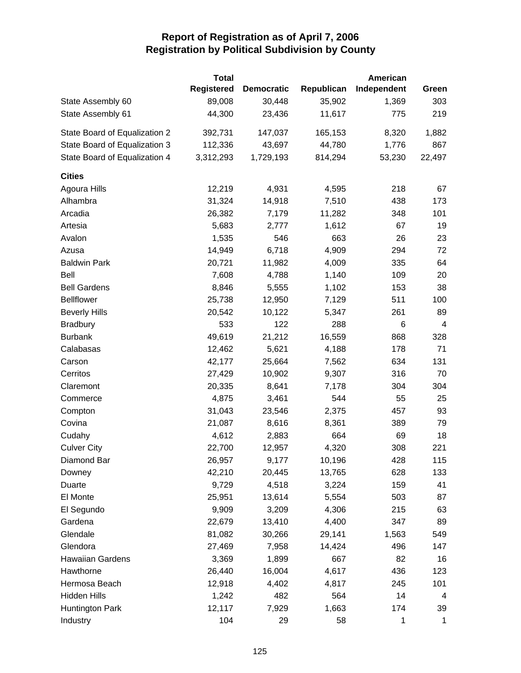|                               | <b>Total</b>      |                   |            | American    |                |
|-------------------------------|-------------------|-------------------|------------|-------------|----------------|
|                               | <b>Registered</b> | <b>Democratic</b> | Republican | Independent | Green          |
| State Assembly 60             | 89,008            | 30,448            | 35,902     | 1,369       | 303            |
| State Assembly 61             | 44,300            | 23,436            | 11,617     | 775         | 219            |
| State Board of Equalization 2 | 392,731           | 147,037           | 165,153    | 8,320       | 1,882          |
| State Board of Equalization 3 | 112,336           | 43,697            | 44,780     | 1,776       | 867            |
| State Board of Equalization 4 | 3,312,293         | 1,729,193         | 814,294    | 53,230      | 22,497         |
| <b>Cities</b>                 |                   |                   |            |             |                |
| Agoura Hills                  | 12,219            | 4,931             | 4,595      | 218         | 67             |
| Alhambra                      | 31,324            | 14,918            | 7,510      | 438         | 173            |
| Arcadia                       | 26,382            | 7,179             | 11,282     | 348         | 101            |
| Artesia                       | 5,683             | 2,777             | 1,612      | 67          | 19             |
| Avalon                        | 1,535             | 546               | 663        | 26          | 23             |
| Azusa                         | 14,949            | 6,718             | 4,909      | 294         | 72             |
| <b>Baldwin Park</b>           | 20,721            | 11,982            | 4,009      | 335         | 64             |
| Bell                          | 7,608             | 4,788             | 1,140      | 109         | 20             |
| <b>Bell Gardens</b>           | 8,846             | 5,555             | 1,102      | 153         | 38             |
| <b>Bellflower</b>             | 25,738            | 12,950            | 7,129      | 511         | 100            |
| <b>Beverly Hills</b>          | 20,542            | 10,122            | 5,347      | 261         | 89             |
| <b>Bradbury</b>               | 533               | 122               | 288        | 6           | $\overline{4}$ |
| <b>Burbank</b>                | 49,619            | 21,212            | 16,559     | 868         | 328            |
| Calabasas                     | 12,462            | 5,621             | 4,188      | 178         | 71             |
| Carson                        | 42,177            | 25,664            | 7,562      | 634         | 131            |
| Cerritos                      | 27,429            | 10,902            | 9,307      | 316         | 70             |
| Claremont                     | 20,335            | 8,641             | 7,178      | 304         | 304            |
| Commerce                      | 4,875             | 3,461             | 544        | 55          | 25             |
| Compton                       | 31,043            | 23,546            | 2,375      | 457         | 93             |
| Covina                        | 21,087            | 8,616             | 8,361      | 389         | 79             |
| Cudahy                        | 4,612             | 2,883             | 664        | 69          | 18             |
| <b>Culver City</b>            | 22,700            | 12,957            | 4,320      | 308         | 221            |
| Diamond Bar                   | 26,957            | 9,177             | 10,196     | 428         | 115            |
| Downey                        | 42,210            | 20,445            | 13,765     | 628         | 133            |
| Duarte                        | 9,729             | 4,518             | 3,224      | 159         | 41             |
| El Monte                      | 25,951            | 13,614            | 5,554      | 503         | 87             |
| El Segundo                    | 9,909             | 3,209             | 4,306      | 215         | 63             |
| Gardena                       | 22,679            | 13,410            | 4,400      | 347         | 89             |
| Glendale                      | 81,082            | 30,266            | 29,141     | 1,563       | 549            |
| Glendora                      | 27,469            | 7,958             | 14,424     | 496         | 147            |
| <b>Hawaiian Gardens</b>       | 3,369             | 1,899             | 667        | 82          | 16             |
| Hawthorne                     | 26,440            | 16,004            | 4,617      | 436         | 123            |
| Hermosa Beach                 | 12,918            | 4,402             | 4,817      | 245         | 101            |
| Hidden Hills                  | 1,242             | 482               | 564        | 14          | 4              |
| Huntington Park               | 12,117            | 7,929             | 1,663      | 174         | 39             |
| Industry                      | 104               | 29                | 58         | 1           | 1              |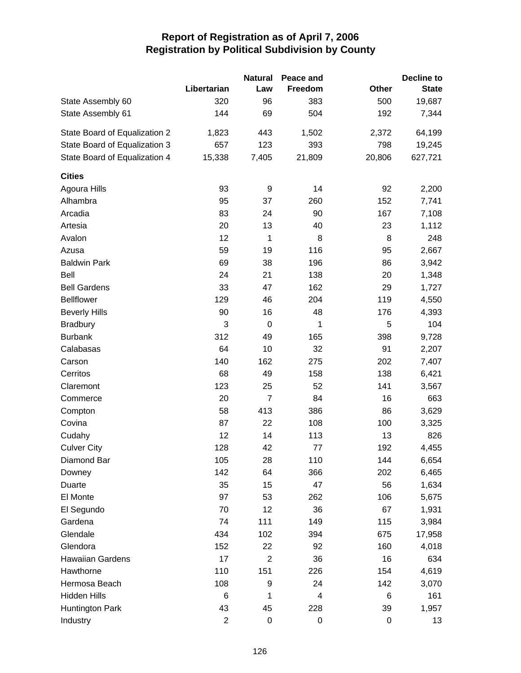|                               |                         | <b>Natural</b> | Peace and |        | <b>Decline to</b> |
|-------------------------------|-------------------------|----------------|-----------|--------|-------------------|
|                               | Libertarian             | Law            | Freedom   | Other  | <b>State</b>      |
| State Assembly 60             | 320                     | 96             | 383       | 500    | 19,687            |
| State Assembly 61             | 144                     | 69             | 504       | 192    | 7,344             |
| State Board of Equalization 2 | 1,823                   | 443            | 1,502     | 2,372  | 64,199            |
| State Board of Equalization 3 | 657                     | 123            | 393       | 798    | 19,245            |
| State Board of Equalization 4 | 15,338                  | 7,405          | 21,809    | 20,806 | 627,721           |
| <b>Cities</b>                 |                         |                |           |        |                   |
| Agoura Hills                  | 93                      | 9              | 14        | 92     | 2,200             |
| Alhambra                      | 95                      | 37             | 260       | 152    | 7,741             |
| Arcadia                       | 83                      | 24             | 90        | 167    | 7,108             |
| Artesia                       | 20                      | 13             | 40        | 23     | 1,112             |
| Avalon                        | 12                      | 1              | 8         | 8      | 248               |
| Azusa                         | 59                      | 19             | 116       | 95     | 2,667             |
| <b>Baldwin Park</b>           | 69                      | 38             | 196       | 86     | 3,942             |
| Bell                          | 24                      | 21             | 138       | 20     | 1,348             |
| <b>Bell Gardens</b>           | 33                      | 47             | 162       | 29     | 1,727             |
| <b>Bellflower</b>             | 129                     | 46             | 204       | 119    | 4,550             |
| <b>Beverly Hills</b>          | 90                      | 16             | 48        | 176    | 4,393             |
| <b>Bradbury</b>               | 3                       | 0              | 1         | 5      | 104               |
| <b>Burbank</b>                | 312                     | 49             | 165       | 398    | 9,728             |
| Calabasas                     | 64                      | 10             | 32        | 91     | 2,207             |
| Carson                        | 140                     | 162            | 275       | 202    | 7,407             |
| Cerritos                      | 68                      | 49             | 158       | 138    | 6,421             |
| Claremont                     | 123                     | 25             | 52        | 141    | 3,567             |
| Commerce                      | 20                      | $\overline{7}$ | 84        | 16     | 663               |
| Compton                       | 58                      | 413            | 386       | 86     | 3,629             |
| Covina                        | 87                      | 22             | 108       | 100    | 3,325             |
| Cudahy                        | 12                      | 14             | 113       | 13     | 826               |
| <b>Culver City</b>            | 128                     | 42             | 77        | 192    | 4,455             |
| Diamond Bar                   | 105                     | 28             | 110       | 144    | 6,654             |
| Downey                        | 142                     | 64             | 366       | 202    | 6,465             |
| Duarte                        | 35                      | 15             | 47        | 56     | 1,634             |
| El Monte                      | 97                      | 53             | 262       | 106    | 5,675             |
| El Segundo                    | 70                      | 12             | 36        | 67     | 1,931             |
| Gardena                       | 74                      | 111            | 149       | 115    | 3,984             |
| Glendale                      | 434                     | 102            | 394       | 675    | 17,958            |
| Glendora                      | 152                     | 22             | 92        | 160    | 4,018             |
| <b>Hawaiian Gardens</b>       | 17                      | $\overline{2}$ | 36        | 16     | 634               |
| Hawthorne                     | 110                     | 151            | 226       | 154    | 4,619             |
| Hermosa Beach                 | 108                     | 9              | 24        | 142    | 3,070             |
| <b>Hidden Hills</b>           | 6                       | 1              | 4         | 6      | 161               |
| Huntington Park               | 43                      | 45             | 228       | 39     | 1,957             |
| Industry                      | $\overline{\mathbf{c}}$ | $\pmb{0}$      | 0         | 0      | 13                |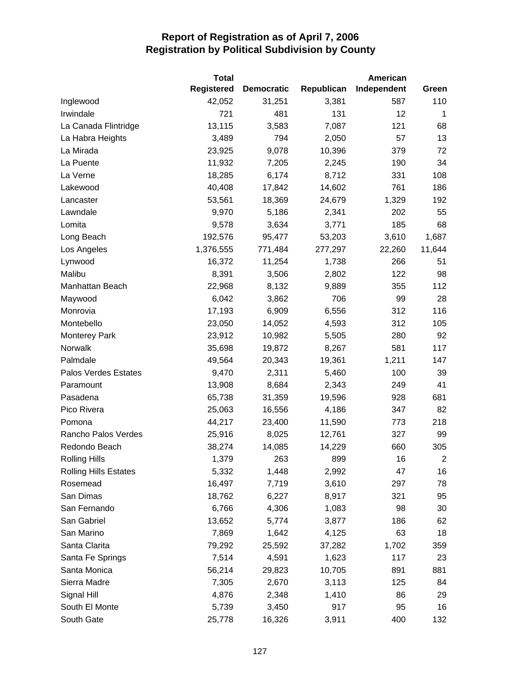|                              | <b>Total</b>      |                   |            | American    |        |
|------------------------------|-------------------|-------------------|------------|-------------|--------|
|                              | <b>Registered</b> | <b>Democratic</b> | Republican | Independent | Green  |
| Inglewood                    | 42,052            | 31,251            | 3,381      | 587         | 110    |
| Irwindale                    | 721               | 481               | 131        | 12          | 1      |
| La Canada Flintridge         | 13,115            | 3,583             | 7,087      | 121         | 68     |
| La Habra Heights             | 3,489             | 794               | 2,050      | 57          | 13     |
| La Mirada                    | 23,925            | 9,078             | 10,396     | 379         | 72     |
| La Puente                    | 11,932            | 7,205             | 2,245      | 190         | 34     |
| La Verne                     | 18,285            | 6,174             | 8,712      | 331         | 108    |
| Lakewood                     | 40,408            | 17,842            | 14,602     | 761         | 186    |
| Lancaster                    | 53,561            | 18,369            | 24,679     | 1,329       | 192    |
| Lawndale                     | 9,970             | 5,186             | 2,341      | 202         | 55     |
| Lomita                       | 9,578             | 3,634             | 3,771      | 185         | 68     |
| Long Beach                   | 192,576           | 95,477            | 53,203     | 3,610       | 1,687  |
| Los Angeles                  | 1,376,555         | 771,484           | 277,297    | 22,260      | 11,644 |
| Lynwood                      | 16,372            | 11,254            | 1,738      | 266         | 51     |
| Malibu                       | 8,391             | 3,506             | 2,802      | 122         | 98     |
| Manhattan Beach              | 22,968            | 8,132             | 9,889      | 355         | 112    |
| Maywood                      | 6,042             | 3,862             | 706        | 99          | 28     |
| Monrovia                     | 17,193            | 6,909             | 6,556      | 312         | 116    |
| Montebello                   | 23,050            | 14,052            | 4,593      | 312         | 105    |
| <b>Monterey Park</b>         | 23,912            | 10,982            | 5,505      | 280         | 92     |
| Norwalk                      | 35,698            | 19,872            | 8,267      | 581         | 117    |
| Palmdale                     | 49,564            | 20,343            | 19,361     | 1,211       | 147    |
| <b>Palos Verdes Estates</b>  | 9,470             | 2,311             | 5,460      | 100         | 39     |
| Paramount                    | 13,908            | 8,684             | 2,343      | 249         | 41     |
| Pasadena                     | 65,738            | 31,359            | 19,596     | 928         | 681    |
| Pico Rivera                  | 25,063            | 16,556            | 4,186      | 347         | 82     |
| Pomona                       | 44,217            | 23,400            | 11,590     | 773         | 218    |
| Rancho Palos Verdes          | 25,916            | 8,025             | 12,761     | 327         | 99     |
| Redondo Beach                | 38,274            | 14,085            | 14,229     | 660         | 305    |
| <b>Rolling Hills</b>         | 1,379             | 263               | 899        | 16          | 2      |
| <b>Rolling Hills Estates</b> | 5,332             | 1,448             | 2,992      | 47          | 16     |
| Rosemead                     | 16,497            | 7,719             | 3,610      | 297         | 78     |
| San Dimas                    | 18,762            | 6,227             | 8,917      | 321         | 95     |
| San Fernando                 | 6,766             | 4,306             | 1,083      | 98          | 30     |
| San Gabriel                  | 13,652            | 5,774             | 3,877      | 186         | 62     |
| San Marino                   | 7,869             | 1,642             | 4,125      | 63          | 18     |
| Santa Clarita                | 79,292            | 25,592            | 37,282     | 1,702       | 359    |
| Santa Fe Springs             | 7,514             | 4,591             | 1,623      | 117         | 23     |
| Santa Monica                 | 56,214            | 29,823            | 10,705     | 891         | 881    |
| Sierra Madre                 | 7,305             | 2,670             | 3,113      | 125         | 84     |
| Signal Hill                  | 4,876             | 2,348             | 1,410      | 86          | 29     |
| South El Monte               | 5,739             | 3,450             | 917        | 95          | 16     |
| South Gate                   | 25,778            | 16,326            | 3,911      | 400         | 132    |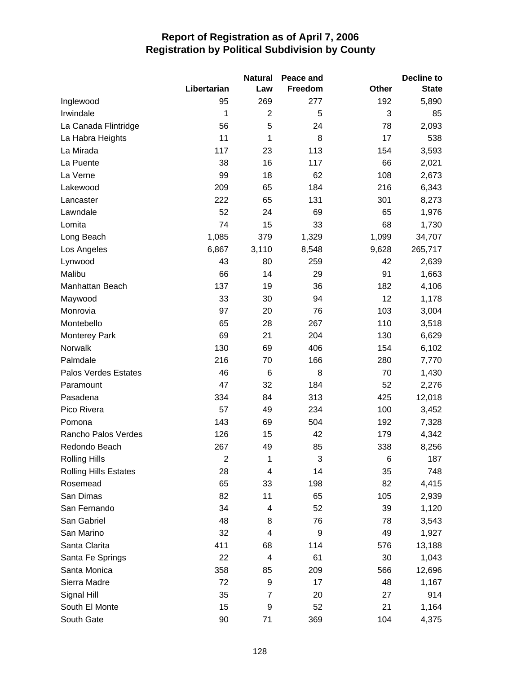|                              |             | <b>Natural</b>           | Peace and |       | <b>Decline to</b> |
|------------------------------|-------------|--------------------------|-----------|-------|-------------------|
|                              | Libertarian | Law                      | Freedom   | Other | <b>State</b>      |
| Inglewood                    | 95          | 269                      | 277       | 192   | 5,890             |
| Irwindale                    | 1           | $\overline{2}$           | 5         | 3     | 85                |
| La Canada Flintridge         | 56          | 5                        | 24        | 78    | 2,093             |
| La Habra Heights             | 11          | 1                        | 8         | 17    | 538               |
| La Mirada                    | 117         | 23                       | 113       | 154   | 3,593             |
| La Puente                    | 38          | 16                       | 117       | 66    | 2,021             |
| La Verne                     | 99          | 18                       | 62        | 108   | 2,673             |
| Lakewood                     | 209         | 65                       | 184       | 216   | 6,343             |
| Lancaster                    | 222         | 65                       | 131       | 301   | 8,273             |
| Lawndale                     | 52          | 24                       | 69        | 65    | 1,976             |
| Lomita                       | 74          | 15                       | 33        | 68    | 1,730             |
| Long Beach                   | 1,085       | 379                      | 1,329     | 1,099 | 34,707            |
| Los Angeles                  | 6,867       | 3,110                    | 8,548     | 9,628 | 265,717           |
| Lynwood                      | 43          | 80                       | 259       | 42    | 2,639             |
| Malibu                       | 66          | 14                       | 29        | 91    | 1,663             |
| Manhattan Beach              | 137         | 19                       | 36        | 182   | 4,106             |
| Maywood                      | 33          | 30                       | 94        | 12    | 1,178             |
| Monrovia                     | 97          | 20                       | 76        | 103   | 3,004             |
| Montebello                   | 65          | 28                       | 267       | 110   | 3,518             |
| <b>Monterey Park</b>         | 69          | 21                       | 204       | 130   | 6,629             |
| Norwalk                      | 130         | 69                       | 406       | 154   | 6,102             |
| Palmdale                     | 216         | 70                       | 166       | 280   | 7,770             |
| Palos Verdes Estates         | 46          | 6                        | 8         | 70    | 1,430             |
| Paramount                    | 47          | 32                       | 184       | 52    | 2,276             |
| Pasadena                     | 334         | 84                       | 313       | 425   | 12,018            |
| Pico Rivera                  | 57          | 49                       | 234       | 100   | 3,452             |
| Pomona                       | 143         | 69                       | 504       | 192   | 7,328             |
| Rancho Palos Verdes          | 126         | 15                       | 42        | 179   | 4,342             |
| Redondo Beach                | 267         | 49                       | 85        | 338   | 8,256             |
| <b>Rolling Hills</b>         | 2           | 1                        | 3         | 6     | 187               |
| <b>Rolling Hills Estates</b> | 28          | 4                        | 14        | 35    | 748               |
| Rosemead                     | 65          | 33                       | 198       | 82    | 4,415             |
| San Dimas                    | 82          | 11                       | 65        | 105   | 2,939             |
| San Fernando                 | 34          | 4                        | 52        | 39    | 1,120             |
| San Gabriel                  | 48          | 8                        | 76        | 78    | 3,543             |
| San Marino                   | 32          | 4                        | 9         | 49    | 1,927             |
| Santa Clarita                | 411         | 68                       | 114       | 576   | 13,188            |
| Santa Fe Springs             | 22          | $\overline{\mathcal{A}}$ | 61        | 30    | 1,043             |
| Santa Monica                 | 358         | 85                       | 209       | 566   | 12,696            |
| Sierra Madre                 | 72          | 9                        | 17        | 48    | 1,167             |
| Signal Hill                  | 35          | 7                        | 20        | 27    | 914               |
| South El Monte               | 15          | 9                        | 52        | 21    | 1,164             |
| South Gate                   | 90          | 71                       | 369       | 104   | 4,375             |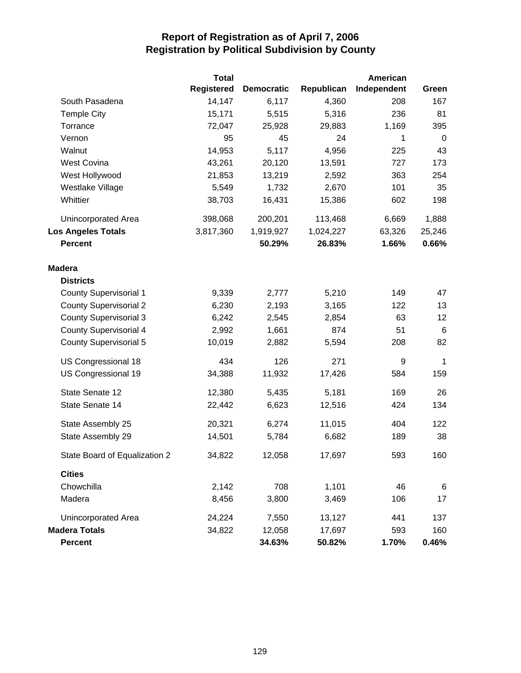|                               | <b>Total</b>      |                   |            | American    |                 |
|-------------------------------|-------------------|-------------------|------------|-------------|-----------------|
|                               | <b>Registered</b> | <b>Democratic</b> | Republican | Independent | Green           |
| South Pasadena                | 14,147            | 6,117             | 4,360      | 208         | 167             |
| <b>Temple City</b>            | 15,171            | 5,515             | 5,316      | 236         | 81              |
| Torrance                      | 72,047            | 25,928            | 29,883     | 1,169       | 395             |
| Vernon                        | 95                | 45                | 24         | 1           | 0               |
| Walnut                        | 14,953            | 5,117             | 4,956      | 225         | 43              |
| <b>West Covina</b>            | 43,261            | 20,120            | 13,591     | 727         | 173             |
| West Hollywood                | 21,853            | 13,219            | 2,592      | 363         | 254             |
| Westlake Village              | 5,549             | 1,732             | 2,670      | 101         | 35              |
| Whittier                      | 38,703            | 16,431            | 15,386     | 602         | 198             |
| Unincorporated Area           | 398,068           | 200,201           | 113,468    | 6,669       | 1,888           |
| <b>Los Angeles Totals</b>     | 3,817,360         | 1,919,927         | 1,024,227  | 63,326      | 25,246          |
| <b>Percent</b>                |                   | 50.29%            | 26.83%     | 1.66%       | 0.66%           |
| <b>Madera</b>                 |                   |                   |            |             |                 |
| <b>Districts</b>              |                   |                   |            |             |                 |
| <b>County Supervisorial 1</b> | 9,339             | 2,777             | 5,210      | 149         | 47              |
| <b>County Supervisorial 2</b> | 6,230             | 2,193             | 3,165      | 122         | 13              |
| <b>County Supervisorial 3</b> | 6,242             | 2,545             | 2,854      | 63          | 12              |
| <b>County Supervisorial 4</b> | 2,992             | 1,661             | 874        | 51          | $6\phantom{1}6$ |
| <b>County Supervisorial 5</b> | 10,019            | 2,882             | 5,594      | 208         | 82              |
| US Congressional 18           | 434               | 126               | 271        | 9           | 1               |
| US Congressional 19           | 34,388            | 11,932            | 17,426     | 584         | 159             |
| State Senate 12               | 12,380            | 5,435             | 5,181      | 169         | 26              |
| State Senate 14               | 22,442            | 6,623             | 12,516     | 424         | 134             |
| State Assembly 25             | 20,321            | 6,274             | 11,015     | 404         | 122             |
| State Assembly 29             | 14,501            | 5,784             | 6,682      | 189         | 38              |
| State Board of Equalization 2 | 34,822            | 12,058            | 17,697     | 593         | 160             |
| <b>Cities</b>                 |                   |                   |            |             |                 |
| Chowchilla                    | 2,142             | 708               | 1,101      | 46          | 6               |
| Madera                        | 8,456             | 3,800             | 3,469      | 106         | 17              |
| Unincorporated Area           | 24,224            | 7,550             | 13,127     | 441         | 137             |
| <b>Madera Totals</b>          | 34,822            | 12,058            | 17,697     | 593         | 160             |
| <b>Percent</b>                |                   | 34.63%            | 50.82%     | 1.70%       | 0.46%           |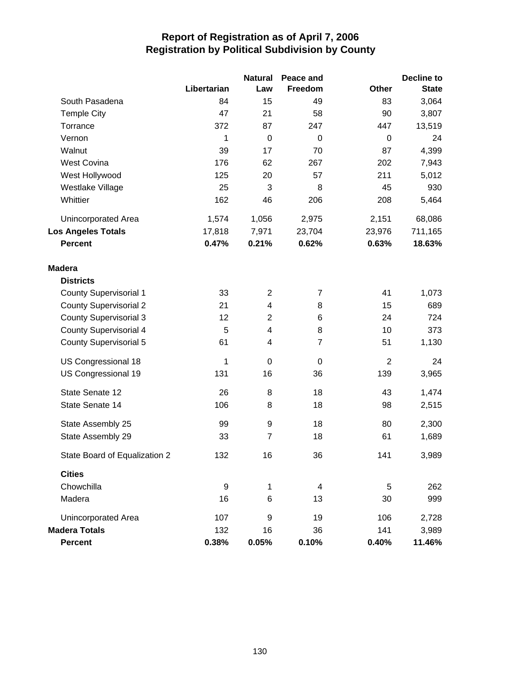|                               |                  | <b>Natural</b> | Peace and      |                | <b>Decline to</b> |
|-------------------------------|------------------|----------------|----------------|----------------|-------------------|
|                               | Libertarian      | Law            | Freedom        | <b>Other</b>   | <b>State</b>      |
| South Pasadena                | 84               | 15             | 49             | 83             | 3,064             |
| <b>Temple City</b>            | 47               | 21             | 58             | 90             | 3,807             |
| Torrance                      | 372              | 87             | 247            | 447            | 13,519            |
| Vernon                        | 1                | $\mathbf 0$    | $\mathbf 0$    | $\mathbf 0$    | 24                |
| Walnut                        | 39               | 17             | 70             | 87             | 4,399             |
| <b>West Covina</b>            | 176              | 62             | 267            | 202            | 7,943             |
| West Hollywood                | 125              | 20             | 57             | 211            | 5,012             |
| Westlake Village              | 25               | 3              | 8              | 45             | 930               |
| Whittier                      | 162              | 46             | 206            | 208            | 5,464             |
| Unincorporated Area           | 1,574            | 1,056          | 2,975          | 2,151          | 68,086            |
| <b>Los Angeles Totals</b>     | 17,818           | 7,971          | 23,704         | 23,976         | 711,165           |
| <b>Percent</b>                | 0.47%            | 0.21%          | 0.62%          | 0.63%          | 18.63%            |
| <b>Madera</b>                 |                  |                |                |                |                   |
| <b>Districts</b>              |                  |                |                |                |                   |
| <b>County Supervisorial 1</b> | 33               | $\overline{2}$ | 7              | 41             | 1,073             |
| <b>County Supervisorial 2</b> | 21               | 4              | 8              | 15             | 689               |
| <b>County Supervisorial 3</b> | 12               | $\overline{2}$ | 6              | 24             | 724               |
| <b>County Supervisorial 4</b> | 5                | 4              | 8              | 10             | 373               |
| <b>County Supervisorial 5</b> | 61               | 4              | $\overline{7}$ | 51             | 1,130             |
| US Congressional 18           | 1                | $\mathbf 0$    | 0              | $\overline{2}$ | 24                |
| US Congressional 19           | 131              | 16             | 36             | 139            | 3,965             |
| State Senate 12               | 26               | 8              | 18             | 43             | 1,474             |
| State Senate 14               | 106              | 8              | 18             | 98             | 2,515             |
| State Assembly 25             | 99               | 9              | 18             | 80             | 2,300             |
| State Assembly 29             | 33               | $\overline{7}$ | 18             | 61             | 1,689             |
| State Board of Equalization 2 | 132              | 16             | 36             | 141            | 3,989             |
| <b>Cities</b>                 |                  |                |                |                |                   |
| Chowchilla                    | $\boldsymbol{9}$ | 1              | 4              | 5              | 262               |
| Madera                        | 16               | 6              | 13             | 30             | 999               |
| Unincorporated Area           | 107              | 9              | 19             | 106            | 2,728             |
| <b>Madera Totals</b>          | 132              | 16             | 36             | 141            | 3,989             |
| <b>Percent</b>                | 0.38%            | 0.05%          | 0.10%          | 0.40%          | 11.46%            |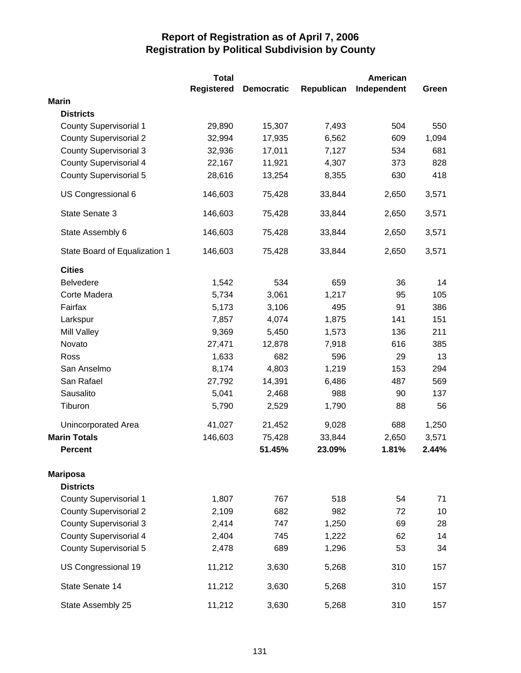|                               | <b>Total</b> |                   |            | <b>American</b> |       |
|-------------------------------|--------------|-------------------|------------|-----------------|-------|
|                               | Registered   | <b>Democratic</b> | Republican | Independent     | Green |
| <b>Marin</b>                  |              |                   |            |                 |       |
| <b>Districts</b>              |              |                   |            |                 |       |
| <b>County Supervisorial 1</b> | 29,890       | 15,307            | 7,493      | 504             | 550   |
| <b>County Supervisorial 2</b> | 32,994       | 17,935            | 6,562      | 609             | 1,094 |
| <b>County Supervisorial 3</b> | 32,936       | 17,011            | 7,127      | 534             | 681   |
| <b>County Supervisorial 4</b> | 22,167       | 11,921            | 4,307      | 373             | 828   |
| <b>County Supervisorial 5</b> | 28,616       | 13,254            | 8,355      | 630             | 418   |
| US Congressional 6            | 146,603      | 75,428            | 33,844     | 2,650           | 3,571 |
| State Senate 3                | 146,603      | 75,428            | 33,844     | 2,650           | 3,571 |
| State Assembly 6              | 146,603      | 75,428            | 33,844     | 2,650           | 3,571 |
| State Board of Equalization 1 | 146,603      | 75,428            | 33,844     | 2,650           | 3,571 |
| <b>Cities</b>                 |              |                   |            |                 |       |
| <b>Belvedere</b>              | 1,542        | 534               | 659        | 36              | 14    |
| Corte Madera                  | 5,734        | 3,061             | 1,217      | 95              | 105   |
| Fairfax                       | 5,173        | 3,106             | 495        | 91              | 386   |
| Larkspur                      | 7,857        | 4,074             | 1,875      | 141             | 151   |
| <b>Mill Valley</b>            | 9,369        | 5,450             | 1,573      | 136             | 211   |
| Novato                        | 27,471       | 12,878            | 7,918      | 616             | 385   |
| Ross                          | 1,633        | 682               | 596        | 29              | 13    |
| San Anselmo                   | 8,174        | 4,803             | 1,219      | 153             | 294   |
| San Rafael                    | 27,792       | 14,391            | 6,486      | 487             | 569   |
| Sausalito                     | 5,041        | 2,468             | 988        | 90              | 137   |
| Tiburon                       | 5,790        | 2,529             | 1,790      | 88              | 56    |
| Unincorporated Area           | 41,027       | 21,452            | 9,028      | 688             | 1,250 |
| <b>Marin Totals</b>           | 146,603      | 75,428            | 33,844     | 2,650           | 3,571 |
| <b>Percent</b>                |              | 51.45%            | 23.09%     | 1.81%           | 2.44% |
| <b>Mariposa</b>               |              |                   |            |                 |       |
| <b>Districts</b>              |              |                   |            |                 |       |
| <b>County Supervisorial 1</b> | 1,807        | 767               | 518        | 54              | 71    |
| <b>County Supervisorial 2</b> | 2,109        | 682               | 982        | 72              | 10    |
| <b>County Supervisorial 3</b> | 2,414        | 747               | 1,250      | 69              | 28    |
| <b>County Supervisorial 4</b> | 2,404        | 745               | 1,222      | 62              | 14    |
| <b>County Supervisorial 5</b> | 2,478        | 689               | 1,296      | 53              | 34    |
| US Congressional 19           | 11,212       | 3,630             | 5,268      | 310             | 157   |
| State Senate 14               | 11,212       | 3,630             | 5,268      | 310             | 157   |
| State Assembly 25             | 11,212       | 3,630             | 5,268      | 310             | 157   |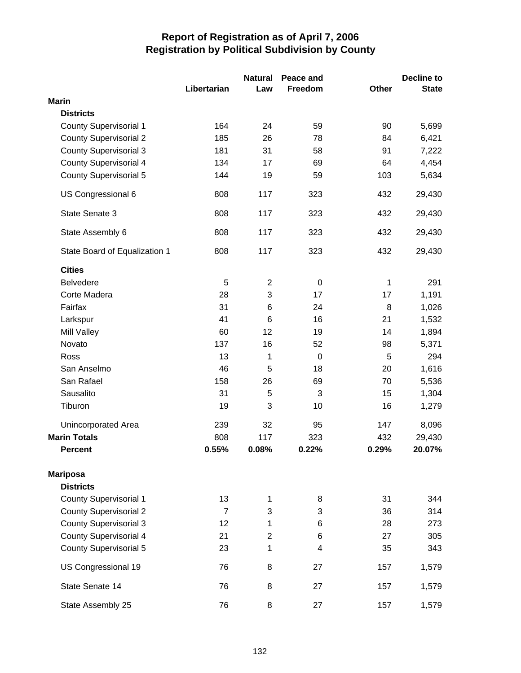|                               | Libertarian    | <b>Natural</b><br>Law | Peace and<br>Freedom | Other | <b>Decline to</b><br><b>State</b> |
|-------------------------------|----------------|-----------------------|----------------------|-------|-----------------------------------|
| <b>Marin</b>                  |                |                       |                      |       |                                   |
| <b>Districts</b>              |                |                       |                      |       |                                   |
| <b>County Supervisorial 1</b> | 164            | 24                    | 59                   | 90    | 5,699                             |
| <b>County Supervisorial 2</b> | 185            | 26                    | 78                   | 84    | 6,421                             |
| <b>County Supervisorial 3</b> | 181            | 31                    | 58                   | 91    | 7,222                             |
| <b>County Supervisorial 4</b> | 134            | 17                    | 69                   | 64    | 4,454                             |
| <b>County Supervisorial 5</b> | 144            | 19                    | 59                   | 103   | 5,634                             |
| US Congressional 6            | 808            | 117                   | 323                  | 432   | 29,430                            |
| State Senate 3                | 808            | 117                   | 323                  | 432   | 29,430                            |
| State Assembly 6              | 808            | 117                   | 323                  | 432   | 29,430                            |
| State Board of Equalization 1 | 808            | 117                   | 323                  | 432   | 29,430                            |
| <b>Cities</b>                 |                |                       |                      |       |                                   |
| <b>Belvedere</b>              | 5              | $\overline{2}$        | $\mathbf 0$          | 1     | 291                               |
| Corte Madera                  | 28             | 3                     | 17                   | 17    | 1,191                             |
| Fairfax                       | 31             | 6                     | 24                   | 8     | 1,026                             |
| Larkspur                      | 41             | 6                     | 16                   | 21    | 1,532                             |
| Mill Valley                   | 60             | 12                    | 19                   | 14    | 1,894                             |
| Novato                        | 137            | 16                    | 52                   | 98    | 5,371                             |
| Ross                          | 13             | 1                     | $\mathbf 0$          | 5     | 294                               |
| San Anselmo                   | 46             | 5                     | 18                   | 20    | 1,616                             |
| San Rafael                    | 158            | 26                    | 69                   | 70    | 5,536                             |
| Sausalito                     | 31             | 5                     | 3                    | 15    | 1,304                             |
| Tiburon                       | 19             | 3                     | 10                   | 16    | 1,279                             |
| <b>Unincorporated Area</b>    | 239            | 32                    | 95                   | 147   | 8,096                             |
| <b>Marin Totals</b>           | 808            | 117                   | 323                  | 432   | 29,430                            |
| <b>Percent</b>                | 0.55%          | 0.08%                 | 0.22%                | 0.29% | 20.07%                            |
| <b>Mariposa</b>               |                |                       |                      |       |                                   |
| <b>Districts</b>              |                |                       |                      |       |                                   |
| <b>County Supervisorial 1</b> | 13             | 1                     | 8                    | 31    | 344                               |
| <b>County Supervisorial 2</b> | $\overline{7}$ | 3                     | 3                    | 36    | 314                               |
| <b>County Supervisorial 3</b> | 12             | 1                     | 6                    | 28    | 273                               |
| <b>County Supervisorial 4</b> | 21             | $\overline{2}$        | 6                    | 27    | 305                               |
| <b>County Supervisorial 5</b> | 23             | 1                     | 4                    | 35    | 343                               |
| US Congressional 19           | 76             | 8                     | 27                   | 157   | 1,579                             |
| State Senate 14               | 76             | 8                     | 27                   | 157   | 1,579                             |
| State Assembly 25             | 76             | 8                     | 27                   | 157   | 1,579                             |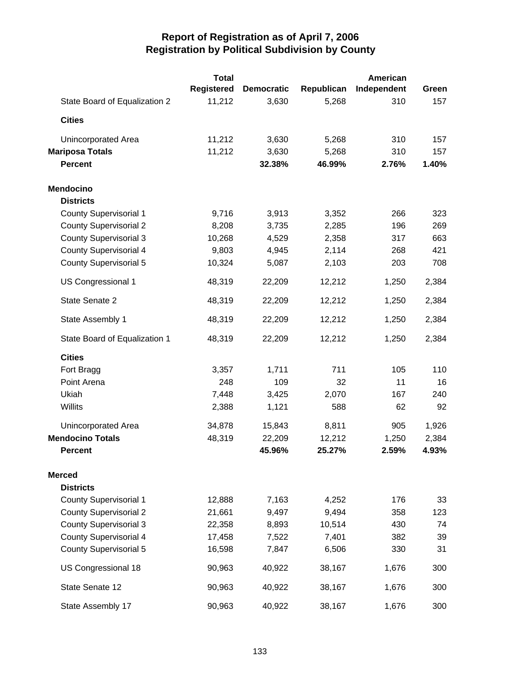|                               | <b>Total</b>      |                   |            | <b>American</b> |       |
|-------------------------------|-------------------|-------------------|------------|-----------------|-------|
|                               | <b>Registered</b> | <b>Democratic</b> | Republican | Independent     | Green |
| State Board of Equalization 2 | 11,212            | 3,630             | 5,268      | 310             | 157   |
| <b>Cities</b>                 |                   |                   |            |                 |       |
| Unincorporated Area           | 11,212            | 3,630             | 5,268      | 310             | 157   |
| <b>Mariposa Totals</b>        | 11,212            | 3,630             | 5,268      | 310             | 157   |
| <b>Percent</b>                |                   | 32.38%            | 46.99%     | 2.76%           | 1.40% |
| <b>Mendocino</b>              |                   |                   |            |                 |       |
| <b>Districts</b>              |                   |                   |            |                 |       |
| <b>County Supervisorial 1</b> | 9,716             | 3,913             | 3,352      | 266             | 323   |
| <b>County Supervisorial 2</b> | 8,208             | 3,735             | 2,285      | 196             | 269   |
| <b>County Supervisorial 3</b> | 10,268            | 4,529             | 2,358      | 317             | 663   |
| <b>County Supervisorial 4</b> | 9,803             | 4,945             | 2,114      | 268             | 421   |
| <b>County Supervisorial 5</b> | 10,324            | 5,087             | 2,103      | 203             | 708   |
| US Congressional 1            | 48,319            | 22,209            | 12,212     | 1,250           | 2,384 |
| State Senate 2                | 48,319            | 22,209            | 12,212     | 1,250           | 2,384 |
| State Assembly 1              | 48,319            | 22,209            | 12,212     | 1,250           | 2,384 |
| State Board of Equalization 1 | 48,319            | 22,209            | 12,212     | 1,250           | 2,384 |
| <b>Cities</b>                 |                   |                   |            |                 |       |
| Fort Bragg                    | 3,357             | 1,711             | 711        | 105             | 110   |
| Point Arena                   | 248               | 109               | 32         | 11              | 16    |
| Ukiah                         | 7,448             | 3,425             | 2,070      | 167             | 240   |
| Willits                       | 2,388             | 1,121             | 588        | 62              | 92    |
| Unincorporated Area           | 34,878            | 15,843            | 8,811      | 905             | 1,926 |
| <b>Mendocino Totals</b>       | 48,319            | 22,209            | 12,212     | 1,250           | 2,384 |
| <b>Percent</b>                |                   | 45.96%            | 25.27%     | 2.59%           | 4.93% |
| <b>Merced</b>                 |                   |                   |            |                 |       |
| <b>Districts</b>              |                   |                   |            |                 |       |
| <b>County Supervisorial 1</b> | 12,888            | 7,163             | 4,252      | 176             | 33    |
| <b>County Supervisorial 2</b> | 21,661            | 9,497             | 9,494      | 358             | 123   |
| <b>County Supervisorial 3</b> | 22,358            | 8,893             | 10,514     | 430             | 74    |
| <b>County Supervisorial 4</b> | 17,458            | 7,522             | 7,401      | 382             | 39    |
| <b>County Supervisorial 5</b> | 16,598            | 7,847             | 6,506      | 330             | 31    |
| US Congressional 18           | 90,963            | 40,922            | 38,167     | 1,676           | 300   |
| State Senate 12               | 90,963            | 40,922            | 38,167     | 1,676           | 300   |
| State Assembly 17             | 90,963            | 40,922            | 38,167     | 1,676           | 300   |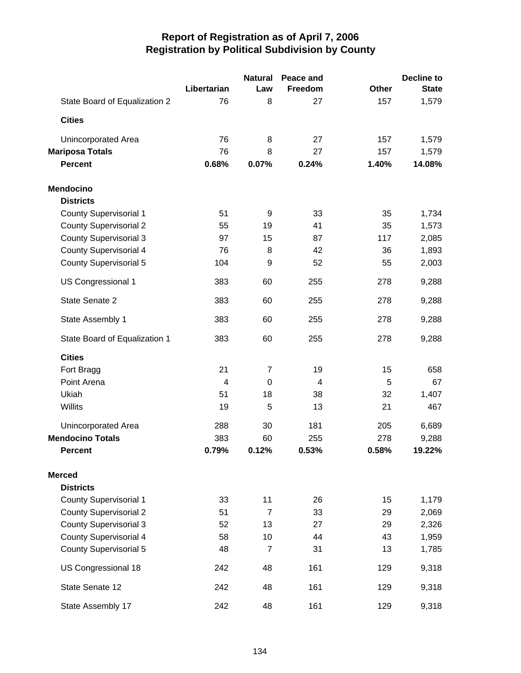|                               |                | <b>Natural</b> | Peace and |              | <b>Decline to</b> |
|-------------------------------|----------------|----------------|-----------|--------------|-------------------|
|                               | Libertarian    | Law            | Freedom   | <b>Other</b> | <b>State</b>      |
| State Board of Equalization 2 | 76             | 8              | 27        | 157          | 1,579             |
| <b>Cities</b>                 |                |                |           |              |                   |
| <b>Unincorporated Area</b>    | 76             | 8              | 27        | 157          | 1,579             |
| <b>Mariposa Totals</b>        | 76             | 8              | 27        | 157          | 1,579             |
| <b>Percent</b>                | 0.68%          | 0.07%          | 0.24%     | 1.40%        | 14.08%            |
| <b>Mendocino</b>              |                |                |           |              |                   |
| <b>Districts</b>              |                |                |           |              |                   |
| County Supervisorial 1        | 51             | 9              | 33        | 35           | 1,734             |
| <b>County Supervisorial 2</b> | 55             | 19             | 41        | 35           | 1,573             |
| <b>County Supervisorial 3</b> | 97             | 15             | 87        | 117          | 2,085             |
| <b>County Supervisorial 4</b> | 76             | 8              | 42        | 36           | 1,893             |
| <b>County Supervisorial 5</b> | 104            | 9              | 52        | 55           | 2,003             |
| <b>US Congressional 1</b>     | 383            | 60             | 255       | 278          | 9,288             |
| State Senate 2                | 383            | 60             | 255       | 278          | 9,288             |
| State Assembly 1              | 383            | 60             | 255       | 278          | 9,288             |
| State Board of Equalization 1 | 383            | 60             | 255       | 278          | 9,288             |
| <b>Cities</b>                 |                |                |           |              |                   |
| Fort Bragg                    | 21             | 7              | 19        | 15           | 658               |
| Point Arena                   | $\overline{4}$ | $\Omega$       | 4         | 5            | 67                |
| Ukiah                         | 51             | 18             | 38        | 32           | 1,407             |
| Willits                       | 19             | 5              | 13        | 21           | 467               |
| <b>Unincorporated Area</b>    | 288            | 30             | 181       | 205          | 6,689             |
| <b>Mendocino Totals</b>       | 383            | 60             | 255       | 278          | 9,288             |
| <b>Percent</b>                | 0.79%          | 0.12%          | 0.53%     | 0.58%        | 19.22%            |
| <b>Merced</b>                 |                |                |           |              |                   |
| <b>Districts</b>              |                |                |           |              |                   |
| <b>County Supervisorial 1</b> | 33             | 11             | 26        | 15           | 1,179             |
| <b>County Supervisorial 2</b> | 51             | $\overline{7}$ | 33        | 29           | 2,069             |
| <b>County Supervisorial 3</b> | 52             | 13             | 27        | 29           | 2,326             |
| <b>County Supervisorial 4</b> | 58             | 10             | 44        | 43           | 1,959             |
| <b>County Supervisorial 5</b> | 48             | $\overline{7}$ | 31        | 13           | 1,785             |
| US Congressional 18           | 242            | 48             | 161       | 129          | 9,318             |
| State Senate 12               | 242            | 48             | 161       | 129          | 9,318             |
| State Assembly 17             | 242            | 48             | 161       | 129          | 9,318             |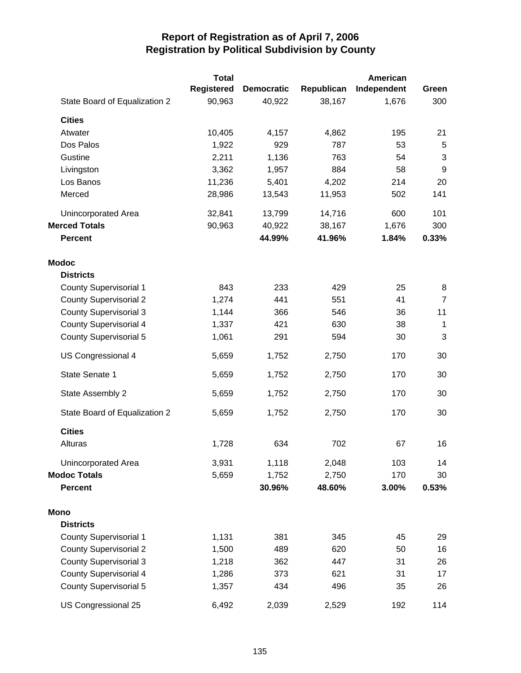|                               | <b>Total</b> |                   |            | American    |                  |
|-------------------------------|--------------|-------------------|------------|-------------|------------------|
|                               | Registered   | <b>Democratic</b> | Republican | Independent | Green            |
| State Board of Equalization 2 | 90,963       | 40,922            | 38,167     | 1,676       | 300              |
| <b>Cities</b>                 |              |                   |            |             |                  |
| Atwater                       | 10,405       | 4,157             | 4,862      | 195         | 21               |
| Dos Palos                     | 1,922        | 929               | 787        | 53          | 5                |
| Gustine                       | 2,211        | 1,136             | 763        | 54          | 3                |
| Livingston                    | 3,362        | 1,957             | 884        | 58          | $\boldsymbol{9}$ |
| Los Banos                     | 11,236       | 5,401             | 4,202      | 214         | 20               |
| Merced                        | 28,986       | 13,543            | 11,953     | 502         | 141              |
| <b>Unincorporated Area</b>    | 32,841       | 13,799            | 14,716     | 600         | 101              |
| <b>Merced Totals</b>          | 90,963       | 40,922            | 38,167     | 1,676       | 300              |
| <b>Percent</b>                |              | 44.99%            | 41.96%     | 1.84%       | 0.33%            |
| <b>Modoc</b>                  |              |                   |            |             |                  |
| <b>Districts</b>              |              |                   |            |             |                  |
| <b>County Supervisorial 1</b> | 843          | 233               | 429        | 25          | 8                |
| <b>County Supervisorial 2</b> | 1,274        | 441               | 551        | 41          | $\overline{7}$   |
| <b>County Supervisorial 3</b> | 1,144        | 366               | 546        | 36          | 11               |
| <b>County Supervisorial 4</b> | 1,337        | 421               | 630        | 38          | 1                |
| <b>County Supervisorial 5</b> | 1,061        | 291               | 594        | 30          | 3                |
| US Congressional 4            | 5,659        | 1,752             | 2,750      | 170         | 30               |
| State Senate 1                | 5,659        | 1,752             | 2,750      | 170         | 30               |
| State Assembly 2              | 5,659        | 1,752             | 2,750      | 170         | 30               |
| State Board of Equalization 2 | 5,659        | 1,752             | 2,750      | 170         | 30               |
| <b>Cities</b>                 |              |                   |            |             |                  |
| Alturas                       | 1,728        | 634               | 702        | 67          | 16               |
| Unincorporated Area           | 3,931        | 1,118             | 2,048      | 103         | 14               |
| <b>Modoc Totals</b>           | 5,659        | 1,752             | 2,750      | 170         | 30               |
| <b>Percent</b>                |              | 30.96%            | 48.60%     | 3.00%       | 0.53%            |
| Mono                          |              |                   |            |             |                  |
| <b>Districts</b>              |              |                   |            |             |                  |
| <b>County Supervisorial 1</b> | 1,131        | 381               | 345        | 45          | 29               |
| <b>County Supervisorial 2</b> | 1,500        | 489               | 620        | 50          | 16               |
| <b>County Supervisorial 3</b> | 1,218        | 362               | 447        | 31          | 26               |
| <b>County Supervisorial 4</b> | 1,286        | 373               | 621        | 31          | 17               |
| <b>County Supervisorial 5</b> | 1,357        | 434               | 496        | 35          | 26               |
| US Congressional 25           | 6,492        | 2,039             | 2,529      | 192         | 114              |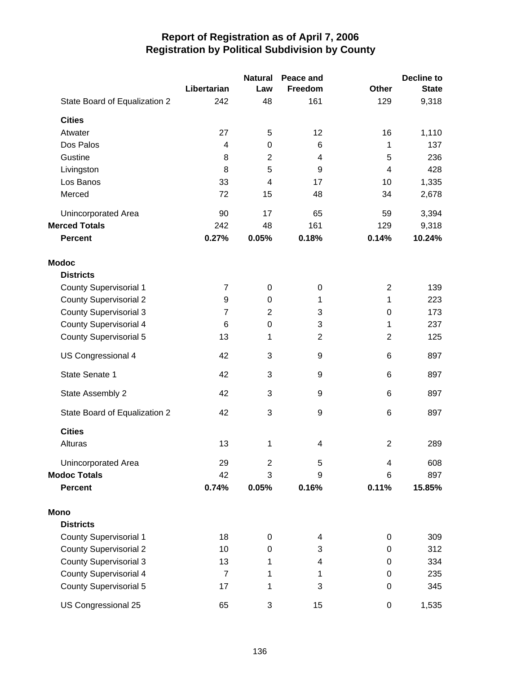|                               |                | <b>Natural</b> | Peace and      |                | <b>Decline to</b> |
|-------------------------------|----------------|----------------|----------------|----------------|-------------------|
|                               | Libertarian    | Law            | Freedom        | <b>Other</b>   | <b>State</b>      |
| State Board of Equalization 2 | 242            | 48             | 161            | 129            | 9,318             |
| <b>Cities</b>                 |                |                |                |                |                   |
| Atwater                       | 27             | 5              | 12             | 16             | 1,110             |
| Dos Palos                     | 4              | 0              | 6              | 1              | 137               |
| Gustine                       | 8              | $\overline{2}$ | 4              | 5              | 236               |
| Livingston                    | 8              | 5              | 9              | 4              | 428               |
| Los Banos                     | 33             | 4              | 17             | 10             | 1,335             |
| Merced                        | 72             | 15             | 48             | 34             | 2,678             |
| Unincorporated Area           | 90             | 17             | 65             | 59             | 3,394             |
| <b>Merced Totals</b>          | 242            | 48             | 161            | 129            | 9,318             |
| <b>Percent</b>                | 0.27%          | 0.05%          | 0.18%          | 0.14%          | 10.24%            |
| <b>Modoc</b>                  |                |                |                |                |                   |
| <b>Districts</b>              |                |                |                |                |                   |
| <b>County Supervisorial 1</b> | $\overline{7}$ | 0              | 0              | $\overline{2}$ | 139               |
| <b>County Supervisorial 2</b> | 9              | $\mathbf 0$    | 1              | 1              | 223               |
| <b>County Supervisorial 3</b> | $\overline{7}$ | $\overline{2}$ | 3              | 0              | 173               |
| <b>County Supervisorial 4</b> | 6              | $\mathbf 0$    | 3              | 1              | 237               |
| <b>County Supervisorial 5</b> | 13             | 1              | $\overline{2}$ | $\overline{2}$ | 125               |
| US Congressional 4            | 42             | 3              | 9              | 6              | 897               |
| State Senate 1                | 42             | 3              | 9              | 6              | 897               |
| State Assembly 2              | 42             | 3              | 9              | 6              | 897               |
| State Board of Equalization 2 | 42             | 3              | 9              | 6              | 897               |
| <b>Cities</b>                 |                |                |                |                |                   |
| Alturas                       | 13             | 1              | 4              | $\overline{2}$ | 289               |
| Unincorporated Area           | 29             | $\overline{c}$ | 5              | 4              | 608               |
| <b>Modoc Totals</b>           | 42             | 3              | 9              | 6              | 897               |
| <b>Percent</b>                | 0.74%          | 0.05%          | 0.16%          | 0.11%          | 15.85%            |
| <b>Mono</b>                   |                |                |                |                |                   |
| <b>Districts</b>              |                |                |                |                |                   |
| <b>County Supervisorial 1</b> | 18             | 0              | 4              | 0              | 309               |
| <b>County Supervisorial 2</b> | 10             | $\mathbf 0$    | 3              | 0              | 312               |
| <b>County Supervisorial 3</b> | 13             | 1              | 4              | 0              | 334               |
| <b>County Supervisorial 4</b> | $\overline{7}$ | 1              | 1              | 0              | 235               |
| <b>County Supervisorial 5</b> | 17             | 1              | 3              | 0              | 345               |
| US Congressional 25           | 65             | 3              | 15             | 0              | 1,535             |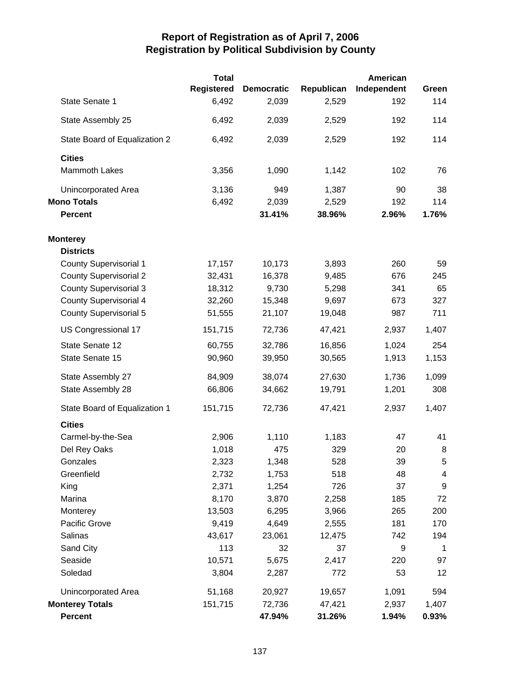|                               | <b>Total</b>      |                   |            | <b>American</b> |             |
|-------------------------------|-------------------|-------------------|------------|-----------------|-------------|
|                               | <b>Registered</b> | <b>Democratic</b> | Republican | Independent     | Green       |
| State Senate 1                | 6,492             | 2,039             | 2,529      | 192             | 114         |
| State Assembly 25             | 6,492             | 2,039             | 2,529      | 192             | 114         |
| State Board of Equalization 2 | 6,492             | 2,039             | 2,529      | 192             | 114         |
| <b>Cities</b>                 |                   |                   |            |                 |             |
| <b>Mammoth Lakes</b>          | 3,356             | 1,090             | 1,142      | 102             | 76          |
| Unincorporated Area           | 3,136             | 949               | 1,387      | 90              | 38          |
| <b>Mono Totals</b>            | 6,492             | 2,039             | 2,529      | 192             | 114         |
| <b>Percent</b>                |                   | 31.41%            | 38.96%     | 2.96%           | 1.76%       |
| <b>Monterey</b>               |                   |                   |            |                 |             |
| <b>Districts</b>              |                   |                   |            |                 |             |
| <b>County Supervisorial 1</b> | 17,157            | 10,173            | 3,893      | 260             | 59          |
| <b>County Supervisorial 2</b> | 32,431            | 16,378            | 9,485      | 676             | 245         |
| <b>County Supervisorial 3</b> | 18,312            | 9,730             | 5,298      | 341             | 65          |
| <b>County Supervisorial 4</b> | 32,260            | 15,348            | 9,697      | 673             | 327         |
| <b>County Supervisorial 5</b> | 51,555            | 21,107            | 19,048     | 987             | 711         |
| US Congressional 17           | 151,715           | 72,736            | 47,421     | 2,937           | 1,407       |
| State Senate 12               | 60,755            | 32,786            | 16,856     | 1,024           | 254         |
| State Senate 15               | 90,960            | 39,950            | 30,565     | 1,913           | 1,153       |
| State Assembly 27             | 84,909            | 38,074            | 27,630     | 1,736           | 1,099       |
| State Assembly 28             | 66,806            | 34,662            | 19,791     | 1,201           | 308         |
| State Board of Equalization 1 | 151,715           | 72,736            | 47,421     | 2,937           | 1,407       |
| <b>Cities</b>                 |                   |                   |            |                 |             |
| Carmel-by-the-Sea             | 2,906             | 1,110             | 1,183      | 47              | 41          |
| Del Rey Oaks                  | 1,018             | 475               | 329        | 20              | 8           |
| Gonzales                      | 2,323             | 1,348             | 528        | 39              | 5           |
| Greenfield                    | 2,732             | 1,753             | 518        | 48              | 4           |
| King                          | 2,371             | 1,254             | 726        | 37              | 9           |
| Marina                        | 8,170             | 3,870             | 2,258      | 185             | 72          |
| Monterey                      | 13,503            | 6,295             | 3,966      | 265             | 200         |
| Pacific Grove                 | 9,419             | 4,649             | 2,555      | 181             | 170         |
| Salinas                       | 43,617            | 23,061            | 12,475     | 742             | 194         |
| Sand City                     | 113               | 32                | 37         | 9               | $\mathbf 1$ |
| Seaside                       | 10,571            | 5,675             | 2,417      | 220             | 97          |
| Soledad                       | 3,804             | 2,287             | 772        | 53              | 12          |
| Unincorporated Area           | 51,168            | 20,927            | 19,657     | 1,091           | 594         |
| <b>Monterey Totals</b>        | 151,715           | 72,736            | 47,421     | 2,937           | 1,407       |
| Percent                       |                   | 47.94%            | 31.26%     | 1.94%           | 0.93%       |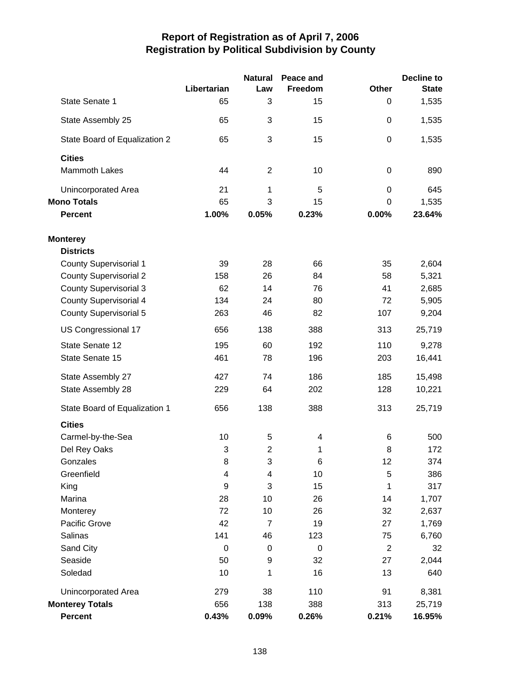|                               |                  | <b>Natural</b>           | Peace and |                  | <b>Decline to</b> |
|-------------------------------|------------------|--------------------------|-----------|------------------|-------------------|
|                               | Libertarian      | Law                      | Freedom   | <b>Other</b>     | <b>State</b>      |
| State Senate 1                | 65               | 3                        | 15        | 0                | 1,535             |
| State Assembly 25             | 65               | 3                        | 15        | $\boldsymbol{0}$ | 1,535             |
| State Board of Equalization 2 | 65               | 3                        | 15        | $\mathbf 0$      | 1,535             |
| <b>Cities</b>                 |                  |                          |           |                  |                   |
| <b>Mammoth Lakes</b>          | 44               | $\overline{2}$           | 10        | 0                | 890               |
| Unincorporated Area           | 21               | 1                        | 5         | $\mathbf 0$      | 645               |
| <b>Mono Totals</b>            | 65               | 3                        | 15        | 0                | 1,535             |
| <b>Percent</b>                | 1.00%            | 0.05%                    | 0.23%     | 0.00%            | 23.64%            |
| <b>Monterey</b>               |                  |                          |           |                  |                   |
| <b>Districts</b>              |                  |                          |           |                  |                   |
| <b>County Supervisorial 1</b> | 39               | 28                       | 66        | 35               | 2,604             |
| <b>County Supervisorial 2</b> | 158              | 26                       | 84        | 58               | 5,321             |
| <b>County Supervisorial 3</b> | 62               | 14                       | 76        | 41               | 2,685             |
| <b>County Supervisorial 4</b> | 134              | 24                       | 80        | 72               | 5,905             |
| <b>County Supervisorial 5</b> | 263              | 46                       | 82        | 107              | 9,204             |
| US Congressional 17           | 656              | 138                      | 388       | 313              | 25,719            |
| State Senate 12               | 195              | 60                       | 192       | 110              | 9,278             |
| State Senate 15               | 461              | 78                       | 196       | 203              | 16,441            |
| State Assembly 27             | 427              | 74                       | 186       | 185              | 15,498            |
| State Assembly 28             | 229              | 64                       | 202       | 128              | 10,221            |
| State Board of Equalization 1 | 656              | 138                      | 388       | 313              | 25,719            |
| <b>Cities</b>                 |                  |                          |           |                  |                   |
| Carmel-by-the-Sea             | 10               | 5                        | 4         | 6                | 500               |
| Del Rey Oaks                  | 3                | $\overline{2}$           | 1         | 8                | 172               |
| Gonzales                      | 8                | 3                        | 6         | 12               | 374               |
| Greenfield                    | 4                | $\overline{\mathcal{A}}$ | 10        | 5                | 386               |
| King                          | $\boldsymbol{9}$ | 3                        | 15        | 1                | 317               |
| Marina                        | 28               | 10                       | 26        | 14               | 1,707             |
| Monterey                      | 72               | 10                       | 26        | 32               | 2,637             |
| Pacific Grove                 | 42               | $\overline{7}$           | 19        | 27               | 1,769             |
| Salinas                       | 141              | 46                       | 123       | 75               | 6,760             |
| Sand City                     | $\boldsymbol{0}$ | $\pmb{0}$                | $\pmb{0}$ | $\overline{2}$   | 32                |
| Seaside                       | 50               | 9                        | 32        | 27               | 2,044             |
| Soledad                       | 10               | 1                        | 16        | 13               | 640               |
| <b>Unincorporated Area</b>    | 279              | 38                       | 110       | 91               | 8,381             |
| <b>Monterey Totals</b>        | 656              | 138                      | 388       | 313              | 25,719            |
| Percent                       | 0.43%            | 0.09%                    | 0.26%     | 0.21%            | 16.95%            |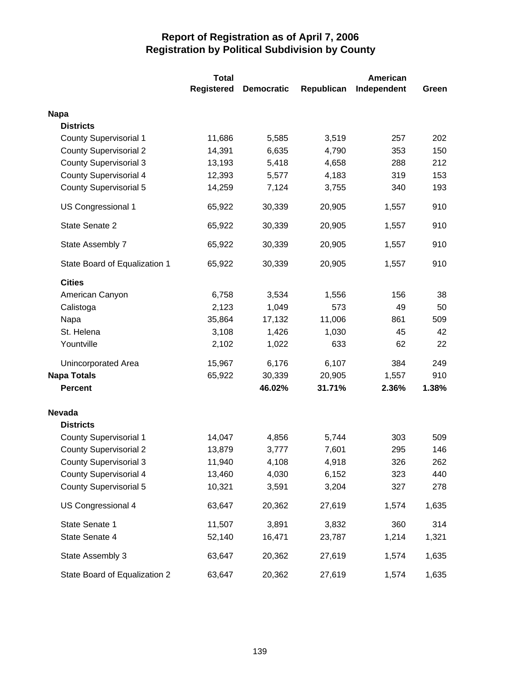|                               | <b>Total</b> |                   |            | <b>American</b> |       |
|-------------------------------|--------------|-------------------|------------|-----------------|-------|
|                               | Registered   | <b>Democratic</b> | Republican | Independent     | Green |
| <b>Napa</b>                   |              |                   |            |                 |       |
| <b>Districts</b>              |              |                   |            |                 |       |
| <b>County Supervisorial 1</b> | 11,686       | 5,585             | 3,519      | 257             | 202   |
| <b>County Supervisorial 2</b> | 14,391       | 6,635             | 4,790      | 353             | 150   |
| <b>County Supervisorial 3</b> | 13,193       | 5,418             | 4,658      | 288             | 212   |
| <b>County Supervisorial 4</b> | 12,393       | 5,577             | 4,183      | 319             | 153   |
| <b>County Supervisorial 5</b> | 14,259       | 7,124             | 3,755      | 340             | 193   |
| US Congressional 1            | 65,922       | 30,339            | 20,905     | 1,557           | 910   |
| State Senate 2                | 65,922       | 30,339            | 20,905     | 1,557           | 910   |
| State Assembly 7              | 65,922       | 30,339            | 20,905     | 1,557           | 910   |
| State Board of Equalization 1 | 65,922       | 30,339            | 20,905     | 1,557           | 910   |
| <b>Cities</b>                 |              |                   |            |                 |       |
| American Canyon               | 6,758        | 3,534             | 1,556      | 156             | 38    |
| Calistoga                     | 2,123        | 1,049             | 573        | 49              | 50    |
| Napa                          | 35,864       | 17,132            | 11,006     | 861             | 509   |
| St. Helena                    | 3,108        | 1,426             | 1,030      | 45              | 42    |
| Yountville                    | 2,102        | 1,022             | 633        | 62              | 22    |
| <b>Unincorporated Area</b>    | 15,967       | 6,176             | 6,107      | 384             | 249   |
| <b>Napa Totals</b>            | 65,922       | 30,339            | 20,905     | 1,557           | 910   |
| <b>Percent</b>                |              | 46.02%            | 31.71%     | 2.36%           | 1.38% |
| <b>Nevada</b>                 |              |                   |            |                 |       |
| <b>Districts</b>              |              |                   |            |                 |       |
| <b>County Supervisorial 1</b> | 14,047       | 4,856             | 5,744      | 303             | 509   |
| <b>County Supervisorial 2</b> | 13,879       | 3,777             | 7,601      | 295             | 146   |
| <b>County Supervisorial 3</b> | 11,940       | 4,108             | 4,918      | 326             | 262   |
| <b>County Supervisorial 4</b> | 13,460       | 4,030             | 6,152      | 323             | 440   |
| <b>County Supervisorial 5</b> | 10,321       | 3,591             | 3,204      | 327             | 278   |
| US Congressional 4            | 63,647       | 20,362            | 27,619     | 1,574           | 1,635 |
| State Senate 1                | 11,507       | 3,891             | 3,832      | 360             | 314   |
| State Senate 4                | 52,140       | 16,471            | 23,787     | 1,214           | 1,321 |
| State Assembly 3              | 63,647       | 20,362            | 27,619     | 1,574           | 1,635 |
| State Board of Equalization 2 | 63,647       | 20,362            | 27,619     | 1,574           | 1,635 |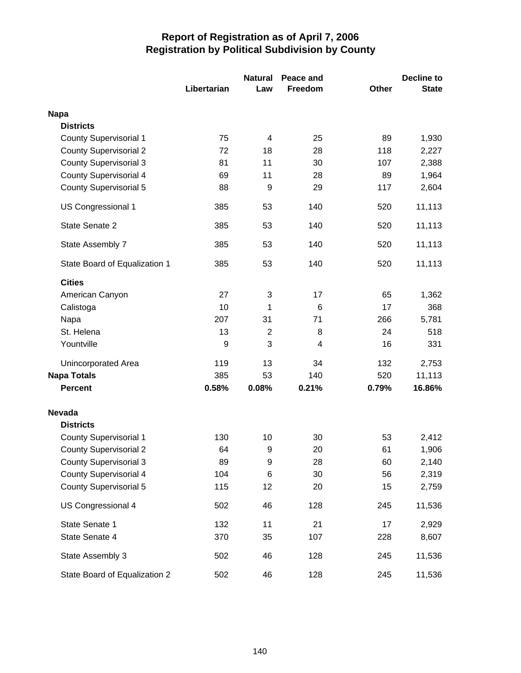|                               |             | <b>Natural</b>   | Peace and |              | <b>Decline to</b> |
|-------------------------------|-------------|------------------|-----------|--------------|-------------------|
|                               | Libertarian | Law              | Freedom   | <b>Other</b> | <b>State</b>      |
| <b>Napa</b>                   |             |                  |           |              |                   |
| <b>Districts</b>              |             |                  |           |              |                   |
| <b>County Supervisorial 1</b> | 75          | 4                | 25        | 89           | 1,930             |
| <b>County Supervisorial 2</b> | 72          | 18               | 28        | 118          | 2,227             |
| <b>County Supervisorial 3</b> | 81          | 11               | 30        | 107          | 2,388             |
| <b>County Supervisorial 4</b> | 69          | 11               | 28        | 89           | 1,964             |
| <b>County Supervisorial 5</b> | 88          | 9                | 29        | 117          | 2,604             |
| US Congressional 1            | 385         | 53               | 140       | 520          | 11,113            |
| State Senate 2                | 385         | 53               | 140       | 520          | 11,113            |
| State Assembly 7              | 385         | 53               | 140       | 520          | 11,113            |
| State Board of Equalization 1 | 385         | 53               | 140       | 520          | 11,113            |
| <b>Cities</b>                 |             |                  |           |              |                   |
| American Canyon               | 27          | 3                | 17        | 65           | 1,362             |
| Calistoga                     | 10          | 1                | 6         | 17           | 368               |
| Napa                          | 207         | 31               | 71        | 266          | 5,781             |
| St. Helena                    | 13          | $\overline{2}$   | 8         | 24           | 518               |
| Yountville                    | 9           | 3                | 4         | 16           | 331               |
| Unincorporated Area           | 119         | 13               | 34        | 132          | 2,753             |
| <b>Napa Totals</b>            | 385         | 53               | 140       | 520          | 11,113            |
| <b>Percent</b>                | 0.58%       | 0.08%            | 0.21%     | 0.79%        | 16.86%            |
| <b>Nevada</b>                 |             |                  |           |              |                   |
| <b>Districts</b>              |             |                  |           |              |                   |
| <b>County Supervisorial 1</b> | 130         | 10               | 30        | 53           | 2,412             |
| <b>County Supervisorial 2</b> | 64          | 9                | 20        | 61           | 1,906             |
| <b>County Supervisorial 3</b> | 89          | $\boldsymbol{9}$ | 28        | 60           | 2,140             |
| <b>County Supervisorial 4</b> | 104         | 6                | 30        | 56           | 2,319             |
| <b>County Supervisorial 5</b> | 115         | 12               | 20        | 15           | 2,759             |
| US Congressional 4            | 502         | 46               | 128       | 245          | 11,536            |
| State Senate 1                | 132         | 11               | 21        | 17           | 2,929             |
| State Senate 4                | 370         | 35               | 107       | 228          | 8,607             |
| State Assembly 3              | 502         | 46               | 128       | 245          | 11,536            |
| State Board of Equalization 2 | 502         | 46               | 128       | 245          | 11,536            |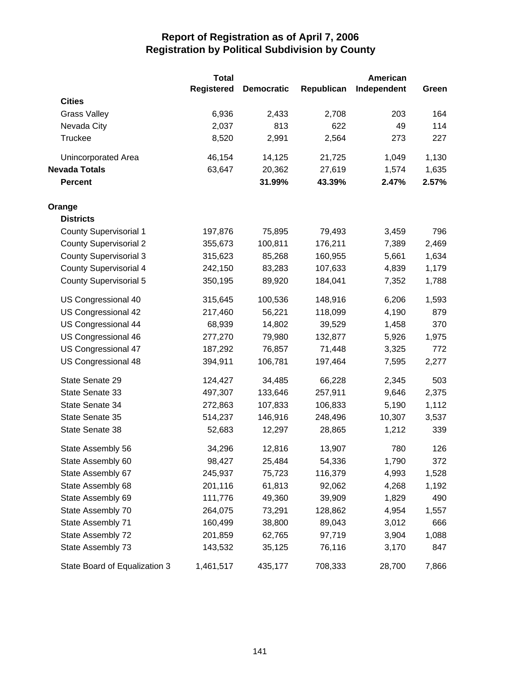|                               | <b>Total</b> |                   |            | American    |       |
|-------------------------------|--------------|-------------------|------------|-------------|-------|
|                               | Registered   | <b>Democratic</b> | Republican | Independent | Green |
| <b>Cities</b>                 |              |                   |            |             |       |
| <b>Grass Valley</b>           | 6,936        | 2,433             | 2,708      | 203         | 164   |
| Nevada City                   | 2,037        | 813               | 622        | 49          | 114   |
| <b>Truckee</b>                | 8,520        | 2,991             | 2,564      | 273         | 227   |
| Unincorporated Area           | 46,154       | 14,125            | 21,725     | 1,049       | 1,130 |
| <b>Nevada Totals</b>          | 63,647       | 20,362            | 27,619     | 1,574       | 1,635 |
| <b>Percent</b>                |              | 31.99%            | 43.39%     | 2.47%       | 2.57% |
| Orange                        |              |                   |            |             |       |
| <b>Districts</b>              |              |                   |            |             |       |
| <b>County Supervisorial 1</b> | 197,876      | 75,895            | 79,493     | 3,459       | 796   |
| <b>County Supervisorial 2</b> | 355,673      | 100,811           | 176,211    | 7,389       | 2,469 |
| <b>County Supervisorial 3</b> | 315,623      | 85,268            | 160,955    | 5,661       | 1,634 |
| <b>County Supervisorial 4</b> | 242,150      | 83,283            | 107,633    | 4,839       | 1,179 |
| <b>County Supervisorial 5</b> | 350,195      | 89,920            | 184,041    | 7,352       | 1,788 |
| US Congressional 40           | 315,645      | 100,536           | 148,916    | 6,206       | 1,593 |
| US Congressional 42           | 217,460      | 56,221            | 118,099    | 4,190       | 879   |
| US Congressional 44           | 68,939       | 14,802            | 39,529     | 1,458       | 370   |
| US Congressional 46           | 277,270      | 79,980            | 132,877    | 5,926       | 1,975 |
| US Congressional 47           | 187,292      | 76,857            | 71,448     | 3,325       | 772   |
| US Congressional 48           | 394,911      | 106,781           | 197,464    | 7,595       | 2,277 |
| State Senate 29               | 124,427      | 34,485            | 66,228     | 2,345       | 503   |
| State Senate 33               | 497,307      | 133,646           | 257,911    | 9,646       | 2,375 |
| State Senate 34               | 272,863      | 107,833           | 106,833    | 5,190       | 1,112 |
| State Senate 35               | 514,237      | 146,916           | 248,496    | 10,307      | 3,537 |
| State Senate 38               | 52,683       | 12,297            | 28,865     | 1,212       | 339   |
| State Assembly 56             | 34,296       | 12,816            | 13,907     | 780         | 126   |
| State Assembly 60             | 98,427       | 25,484            | 54,336     | 1,790       | 372   |
| State Assembly 67             | 245,937      | 75,723            | 116,379    | 4,993       | 1,528 |
| State Assembly 68             | 201,116      | 61,813            | 92,062     | 4,268       | 1,192 |
| State Assembly 69             | 111,776      | 49,360            | 39,909     | 1,829       | 490   |
| State Assembly 70             | 264,075      | 73,291            | 128,862    | 4,954       | 1,557 |
| State Assembly 71             | 160,499      | 38,800            | 89,043     | 3,012       | 666   |
| State Assembly 72             | 201,859      | 62,765            | 97,719     | 3,904       | 1,088 |
| State Assembly 73             | 143,532      | 35,125            | 76,116     | 3,170       | 847   |
| State Board of Equalization 3 | 1,461,517    | 435,177           | 708,333    | 28,700      | 7,866 |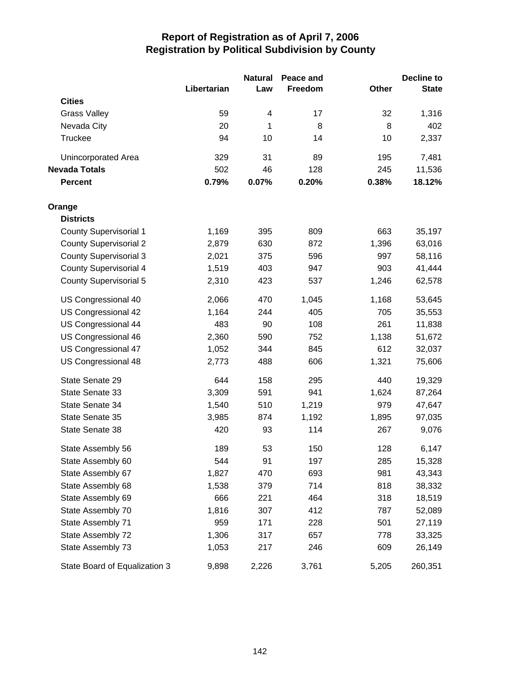|                               |             | <b>Natural</b> | Peace and |       | <b>Decline to</b> |
|-------------------------------|-------------|----------------|-----------|-------|-------------------|
|                               | Libertarian | Law            | Freedom   | Other | <b>State</b>      |
| <b>Cities</b>                 |             |                |           |       |                   |
| <b>Grass Valley</b>           | 59          | 4              | 17        | 32    | 1,316             |
| Nevada City                   | 20          | 1              | 8         | 8     | 402               |
| Truckee                       | 94          | 10             | 14        | 10    | 2,337             |
| Unincorporated Area           | 329         | 31             | 89        | 195   | 7,481             |
| <b>Nevada Totals</b>          | 502         | 46             | 128       | 245   | 11,536            |
| <b>Percent</b>                | 0.79%       | 0.07%          | 0.20%     | 0.38% | 18.12%            |
| Orange                        |             |                |           |       |                   |
| <b>Districts</b>              |             |                |           |       |                   |
| <b>County Supervisorial 1</b> | 1,169       | 395            | 809       | 663   | 35,197            |
| <b>County Supervisorial 2</b> | 2,879       | 630            | 872       | 1,396 | 63,016            |
| <b>County Supervisorial 3</b> | 2,021       | 375            | 596       | 997   | 58,116            |
| <b>County Supervisorial 4</b> | 1,519       | 403            | 947       | 903   | 41,444            |
| County Supervisorial 5        | 2,310       | 423            | 537       | 1,246 | 62,578            |
| US Congressional 40           | 2,066       | 470            | 1,045     | 1,168 | 53,645            |
| US Congressional 42           | 1,164       | 244            | 405       | 705   | 35,553            |
| US Congressional 44           | 483         | 90             | 108       | 261   | 11,838            |
| US Congressional 46           | 2,360       | 590            | 752       | 1,138 | 51,672            |
| US Congressional 47           | 1,052       | 344            | 845       | 612   | 32,037            |
| US Congressional 48           | 2,773       | 488            | 606       | 1,321 | 75,606            |
| State Senate 29               | 644         | 158            | 295       | 440   | 19,329            |
| State Senate 33               | 3,309       | 591            | 941       | 1,624 | 87,264            |
| State Senate 34               | 1,540       | 510            | 1,219     | 979   | 47,647            |
| State Senate 35               | 3,985       | 874            | 1,192     | 1,895 | 97,035            |
| State Senate 38               | 420         | 93             | 114       | 267   | 9,076             |
| State Assembly 56             | 189         | 53             | 150       | 128   | 6,147             |
| State Assembly 60             | 544         | 91             | 197       | 285   | 15,328            |
| State Assembly 67             | 1,827       | 470            | 693       | 981   | 43,343            |
| State Assembly 68             | 1,538       | 379            | 714       | 818   | 38,332            |
| State Assembly 69             | 666         | 221            | 464       | 318   | 18,519            |
| State Assembly 70             | 1,816       | 307            | 412       | 787   | 52,089            |
| State Assembly 71             | 959         | 171            | 228       | 501   | 27,119            |
| State Assembly 72             | 1,306       | 317            | 657       | 778   | 33,325            |
| State Assembly 73             | 1,053       | 217            | 246       | 609   | 26,149            |
| State Board of Equalization 3 | 9,898       | 2,226          | 3,761     | 5,205 | 260,351           |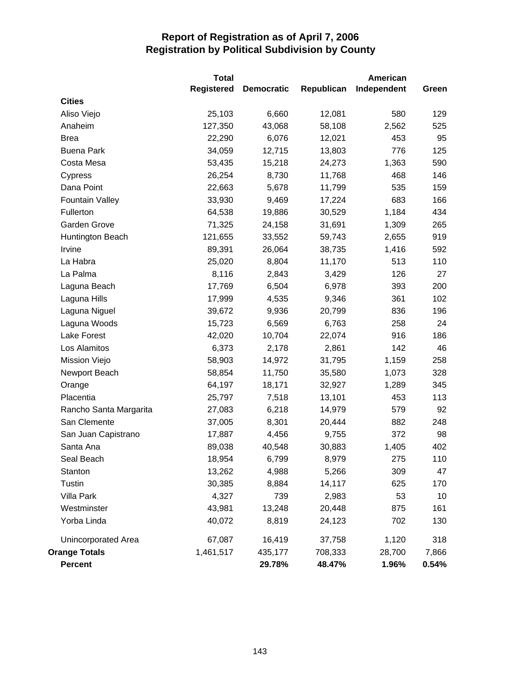|                        | <b>Total</b>      |                   |            | <b>American</b> |       |
|------------------------|-------------------|-------------------|------------|-----------------|-------|
|                        | <b>Registered</b> | <b>Democratic</b> | Republican | Independent     | Green |
| <b>Cities</b>          |                   |                   |            |                 |       |
| Aliso Viejo            | 25,103            | 6,660             | 12,081     | 580             | 129   |
| Anaheim                | 127,350           | 43,068            | 58,108     | 2,562           | 525   |
| <b>Brea</b>            | 22,290            | 6,076             | 12,021     | 453             | 95    |
| <b>Buena Park</b>      | 34,059            | 12,715            | 13,803     | 776             | 125   |
| Costa Mesa             | 53,435            | 15,218            | 24,273     | 1,363           | 590   |
| Cypress                | 26,254            | 8,730             | 11,768     | 468             | 146   |
| Dana Point             | 22,663            | 5,678             | 11,799     | 535             | 159   |
| <b>Fountain Valley</b> | 33,930            | 9,469             | 17,224     | 683             | 166   |
| Fullerton              | 64,538            | 19,886            | 30,529     | 1,184           | 434   |
| Garden Grove           | 71,325            | 24,158            | 31,691     | 1,309           | 265   |
| Huntington Beach       | 121,655           | 33,552            | 59,743     | 2,655           | 919   |
| Irvine                 | 89,391            | 26,064            | 38,735     | 1,416           | 592   |
| La Habra               | 25,020            | 8,804             | 11,170     | 513             | 110   |
| La Palma               | 8,116             | 2,843             | 3,429      | 126             | 27    |
| Laguna Beach           | 17,769            | 6,504             | 6,978      | 393             | 200   |
| Laguna Hills           | 17,999            | 4,535             | 9,346      | 361             | 102   |
| Laguna Niguel          | 39,672            | 9,936             | 20,799     | 836             | 196   |
| Laguna Woods           | 15,723            | 6,569             | 6,763      | 258             | 24    |
| <b>Lake Forest</b>     | 42,020            | 10,704            | 22,074     | 916             | 186   |
| Los Alamitos           | 6,373             | 2,178             | 2,861      | 142             | 46    |
| Mission Viejo          | 58,903            | 14,972            | 31,795     | 1,159           | 258   |
| Newport Beach          | 58,854            | 11,750            | 35,580     | 1,073           | 328   |
| Orange                 | 64,197            | 18,171            | 32,927     | 1,289           | 345   |
| Placentia              | 25,797            | 7,518             | 13,101     | 453             | 113   |
| Rancho Santa Margarita | 27,083            | 6,218             | 14,979     | 579             | 92    |
| San Clemente           | 37,005            | 8,301             | 20,444     | 882             | 248   |
| San Juan Capistrano    | 17,887            | 4,456             | 9,755      | 372             | 98    |
| Santa Ana              | 89,038            | 40,548            | 30,883     | 1,405           | 402   |
| Seal Beach             | 18,954            | 6,799             | 8,979      | 275             | 110   |
| Stanton                | 13,262            | 4,988             | 5,266      | 309             | 47    |
| Tustin                 | 30,385            | 8,884             | 14,117     | 625             | 170   |
| Villa Park             | 4,327             | 739               | 2,983      | 53              | 10    |
| Westminster            | 43,981            | 13,248            | 20,448     | 875             | 161   |
| Yorba Linda            | 40,072            | 8,819             | 24,123     | 702             | 130   |
| Unincorporated Area    | 67,087            | 16,419            | 37,758     | 1,120           | 318   |
| <b>Orange Totals</b>   | 1,461,517         | 435,177           | 708,333    | 28,700          | 7,866 |
| Percent                |                   | 29.78%            | 48.47%     | 1.96%           | 0.54% |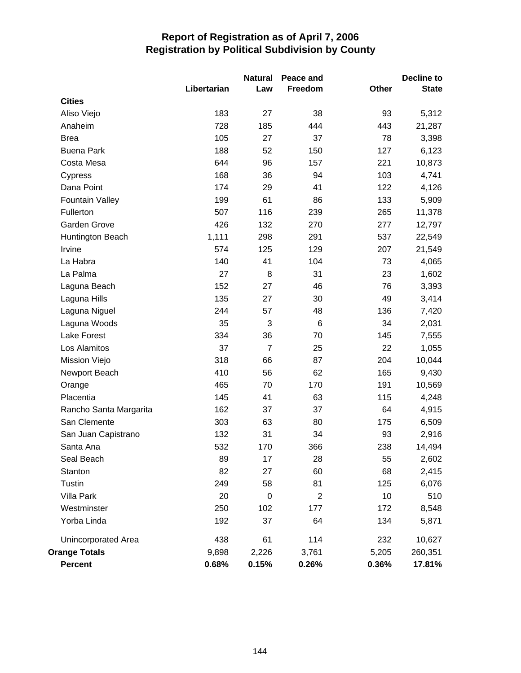|                            |             | <b>Natural</b> | Peace and      |       | <b>Decline to</b> |
|----------------------------|-------------|----------------|----------------|-------|-------------------|
|                            | Libertarian | Law            | Freedom        | Other | <b>State</b>      |
| <b>Cities</b>              |             |                |                |       |                   |
| Aliso Viejo                | 183         | 27             | 38             | 93    | 5,312             |
| Anaheim                    | 728         | 185            | 444            | 443   | 21,287            |
| <b>Brea</b>                | 105         | 27             | 37             | 78    | 3,398             |
| <b>Buena Park</b>          | 188         | 52             | 150            | 127   | 6,123             |
| Costa Mesa                 | 644         | 96             | 157            | 221   | 10,873            |
| Cypress                    | 168         | 36             | 94             | 103   | 4,741             |
| Dana Point                 | 174         | 29             | 41             | 122   | 4,126             |
| <b>Fountain Valley</b>     | 199         | 61             | 86             | 133   | 5,909             |
| Fullerton                  | 507         | 116            | 239            | 265   | 11,378            |
| Garden Grove               | 426         | 132            | 270            | 277   | 12,797            |
| Huntington Beach           | 1,111       | 298            | 291            | 537   | 22,549            |
| Irvine                     | 574         | 125            | 129            | 207   | 21,549            |
| La Habra                   | 140         | 41             | 104            | 73    | 4,065             |
| La Palma                   | 27          | 8              | 31             | 23    | 1,602             |
| Laguna Beach               | 152         | 27             | 46             | 76    | 3,393             |
| Laguna Hills               | 135         | 27             | 30             | 49    | 3,414             |
| Laguna Niguel              | 244         | 57             | 48             | 136   | 7,420             |
| Laguna Woods               | 35          | 3              | 6              | 34    | 2,031             |
| <b>Lake Forest</b>         | 334         | 36             | 70             | 145   | 7,555             |
| Los Alamitos               | 37          | $\overline{7}$ | 25             | 22    | 1,055             |
| Mission Viejo              | 318         | 66             | 87             | 204   | 10,044            |
| Newport Beach              | 410         | 56             | 62             | 165   | 9,430             |
| Orange                     | 465         | 70             | 170            | 191   | 10,569            |
| Placentia                  | 145         | 41             | 63             | 115   | 4,248             |
| Rancho Santa Margarita     | 162         | 37             | 37             | 64    | 4,915             |
| San Clemente               | 303         | 63             | 80             | 175   | 6,509             |
| San Juan Capistrano        | 132         | 31             | 34             | 93    | 2,916             |
| Santa Ana                  | 532         | 170            | 366            | 238   | 14,494            |
| Seal Beach                 | 89          | 17             | 28             | 55    | 2,602             |
| Stanton                    | 82          | 27             | 60             | 68    | 2,415             |
| Tustin                     | 249         | 58             | 81             | 125   | 6,076             |
| Villa Park                 | 20          | $\pmb{0}$      | $\overline{2}$ | 10    | 510               |
| Westminster                | 250         | 102            | 177            | 172   | 8,548             |
| Yorba Linda                | 192         | 37             | 64             | 134   | 5,871             |
| <b>Unincorporated Area</b> | 438         | 61             | 114            | 232   | 10,627            |
| <b>Orange Totals</b>       | 9,898       | 2,226          | 3,761          | 5,205 | 260,351           |
| Percent                    | 0.68%       | 0.15%          | 0.26%          | 0.36% | 17.81%            |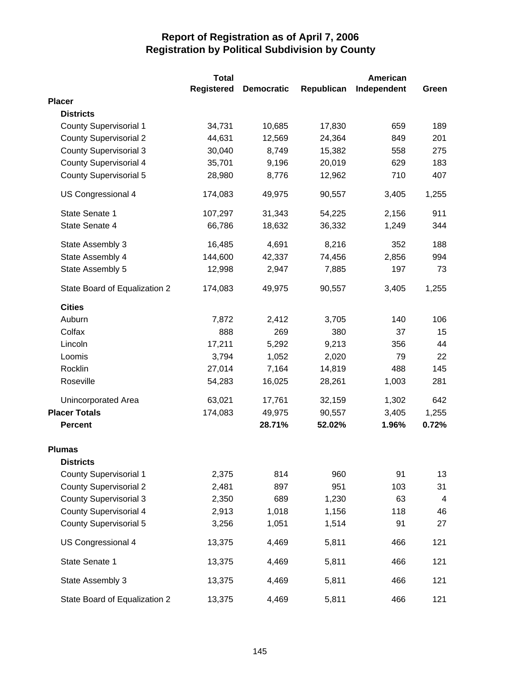|                               | <b>Total</b> |                   |            | <b>American</b> |                |
|-------------------------------|--------------|-------------------|------------|-----------------|----------------|
|                               | Registered   | <b>Democratic</b> | Republican | Independent     | Green          |
| <b>Placer</b>                 |              |                   |            |                 |                |
| <b>Districts</b>              |              |                   |            |                 |                |
| <b>County Supervisorial 1</b> | 34,731       | 10,685            | 17,830     | 659             | 189            |
| <b>County Supervisorial 2</b> | 44,631       | 12,569            | 24,364     | 849             | 201            |
| <b>County Supervisorial 3</b> | 30,040       | 8,749             | 15,382     | 558             | 275            |
| <b>County Supervisorial 4</b> | 35,701       | 9,196             | 20,019     | 629             | 183            |
| <b>County Supervisorial 5</b> | 28,980       | 8,776             | 12,962     | 710             | 407            |
| US Congressional 4            | 174,083      | 49,975            | 90,557     | 3,405           | 1,255          |
| State Senate 1                | 107,297      | 31,343            | 54,225     | 2,156           | 911            |
| State Senate 4                | 66,786       | 18,632            | 36,332     | 1,249           | 344            |
| State Assembly 3              | 16,485       | 4,691             | 8,216      | 352             | 188            |
| State Assembly 4              | 144,600      | 42,337            | 74,456     | 2,856           | 994            |
| State Assembly 5              | 12,998       | 2,947             | 7,885      | 197             | 73             |
| State Board of Equalization 2 | 174,083      | 49,975            | 90,557     | 3,405           | 1,255          |
| <b>Cities</b>                 |              |                   |            |                 |                |
| Auburn                        | 7,872        | 2,412             | 3,705      | 140             | 106            |
| Colfax                        | 888          | 269               | 380        | 37              | 15             |
| Lincoln                       | 17,211       | 5,292             | 9,213      | 356             | 44             |
| Loomis                        | 3,794        | 1,052             | 2,020      | 79              | 22             |
| Rocklin                       | 27,014       | 7,164             | 14,819     | 488             | 145            |
| Roseville                     | 54,283       | 16,025            | 28,261     | 1,003           | 281            |
| <b>Unincorporated Area</b>    | 63,021       | 17,761            | 32,159     | 1,302           | 642            |
| <b>Placer Totals</b>          | 174,083      | 49,975            | 90,557     | 3,405           | 1,255          |
| <b>Percent</b>                |              | 28.71%            | 52.02%     | 1.96%           | 0.72%          |
| <b>Plumas</b>                 |              |                   |            |                 |                |
| <b>Districts</b>              |              |                   |            |                 |                |
| <b>County Supervisorial 1</b> | 2,375        | 814               | 960        | 91              | 13             |
| <b>County Supervisorial 2</b> | 2,481        | 897               | 951        | 103             | 31             |
| <b>County Supervisorial 3</b> | 2,350        | 689               | 1,230      | 63              | $\overline{4}$ |
| <b>County Supervisorial 4</b> | 2,913        | 1,018             | 1,156      | 118             | 46             |
| <b>County Supervisorial 5</b> | 3,256        | 1,051             | 1,514      | 91              | 27             |
| US Congressional 4            | 13,375       | 4,469             | 5,811      | 466             | 121            |
| State Senate 1                | 13,375       | 4,469             | 5,811      | 466             | 121            |
| State Assembly 3              | 13,375       | 4,469             | 5,811      | 466             | 121            |
| State Board of Equalization 2 | 13,375       | 4,469             | 5,811      | 466             | 121            |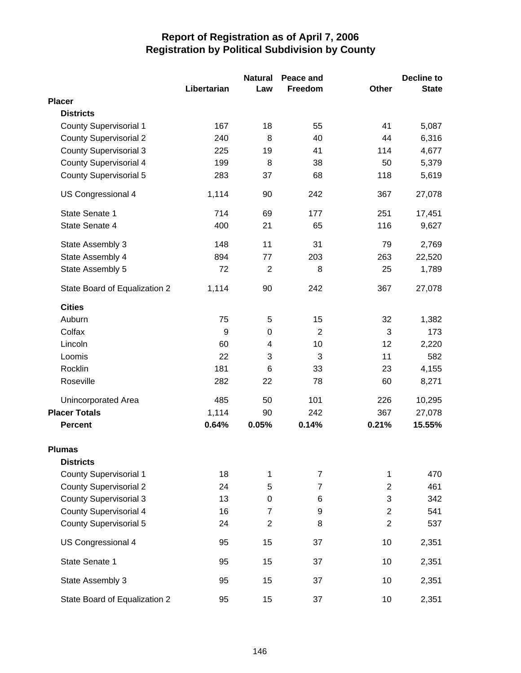|                               | Libertarian | <b>Natural</b><br>Law | Peace and<br>Freedom | Other                   | <b>Decline to</b><br><b>State</b> |
|-------------------------------|-------------|-----------------------|----------------------|-------------------------|-----------------------------------|
| <b>Placer</b>                 |             |                       |                      |                         |                                   |
| <b>Districts</b>              |             |                       |                      |                         |                                   |
| <b>County Supervisorial 1</b> | 167         | 18                    | 55                   | 41                      | 5,087                             |
| <b>County Supervisorial 2</b> | 240         | 8                     | 40                   | 44                      | 6,316                             |
| <b>County Supervisorial 3</b> | 225         | 19                    | 41                   | 114                     | 4,677                             |
| <b>County Supervisorial 4</b> | 199         | 8                     | 38                   | 50                      | 5,379                             |
| <b>County Supervisorial 5</b> | 283         | 37                    | 68                   | 118                     | 5,619                             |
| US Congressional 4            | 1,114       | 90                    | 242                  | 367                     | 27,078                            |
| State Senate 1                | 714         | 69                    | 177                  | 251                     | 17,451                            |
| State Senate 4                | 400         | 21                    | 65                   | 116                     | 9,627                             |
| State Assembly 3              | 148         | 11                    | 31                   | 79                      | 2,769                             |
| State Assembly 4              | 894         | 77                    | 203                  | 263                     | 22,520                            |
| State Assembly 5              | 72          | $\overline{2}$        | 8                    | 25                      | 1,789                             |
| State Board of Equalization 2 | 1,114       | 90                    | 242                  | 367                     | 27,078                            |
| <b>Cities</b>                 |             |                       |                      |                         |                                   |
| Auburn                        | 75          | 5                     | 15                   | 32                      | 1,382                             |
| Colfax                        | 9           | 0                     | $\overline{2}$       | 3                       | 173                               |
| Lincoln                       | 60          | 4                     | 10                   | 12                      | 2,220                             |
| Loomis                        | 22          | 3                     | 3                    | 11                      | 582                               |
| Rocklin                       | 181         | 6                     | 33                   | 23                      | 4,155                             |
| Roseville                     | 282         | 22                    | 78                   | 60                      | 8,271                             |
| Unincorporated Area           | 485         | 50                    | 101                  | 226                     | 10,295                            |
| <b>Placer Totals</b>          | 1,114       | 90                    | 242                  | 367                     | 27,078                            |
| <b>Percent</b>                | 0.64%       | 0.05%                 | 0.14%                | 0.21%                   | 15.55%                            |
| Plumas                        |             |                       |                      |                         |                                   |
| <b>Districts</b>              |             |                       |                      |                         |                                   |
| <b>County Supervisorial 1</b> | 18          | 1                     | $\overline{7}$       | 1                       | 470                               |
| <b>County Supervisorial 2</b> | 24          | 5                     | $\overline{7}$       | $\overline{2}$          | 461                               |
| <b>County Supervisorial 3</b> | 13          | $\pmb{0}$             | 6                    | 3                       | 342                               |
| <b>County Supervisorial 4</b> | 16          | $\overline{7}$        | 9                    | $\overline{\mathbf{c}}$ | 541                               |
| <b>County Supervisorial 5</b> | 24          | $\overline{2}$        | 8                    | $\overline{2}$          | 537                               |
| US Congressional 4            | 95          | 15                    | 37                   | 10                      | 2,351                             |
| State Senate 1                | 95          | 15                    | 37                   | 10                      | 2,351                             |
| State Assembly 3              | 95          | 15                    | 37                   | 10                      | 2,351                             |
| State Board of Equalization 2 | 95          | 15                    | 37                   | 10                      | 2,351                             |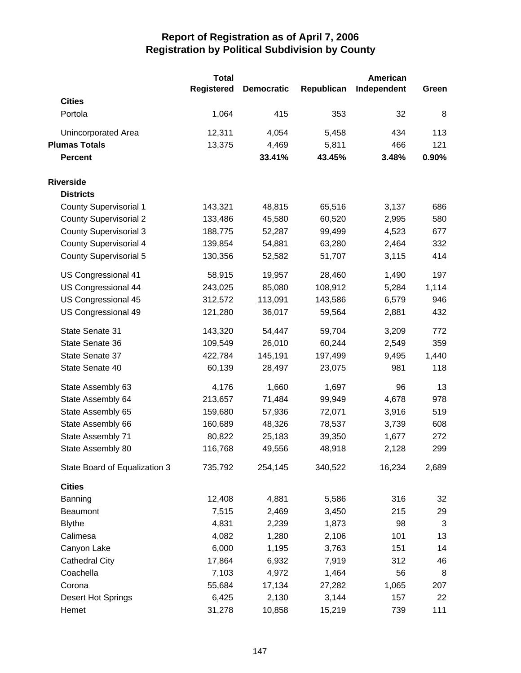|                               | <b>Total</b>      |                   |            | American    |       |
|-------------------------------|-------------------|-------------------|------------|-------------|-------|
|                               | <b>Registered</b> | <b>Democratic</b> | Republican | Independent | Green |
| <b>Cities</b>                 |                   |                   |            |             |       |
| Portola                       | 1,064             | 415               | 353        | 32          | 8     |
| Unincorporated Area           | 12,311            | 4,054             | 5,458      | 434         | 113   |
| <b>Plumas Totals</b>          | 13,375            | 4,469             | 5,811      | 466         | 121   |
| <b>Percent</b>                |                   | 33.41%            | 43.45%     | 3.48%       | 0.90% |
| <b>Riverside</b>              |                   |                   |            |             |       |
| <b>Districts</b>              |                   |                   |            |             |       |
| <b>County Supervisorial 1</b> | 143,321           | 48,815            | 65,516     | 3,137       | 686   |
| <b>County Supervisorial 2</b> | 133,486           | 45,580            | 60,520     | 2,995       | 580   |
| <b>County Supervisorial 3</b> | 188,775           | 52,287            | 99,499     | 4,523       | 677   |
| <b>County Supervisorial 4</b> | 139,854           | 54,881            | 63,280     | 2,464       | 332   |
| <b>County Supervisorial 5</b> | 130,356           | 52,582            | 51,707     | 3,115       | 414   |
| US Congressional 41           | 58,915            | 19,957            | 28,460     | 1,490       | 197   |
| US Congressional 44           | 243,025           | 85,080            | 108,912    | 5,284       | 1,114 |
| US Congressional 45           | 312,572           | 113,091           | 143,586    | 6,579       | 946   |
| US Congressional 49           | 121,280           | 36,017            | 59,564     | 2,881       | 432   |
| State Senate 31               | 143,320           | 54,447            | 59,704     | 3,209       | 772   |
| State Senate 36               | 109,549           | 26,010            | 60,244     | 2,549       | 359   |
| State Senate 37               | 422,784           | 145,191           | 197,499    | 9,495       | 1,440 |
| State Senate 40               | 60,139            | 28,497            | 23,075     | 981         | 118   |
| State Assembly 63             | 4,176             | 1,660             | 1,697      | 96          | 13    |
| State Assembly 64             | 213,657           | 71,484            | 99,949     | 4,678       | 978   |
| State Assembly 65             | 159,680           | 57,936            | 72,071     | 3,916       | 519   |
| State Assembly 66             | 160,689           | 48,326            | 78,537     | 3,739       | 608   |
| State Assembly 71             | 80,822            | 25,183            | 39,350     | 1,677       | 272   |
| State Assembly 80             | 116,768           | 49,556            | 48,918     | 2,128       | 299   |
| State Board of Equalization 3 | 735,792           | 254,145           | 340,522    | 16,234      | 2,689 |
| <b>Cities</b>                 |                   |                   |            |             |       |
| Banning                       | 12,408            | 4,881             | 5,586      | 316         | 32    |
| <b>Beaumont</b>               | 7,515             | 2,469             | 3,450      | 215         | 29    |
| <b>Blythe</b>                 | 4,831             | 2,239             | 1,873      | 98          | 3     |
| Calimesa                      | 4,082             | 1,280             | 2,106      | 101         | 13    |
| Canyon Lake                   | 6,000             | 1,195             | 3,763      | 151         | 14    |
| <b>Cathedral City</b>         | 17,864            | 6,932             | 7,919      | 312         | 46    |
| Coachella                     | 7,103             | 4,972             | 1,464      | 56          | 8     |
| Corona                        | 55,684            | 17,134            | 27,282     | 1,065       | 207   |
| Desert Hot Springs            | 6,425             | 2,130             | 3,144      | 157         | 22    |
| Hemet                         | 31,278            | 10,858            | 15,219     | 739         | 111   |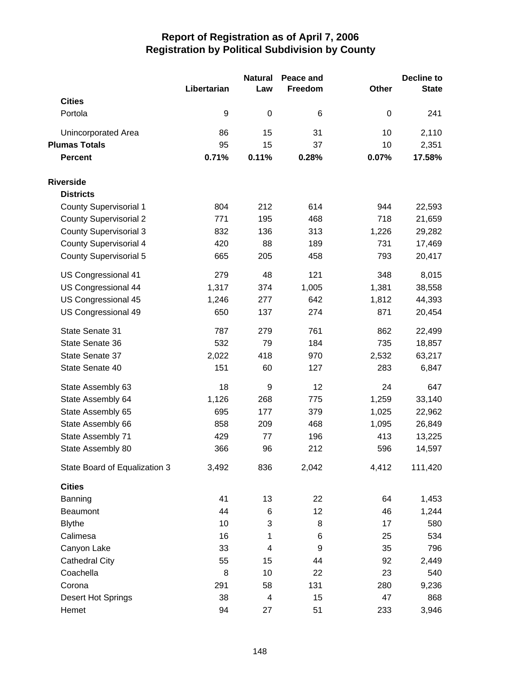|                               | Libertarian | <b>Natural</b><br>Law    | Peace and<br>Freedom | Other | Decline to<br><b>State</b> |
|-------------------------------|-------------|--------------------------|----------------------|-------|----------------------------|
| <b>Cities</b>                 |             |                          |                      |       |                            |
| Portola                       | 9           | $\pmb{0}$                | 6                    | 0     | 241                        |
| Unincorporated Area           | 86          | 15                       | 31                   | 10    | 2,110                      |
| <b>Plumas Totals</b>          | 95          | 15                       | 37                   | 10    | 2,351                      |
| <b>Percent</b>                | 0.71%       | 0.11%                    | 0.28%                | 0.07% | 17.58%                     |
| <b>Riverside</b>              |             |                          |                      |       |                            |
| <b>Districts</b>              |             |                          |                      |       |                            |
| <b>County Supervisorial 1</b> | 804         | 212                      | 614                  | 944   | 22,593                     |
| <b>County Supervisorial 2</b> | 771         | 195                      | 468                  | 718   | 21,659                     |
| <b>County Supervisorial 3</b> | 832         | 136                      | 313                  | 1,226 | 29,282                     |
| <b>County Supervisorial 4</b> | 420         | 88                       | 189                  | 731   | 17,469                     |
| <b>County Supervisorial 5</b> | 665         | 205                      | 458                  | 793   | 20,417                     |
| US Congressional 41           | 279         | 48                       | 121                  | 348   | 8,015                      |
| US Congressional 44           | 1,317       | 374                      | 1,005                | 1,381 | 38,558                     |
| US Congressional 45           | 1,246       | 277                      | 642                  | 1,812 | 44,393                     |
| US Congressional 49           | 650         | 137                      | 274                  | 871   | 20,454                     |
| State Senate 31               | 787         | 279                      | 761                  | 862   | 22,499                     |
| State Senate 36               | 532         | 79                       | 184                  | 735   | 18,857                     |
| State Senate 37               | 2,022       | 418                      | 970                  | 2,532 | 63,217                     |
| State Senate 40               | 151         | 60                       | 127                  | 283   | 6,847                      |
| State Assembly 63             | 18          | 9                        | 12                   | 24    | 647                        |
| State Assembly 64             | 1,126       | 268                      | 775                  | 1,259 | 33,140                     |
| State Assembly 65             | 695         | 177                      | 379                  | 1,025 | 22,962                     |
| State Assembly 66             | 858         | 209                      | 468                  | 1,095 | 26,849                     |
| State Assembly 71             | 429         | 77                       | 196                  | 413   | 13,225                     |
| State Assembly 80             | 366         | 96                       | 212                  | 596   | 14,597                     |
| State Board of Equalization 3 | 3,492       | 836                      | 2,042                | 4,412 | 111,420                    |
| <b>Cities</b>                 |             |                          |                      |       |                            |
| Banning                       | 41          | 13                       | 22                   | 64    | 1,453                      |
| Beaumont                      | 44          | 6                        | 12                   | 46    | 1,244                      |
| <b>Blythe</b>                 | 10          | 3                        | 8                    | 17    | 580                        |
| Calimesa                      | 16          | 1                        | 6                    | 25    | 534                        |
| Canyon Lake                   | 33          | $\overline{\mathcal{A}}$ | 9                    | 35    | 796                        |
| <b>Cathedral City</b>         | 55          | 15                       | 44                   | 92    | 2,449                      |
| Coachella                     | 8           | 10                       | 22                   | 23    | 540                        |
| Corona                        | 291         | 58                       | 131                  | 280   | 9,236                      |
| Desert Hot Springs            | 38          | $\overline{\mathcal{A}}$ | 15                   | 47    | 868                        |
| Hemet                         | 94          | 27                       | 51                   | 233   | 3,946                      |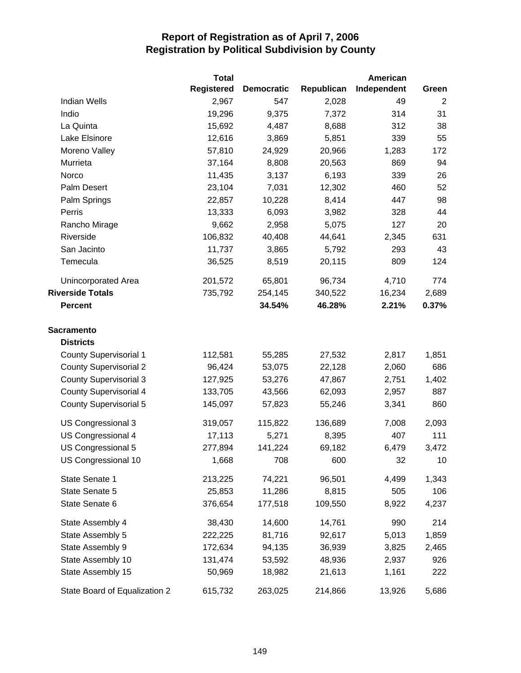|                               | <b>Total</b>      |                   |            | American    |       |
|-------------------------------|-------------------|-------------------|------------|-------------|-------|
|                               | <b>Registered</b> | <b>Democratic</b> | Republican | Independent | Green |
| <b>Indian Wells</b>           | 2,967             | 547               | 2,028      | 49          | 2     |
| Indio                         | 19,296            | 9,375             | 7,372      | 314         | 31    |
| La Quinta                     | 15,692            | 4,487             | 8,688      | 312         | 38    |
| Lake Elsinore                 | 12,616            | 3,869             | 5,851      | 339         | 55    |
| Moreno Valley                 | 57,810            | 24,929            | 20,966     | 1,283       | 172   |
| Murrieta                      | 37,164            | 8,808             | 20,563     | 869         | 94    |
| Norco                         | 11,435            | 3,137             | 6,193      | 339         | 26    |
| Palm Desert                   | 23,104            | 7,031             | 12,302     | 460         | 52    |
| Palm Springs                  | 22,857            | 10,228            | 8,414      | 447         | 98    |
| Perris                        | 13,333            | 6,093             | 3,982      | 328         | 44    |
| Rancho Mirage                 | 9,662             | 2,958             | 5,075      | 127         | 20    |
| Riverside                     | 106,832           | 40,408            | 44,641     | 2,345       | 631   |
| San Jacinto                   | 11,737            | 3,865             | 5,792      | 293         | 43    |
| Temecula                      | 36,525            | 8,519             | 20,115     | 809         | 124   |
| <b>Unincorporated Area</b>    | 201,572           | 65,801            | 96,734     | 4,710       | 774   |
| <b>Riverside Totals</b>       | 735,792           | 254,145           | 340,522    | 16,234      | 2,689 |
| <b>Percent</b>                |                   | 34.54%            | 46.28%     | 2.21%       | 0.37% |
| <b>Sacramento</b>             |                   |                   |            |             |       |
| <b>Districts</b>              |                   |                   |            |             |       |
| <b>County Supervisorial 1</b> | 112,581           | 55,285            | 27,532     | 2,817       | 1,851 |
| <b>County Supervisorial 2</b> | 96,424            | 53,075            | 22,128     | 2,060       | 686   |
| <b>County Supervisorial 3</b> | 127,925           | 53,276            | 47,867     | 2,751       | 1,402 |
| <b>County Supervisorial 4</b> | 133,705           | 43,566            | 62,093     | 2,957       | 887   |
| <b>County Supervisorial 5</b> | 145,097           | 57,823            | 55,246     | 3,341       | 860   |
| US Congressional 3            | 319,057           | 115,822           | 136,689    | 7,008       | 2,093 |
| US Congressional 4            | 17,113            | 5,271             | 8,395      | 407         | 111   |
| US Congressional 5            | 277,894           | 141,224           | 69,182     | 6,479       | 3,472 |
| US Congressional 10           | 1,668             | 708               | 600        | 32          | 10    |
| State Senate 1                | 213,225           | 74,221            | 96,501     | 4,499       | 1,343 |
| State Senate 5                | 25,853            | 11,286            | 8,815      | 505         | 106   |
| State Senate 6                | 376,654           | 177,518           | 109,550    | 8,922       | 4,237 |
| State Assembly 4              | 38,430            | 14,600            | 14,761     | 990         | 214   |
| State Assembly 5              | 222,225           | 81,716            | 92,617     | 5,013       | 1,859 |
| State Assembly 9              | 172,634           | 94,135            | 36,939     | 3,825       | 2,465 |
| State Assembly 10             | 131,474           | 53,592            | 48,936     | 2,937       | 926   |
| State Assembly 15             | 50,969            | 18,982            | 21,613     | 1,161       | 222   |
| State Board of Equalization 2 | 615,732           | 263,025           | 214,866    | 13,926      | 5,686 |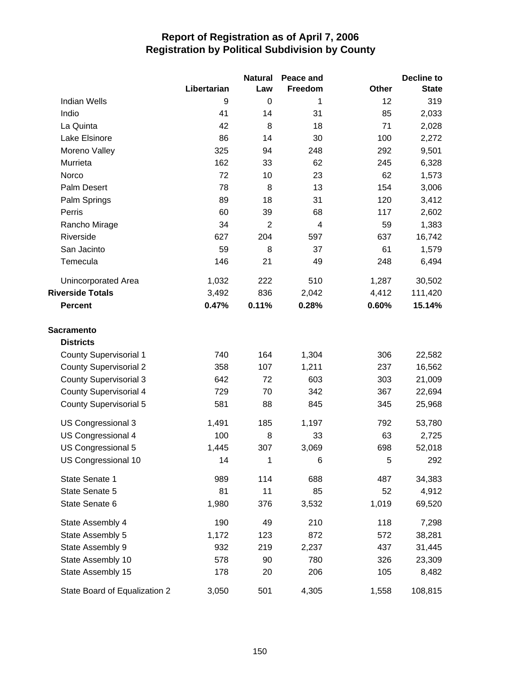|                               |             | <b>Natural</b> | Peace and      |       | Decline to   |
|-------------------------------|-------------|----------------|----------------|-------|--------------|
|                               | Libertarian | Law            | Freedom        | Other | <b>State</b> |
| <b>Indian Wells</b>           | 9           | $\Omega$       | 1              | 12    | 319          |
| Indio                         | 41          | 14             | 31             | 85    | 2,033        |
| La Quinta                     | 42          | 8              | 18             | 71    | 2,028        |
| Lake Elsinore                 | 86          | 14             | 30             | 100   | 2,272        |
| Moreno Valley                 | 325         | 94             | 248            | 292   | 9,501        |
| Murrieta                      | 162         | 33             | 62             | 245   | 6,328        |
| Norco                         | 72          | 10             | 23             | 62    | 1,573        |
| Palm Desert                   | 78          | 8              | 13             | 154   | 3,006        |
| Palm Springs                  | 89          | 18             | 31             | 120   | 3,412        |
| Perris                        | 60          | 39             | 68             | 117   | 2,602        |
| Rancho Mirage                 | 34          | $\overline{2}$ | $\overline{4}$ | 59    | 1,383        |
| Riverside                     | 627         | 204            | 597            | 637   | 16,742       |
| San Jacinto                   | 59          | 8              | 37             | 61    | 1,579        |
| Temecula                      | 146         | 21             | 49             | 248   | 6,494        |
| <b>Unincorporated Area</b>    | 1,032       | 222            | 510            | 1,287 | 30,502       |
| <b>Riverside Totals</b>       | 3,492       | 836            | 2,042          | 4,412 | 111,420      |
| <b>Percent</b>                | 0.47%       | 0.11%          | 0.28%          | 0.60% | 15.14%       |
| <b>Sacramento</b>             |             |                |                |       |              |
| <b>Districts</b>              |             |                |                |       |              |
| <b>County Supervisorial 1</b> | 740         | 164            | 1,304          | 306   | 22,582       |
| <b>County Supervisorial 2</b> | 358         | 107            | 1,211          | 237   | 16,562       |
| <b>County Supervisorial 3</b> | 642         | 72             | 603            | 303   | 21,009       |
| <b>County Supervisorial 4</b> | 729         | 70             | 342            | 367   | 22,694       |
| County Supervisorial 5        | 581         | 88             | 845            | 345   | 25,968       |
| US Congressional 3            | 1,491       | 185            | 1,197          | 792   | 53,780       |
| US Congressional 4            | 100         | 8              | 33             | 63    | 2,725        |
| US Congressional 5            | 1,445       | 307            | 3,069          | 698   | 52,018       |
| US Congressional 10           | 14          | 1              | 6              | 5     | 292          |
| State Senate 1                | 989         | 114            | 688            | 487   | 34,383       |
| State Senate 5                | 81          | 11             | 85             | 52    | 4,912        |
| State Senate 6                | 1,980       | 376            | 3,532          | 1,019 | 69,520       |
| State Assembly 4              | 190         | 49             | 210            | 118   | 7,298        |
| State Assembly 5              | 1,172       | 123            | 872            | 572   | 38,281       |
| State Assembly 9              | 932         | 219            | 2,237          | 437   | 31,445       |
| State Assembly 10             | 578         | 90             | 780            | 326   | 23,309       |
| State Assembly 15             | 178         | 20             | 206            | 105   | 8,482        |
| State Board of Equalization 2 | 3,050       | 501            | 4,305          | 1,558 | 108,815      |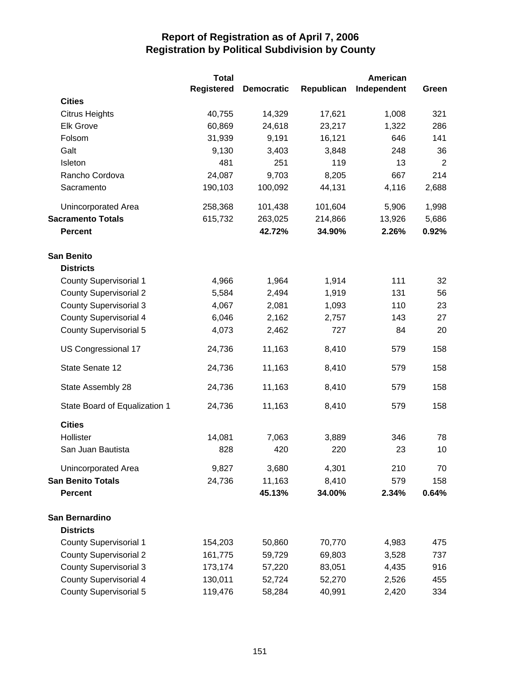|                               | <b>Total</b>      |                   |            | <b>American</b> |                |
|-------------------------------|-------------------|-------------------|------------|-----------------|----------------|
|                               | <b>Registered</b> | <b>Democratic</b> | Republican | Independent     | Green          |
| <b>Cities</b>                 |                   |                   |            |                 |                |
| <b>Citrus Heights</b>         | 40,755            | 14,329            | 17,621     | 1,008           | 321            |
| <b>Elk Grove</b>              | 60,869            | 24,618            | 23,217     | 1,322           | 286            |
| Folsom                        | 31,939            | 9,191             | 16,121     | 646             | 141            |
| Galt                          | 9,130             | 3,403             | 3,848      | 248             | 36             |
| Isleton                       | 481               | 251               | 119        | 13              | $\overline{2}$ |
| Rancho Cordova                | 24,087            | 9,703             | 8,205      | 667             | 214            |
| Sacramento                    | 190,103           | 100,092           | 44,131     | 4,116           | 2,688          |
| Unincorporated Area           | 258,368           | 101,438           | 101,604    | 5,906           | 1,998          |
| <b>Sacramento Totals</b>      | 615,732           | 263,025           | 214,866    | 13,926          | 5,686          |
| <b>Percent</b>                |                   | 42.72%            | 34.90%     | 2.26%           | 0.92%          |
| <b>San Benito</b>             |                   |                   |            |                 |                |
| <b>Districts</b>              |                   |                   |            |                 |                |
| <b>County Supervisorial 1</b> | 4,966             | 1,964             | 1,914      | 111             | 32             |
| <b>County Supervisorial 2</b> | 5,584             | 2,494             | 1,919      | 131             | 56             |
| <b>County Supervisorial 3</b> | 4,067             | 2,081             | 1,093      | 110             | 23             |
| <b>County Supervisorial 4</b> | 6,046             | 2,162             | 2,757      | 143             | 27             |
| <b>County Supervisorial 5</b> | 4,073             | 2,462             | 727        | 84              | 20             |
| US Congressional 17           | 24,736            | 11,163            | 8,410      | 579             | 158            |
| State Senate 12               | 24,736            | 11,163            | 8,410      | 579             | 158            |
| State Assembly 28             | 24,736            | 11,163            | 8,410      | 579             | 158            |
| State Board of Equalization 1 | 24,736            | 11,163            | 8,410      | 579             | 158            |
| <b>Cities</b>                 |                   |                   |            |                 |                |
| Hollister                     | 14,081            | 7,063             | 3,889      | 346             | 78             |
| San Juan Bautista             | 828               | 420               | 220        | 23              | 10             |
| Unincorporated Area           | 9,827             | 3,680             | 4,301      | 210             | 70             |
| <b>San Benito Totals</b>      | 24,736            | 11,163            | 8,410      | 579             | 158            |
| <b>Percent</b>                |                   | 45.13%            | 34.00%     | 2.34%           | 0.64%          |
| San Bernardino                |                   |                   |            |                 |                |
| <b>Districts</b>              |                   |                   |            |                 |                |
| <b>County Supervisorial 1</b> | 154,203           | 50,860            | 70,770     | 4,983           | 475            |
| <b>County Supervisorial 2</b> | 161,775           | 59,729            | 69,803     | 3,528           | 737            |
| <b>County Supervisorial 3</b> | 173,174           | 57,220            | 83,051     | 4,435           | 916            |
| <b>County Supervisorial 4</b> | 130,011           | 52,724            | 52,270     | 2,526           | 455            |
| <b>County Supervisorial 5</b> | 119,476           | 58,284            | 40,991     | 2,420           | 334            |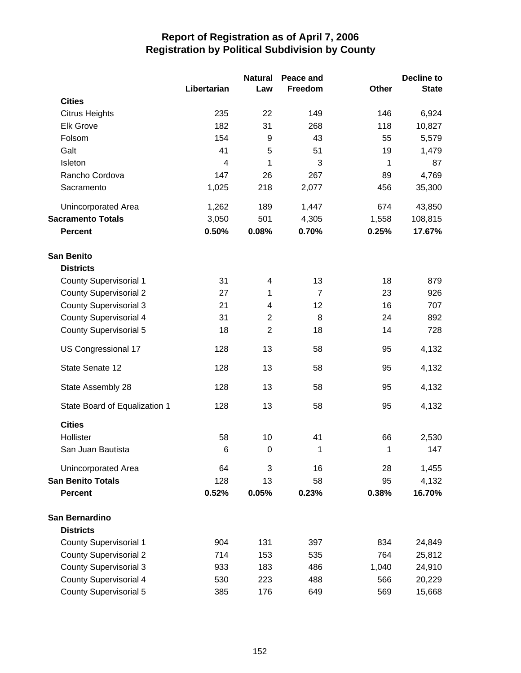|                               |                | <b>Natural</b> | Peace and      |              | Decline to   |
|-------------------------------|----------------|----------------|----------------|--------------|--------------|
|                               | Libertarian    | Law            | Freedom        | <b>Other</b> | <b>State</b> |
| <b>Cities</b>                 |                |                |                |              |              |
| <b>Citrus Heights</b>         | 235            | 22             | 149            | 146          | 6,924        |
| <b>Elk Grove</b>              | 182            | 31             | 268            | 118          | 10,827       |
| Folsom                        | 154            | 9              | 43             | 55           | 5,579        |
| Galt                          | 41             | 5              | 51             | 19           | 1,479        |
| Isleton                       | $\overline{4}$ | 1              | 3              | 1            | 87           |
| Rancho Cordova                | 147            | 26             | 267            | 89           | 4,769        |
| Sacramento                    | 1,025          | 218            | 2,077          | 456          | 35,300       |
| Unincorporated Area           | 1,262          | 189            | 1,447          | 674          | 43,850       |
| <b>Sacramento Totals</b>      | 3,050          | 501            | 4,305          | 1,558        | 108,815      |
| <b>Percent</b>                | 0.50%          | 0.08%          | 0.70%          | 0.25%        | 17.67%       |
| <b>San Benito</b>             |                |                |                |              |              |
| <b>Districts</b>              |                |                |                |              |              |
| <b>County Supervisorial 1</b> | 31             | 4              | 13             | 18           | 879          |
| <b>County Supervisorial 2</b> | 27             | 1              | $\overline{7}$ | 23           | 926          |
| <b>County Supervisorial 3</b> | 21             | 4              | 12             | 16           | 707          |
| <b>County Supervisorial 4</b> | 31             | $\overline{2}$ | 8              | 24           | 892          |
| <b>County Supervisorial 5</b> | 18             | $\overline{2}$ | 18             | 14           | 728          |
| US Congressional 17           | 128            | 13             | 58             | 95           | 4,132        |
| State Senate 12               | 128            | 13             | 58             | 95           | 4,132        |
| State Assembly 28             | 128            | 13             | 58             | 95           | 4,132        |
| State Board of Equalization 1 | 128            | 13             | 58             | 95           | 4,132        |
| <b>Cities</b>                 |                |                |                |              |              |
| Hollister                     | 58             | 10             | 41             | 66           | 2,530        |
| San Juan Bautista             | 6              | $\mathbf 0$    | 1              | 1            | 147          |
| Unincorporated Area           | 64             | 3              | 16             | 28           | 1,455        |
| <b>San Benito Totals</b>      | 128            | 13             | 58             | 95           | 4,132        |
| <b>Percent</b>                | 0.52%          | 0.05%          | 0.23%          | 0.38%        | 16.70%       |
| San Bernardino                |                |                |                |              |              |
| <b>Districts</b>              |                |                |                |              |              |
| <b>County Supervisorial 1</b> | 904            | 131            | 397            | 834          | 24,849       |
| <b>County Supervisorial 2</b> | 714            | 153            | 535            | 764          | 25,812       |
| <b>County Supervisorial 3</b> | 933            | 183            | 486            | 1,040        | 24,910       |
| <b>County Supervisorial 4</b> | 530            | 223            | 488            | 566          | 20,229       |
| <b>County Supervisorial 5</b> | 385            | 176            | 649            | 569          | 15,668       |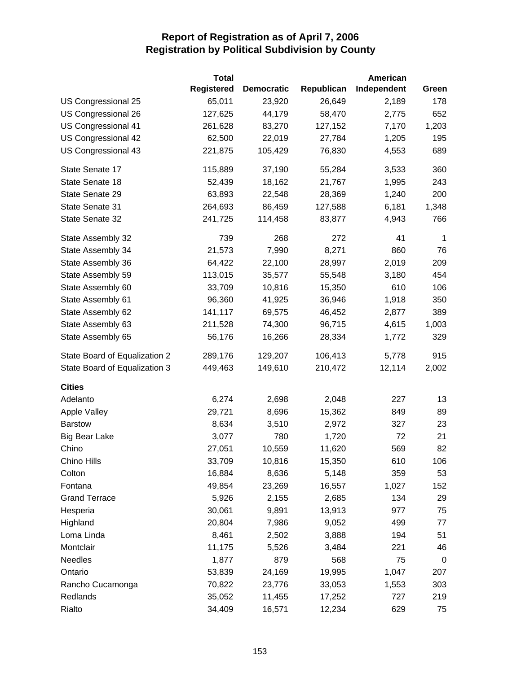|                               | <b>Total</b>      |                   |            | American    |             |
|-------------------------------|-------------------|-------------------|------------|-------------|-------------|
|                               | <b>Registered</b> | <b>Democratic</b> | Republican | Independent | Green       |
| US Congressional 25           | 65,011            | 23,920            | 26,649     | 2,189       | 178         |
| US Congressional 26           | 127,625           | 44,179            | 58,470     | 2,775       | 652         |
| US Congressional 41           | 261,628           | 83,270            | 127,152    | 7,170       | 1,203       |
| US Congressional 42           | 62,500            | 22,019            | 27,784     | 1,205       | 195         |
| US Congressional 43           | 221,875           | 105,429           | 76,830     | 4,553       | 689         |
| State Senate 17               | 115,889           | 37,190            | 55,284     | 3,533       | 360         |
| State Senate 18               | 52,439            | 18,162            | 21,767     | 1,995       | 243         |
| State Senate 29               | 63,893            | 22,548            | 28,369     | 1,240       | 200         |
| State Senate 31               | 264,693           | 86,459            | 127,588    | 6,181       | 1,348       |
| State Senate 32               | 241,725           | 114,458           | 83,877     | 4,943       | 766         |
| State Assembly 32             | 739               | 268               | 272        | 41          | $\mathbf 1$ |
| State Assembly 34             | 21,573            | 7,990             | 8,271      | 860         | 76          |
| State Assembly 36             | 64,422            | 22,100            | 28,997     | 2,019       | 209         |
| State Assembly 59             | 113,015           | 35,577            | 55,548     | 3,180       | 454         |
| State Assembly 60             | 33,709            | 10,816            | 15,350     | 610         | 106         |
| State Assembly 61             | 96,360            | 41,925            | 36,946     | 1,918       | 350         |
| State Assembly 62             | 141,117           | 69,575            | 46,452     | 2,877       | 389         |
| State Assembly 63             | 211,528           | 74,300            | 96,715     | 4,615       | 1,003       |
| State Assembly 65             | 56,176            | 16,266            | 28,334     | 1,772       | 329         |
| State Board of Equalization 2 | 289,176           | 129,207           | 106,413    | 5,778       | 915         |
| State Board of Equalization 3 | 449,463           | 149,610           | 210,472    | 12,114      | 2,002       |
| <b>Cities</b>                 |                   |                   |            |             |             |
| Adelanto                      | 6,274             | 2,698             | 2,048      | 227         | 13          |
| <b>Apple Valley</b>           | 29,721            | 8,696             | 15,362     | 849         | 89          |
| <b>Barstow</b>                | 8,634             | 3,510             | 2,972      | 327         | 23          |
| <b>Big Bear Lake</b>          | 3,077             | 780               | 1,720      | 72          | 21          |
| Chino                         | 27,051            | 10,559            | 11,620     | 569         | 82          |
| Chino Hills                   | 33,709            | 10,816            | 15,350     | 610         | 106         |
| Colton                        | 16,884            | 8,636             | 5,148      | 359         | 53          |
| Fontana                       | 49,854            | 23,269            | 16,557     | 1,027       | 152         |
| <b>Grand Terrace</b>          | 5,926             | 2,155             | 2,685      | 134         | 29          |
| Hesperia                      | 30,061            | 9,891             | 13,913     | 977         | 75          |
| Highland                      | 20,804            | 7,986             | 9,052      | 499         | 77          |
| Loma Linda                    | 8,461             | 2,502             | 3,888      | 194         | 51          |
| Montclair                     | 11,175            | 5,526             | 3,484      | 221         | 46          |
| <b>Needles</b>                | 1,877             | 879               | 568        | 75          | 0           |
| Ontario                       | 53,839            | 24,169            | 19,995     | 1,047       | 207         |
| Rancho Cucamonga              | 70,822            | 23,776            | 33,053     | 1,553       | 303         |
| Redlands                      | 35,052            | 11,455            | 17,252     | 727         | 219         |
| Rialto                        | 34,409            | 16,571            | 12,234     | 629         | 75          |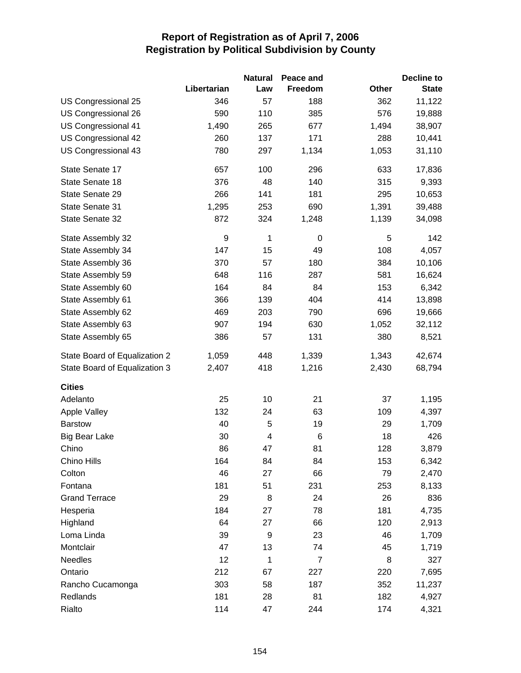|                               |                  | <b>Natural</b>          | Peace and      |       | <b>Decline to</b> |
|-------------------------------|------------------|-------------------------|----------------|-------|-------------------|
|                               | Libertarian      | Law                     | Freedom        | Other | <b>State</b>      |
| US Congressional 25           | 346              | 57                      | 188            | 362   | 11,122            |
| US Congressional 26           | 590              | 110                     | 385            | 576   | 19,888            |
| US Congressional 41           | 1,490            | 265                     | 677            | 1,494 | 38,907            |
| US Congressional 42           | 260              | 137                     | 171            | 288   | 10,441            |
| US Congressional 43           | 780              | 297                     | 1,134          | 1,053 | 31,110            |
| State Senate 17               | 657              | 100                     | 296            | 633   | 17,836            |
| State Senate 18               | 376              | 48                      | 140            | 315   | 9,393             |
| State Senate 29               | 266              | 141                     | 181            | 295   | 10,653            |
| State Senate 31               | 1,295            | 253                     | 690            | 1,391 | 39,488            |
| State Senate 32               | 872              | 324                     | 1,248          | 1,139 | 34,098            |
| State Assembly 32             | $\boldsymbol{9}$ | 1                       | 0              | 5     | 142               |
| State Assembly 34             | 147              | 15                      | 49             | 108   | 4,057             |
| State Assembly 36             | 370              | 57                      | 180            | 384   | 10,106            |
| State Assembly 59             | 648              | 116                     | 287            | 581   | 16,624            |
| State Assembly 60             | 164              | 84                      | 84             | 153   | 6,342             |
| State Assembly 61             | 366              | 139                     | 404            | 414   | 13,898            |
| State Assembly 62             | 469              | 203                     | 790            | 696   | 19,666            |
| State Assembly 63             | 907              | 194                     | 630            | 1,052 | 32,112            |
| State Assembly 65             | 386              | 57                      | 131            | 380   | 8,521             |
| State Board of Equalization 2 | 1,059            | 448                     | 1,339          | 1,343 | 42,674            |
| State Board of Equalization 3 | 2,407            | 418                     | 1,216          | 2,430 | 68,794            |
| <b>Cities</b>                 |                  |                         |                |       |                   |
| Adelanto                      | 25               | 10                      | 21             | 37    | 1,195             |
| <b>Apple Valley</b>           | 132              | 24                      | 63             | 109   | 4,397             |
| <b>Barstow</b>                | 40               | 5                       | 19             | 29    | 1,709             |
| Big Bear Lake                 | 30               | $\overline{\mathbf{4}}$ | 6              | 18    | 426               |
| Chino                         | 86               | 47                      | 81             | 128   | 3,879             |
| Chino Hills                   | 164              | 84                      | 84             | 153   | 6,342             |
| Colton                        | 46               | 27                      | 66             | 79    | 2,470             |
| Fontana                       | 181              | 51                      | 231            | 253   | 8,133             |
| <b>Grand Terrace</b>          | 29               | 8                       | 24             | 26    | 836               |
| Hesperia                      | 184              | 27                      | 78             | 181   | 4,735             |
| Highland                      | 64               | 27                      | 66             | 120   | 2,913             |
| Loma Linda                    | 39               | 9                       | 23             | 46    | 1,709             |
| Montclair                     | 47               | 13                      | 74             | 45    | 1,719             |
| <b>Needles</b>                | 12               | 1                       | $\overline{7}$ | 8     | 327               |
| Ontario                       | 212              | 67                      | 227            | 220   | 7,695             |
| Rancho Cucamonga              | 303              | 58                      | 187            | 352   | 11,237            |
| Redlands                      | 181              | 28                      | 81             | 182   | 4,927             |
| Rialto                        | 114              | 47                      | 244            | 174   | 4,321             |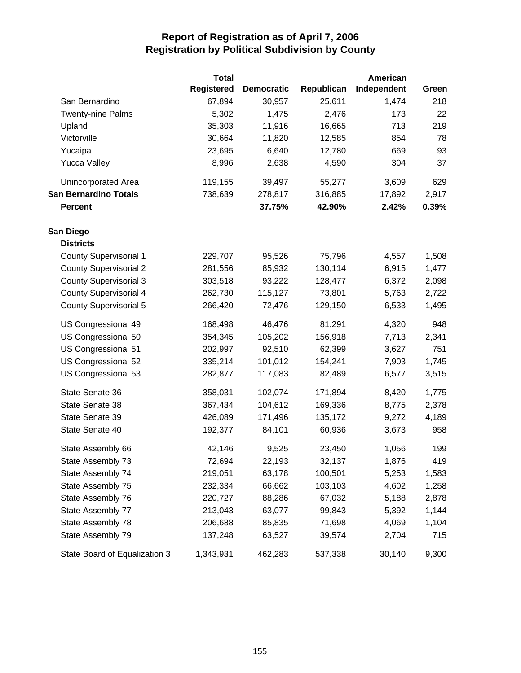|                               | <b>Total</b>      |                   |            | American    |       |
|-------------------------------|-------------------|-------------------|------------|-------------|-------|
|                               | <b>Registered</b> | <b>Democratic</b> | Republican | Independent | Green |
| San Bernardino                | 67,894            | 30,957            | 25,611     | 1,474       | 218   |
| Twenty-nine Palms             | 5,302             | 1,475             | 2,476      | 173         | 22    |
| Upland                        | 35,303            | 11,916            | 16,665     | 713         | 219   |
| Victorville                   | 30,664            | 11,820            | 12,585     | 854         | 78    |
| Yucaipa                       | 23,695            | 6,640             | 12,780     | 669         | 93    |
| <b>Yucca Valley</b>           | 8,996             | 2,638             | 4,590      | 304         | 37    |
| Unincorporated Area           | 119,155           | 39,497            | 55,277     | 3,609       | 629   |
| <b>San Bernardino Totals</b>  | 738,639           | 278,817           | 316,885    | 17,892      | 2,917 |
| <b>Percent</b>                |                   | 37.75%            | 42.90%     | 2.42%       | 0.39% |
| San Diego                     |                   |                   |            |             |       |
| <b>Districts</b>              |                   |                   |            |             |       |
| <b>County Supervisorial 1</b> | 229,707           | 95,526            | 75,796     | 4,557       | 1,508 |
| <b>County Supervisorial 2</b> | 281,556           | 85,932            | 130,114    | 6,915       | 1,477 |
| <b>County Supervisorial 3</b> | 303,518           | 93,222            | 128,477    | 6,372       | 2,098 |
| <b>County Supervisorial 4</b> | 262,730           | 115,127           | 73,801     | 5,763       | 2,722 |
| <b>County Supervisorial 5</b> | 266,420           | 72,476            | 129,150    | 6,533       | 1,495 |
| US Congressional 49           | 168,498           | 46,476            | 81,291     | 4,320       | 948   |
| US Congressional 50           | 354,345           | 105,202           | 156,918    | 7,713       | 2,341 |
| US Congressional 51           | 202,997           | 92,510            | 62,399     | 3,627       | 751   |
| US Congressional 52           | 335,214           | 101,012           | 154,241    | 7,903       | 1,745 |
| US Congressional 53           | 282,877           | 117,083           | 82,489     | 6,577       | 3,515 |
| State Senate 36               | 358,031           | 102,074           | 171,894    | 8,420       | 1,775 |
| State Senate 38               | 367,434           | 104,612           | 169,336    | 8,775       | 2,378 |
| State Senate 39               | 426,089           | 171,496           | 135,172    | 9,272       | 4,189 |
| State Senate 40               | 192,377           | 84,101            | 60,936     | 3,673       | 958   |
| State Assembly 66             | 42,146            | 9,525             | 23,450     | 1,056       | 199   |
| State Assembly 73             | 72,694            | 22,193            | 32,137     | 1,876       | 419   |
| State Assembly 74             | 219,051           | 63,178            | 100,501    | 5,253       | 1,583 |
| State Assembly 75             | 232,334           | 66,662            | 103,103    | 4,602       | 1,258 |
| State Assembly 76             | 220,727           | 88,286            | 67,032     | 5,188       | 2,878 |
| State Assembly 77             | 213,043           | 63,077            | 99,843     | 5,392       | 1,144 |
| State Assembly 78             | 206,688           | 85,835            | 71,698     | 4,069       | 1,104 |
| State Assembly 79             | 137,248           | 63,527            | 39,574     | 2,704       | 715   |
| State Board of Equalization 3 | 1,343,931         | 462,283           | 537,338    | 30,140      | 9,300 |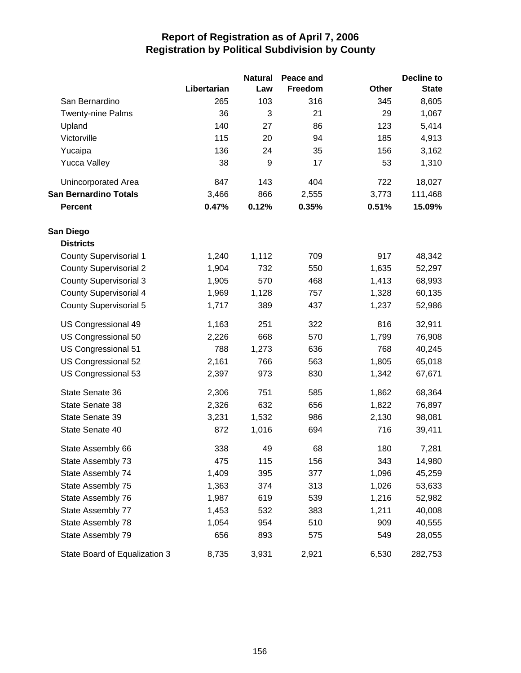|                               |             | <b>Natural</b> | Peace and |              | <b>Decline to</b> |
|-------------------------------|-------------|----------------|-----------|--------------|-------------------|
|                               | Libertarian | Law            | Freedom   | <b>Other</b> | <b>State</b>      |
| San Bernardino                | 265         | 103            | 316       | 345          | 8,605             |
| <b>Twenty-nine Palms</b>      | 36          | 3              | 21        | 29           | 1,067             |
| Upland                        | 140         | 27             | 86        | 123          | 5,414             |
| Victorville                   | 115         | 20             | 94        | 185          | 4,913             |
| Yucaipa                       | 136         | 24             | 35        | 156          | 3,162             |
| <b>Yucca Valley</b>           | 38          | 9              | 17        | 53           | 1,310             |
| Unincorporated Area           | 847         | 143            | 404       | 722          | 18,027            |
| <b>San Bernardino Totals</b>  | 3,466       | 866            | 2,555     | 3,773        | 111,468           |
| <b>Percent</b>                | 0.47%       | 0.12%          | 0.35%     | 0.51%        | 15.09%            |
| San Diego                     |             |                |           |              |                   |
| <b>Districts</b>              |             |                |           |              |                   |
| <b>County Supervisorial 1</b> | 1,240       | 1,112          | 709       | 917          | 48,342            |
| <b>County Supervisorial 2</b> | 1,904       | 732            | 550       | 1,635        | 52,297            |
| <b>County Supervisorial 3</b> | 1,905       | 570            | 468       | 1,413        | 68,993            |
| <b>County Supervisorial 4</b> | 1,969       | 1,128          | 757       | 1,328        | 60,135            |
| <b>County Supervisorial 5</b> | 1,717       | 389            | 437       | 1,237        | 52,986            |
| US Congressional 49           | 1,163       | 251            | 322       | 816          | 32,911            |
| US Congressional 50           | 2,226       | 668            | 570       | 1,799        | 76,908            |
| US Congressional 51           | 788         | 1,273          | 636       | 768          | 40,245            |
| US Congressional 52           | 2,161       | 766            | 563       | 1,805        | 65,018            |
| US Congressional 53           | 2,397       | 973            | 830       | 1,342        | 67,671            |
| State Senate 36               | 2,306       | 751            | 585       | 1,862        | 68,364            |
| State Senate 38               | 2,326       | 632            | 656       | 1,822        | 76,897            |
| State Senate 39               | 3,231       | 1,532          | 986       | 2,130        | 98,081            |
| State Senate 40               | 872         | 1,016          | 694       | 716          | 39,411            |
| State Assembly 66             | 338         | 49             | 68        | 180          | 7,281             |
| State Assembly 73             | 475         | 115            | 156       | 343          | 14,980            |
| State Assembly 74             | 1,409       | 395            | 377       | 1,096        | 45,259            |
| State Assembly 75             | 1,363       | 374            | 313       | 1,026        | 53,633            |
| State Assembly 76             | 1,987       | 619            | 539       | 1,216        | 52,982            |
| State Assembly 77             | 1,453       | 532            | 383       | 1,211        | 40,008            |
| State Assembly 78             | 1,054       | 954            | 510       | 909          | 40,555            |
| State Assembly 79             | 656         | 893            | 575       | 549          | 28,055            |
| State Board of Equalization 3 | 8,735       | 3,931          | 2,921     | 6,530        | 282,753           |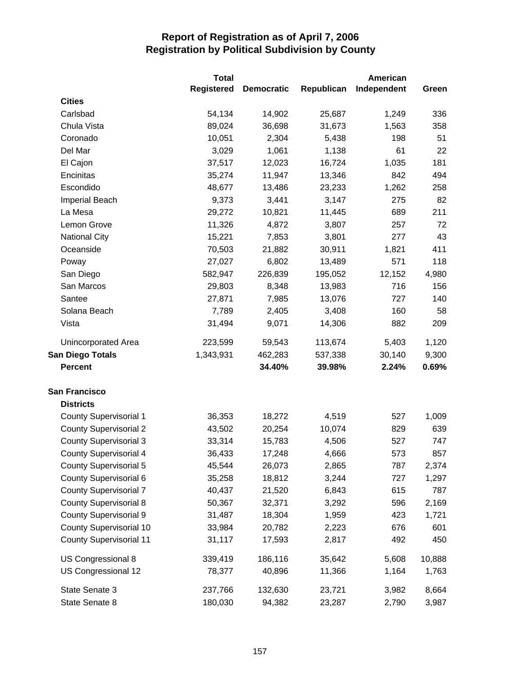|                                | <b>Total</b>      |                   |            | <b>American</b> |        |
|--------------------------------|-------------------|-------------------|------------|-----------------|--------|
|                                | <b>Registered</b> | <b>Democratic</b> | Republican | Independent     | Green  |
| <b>Cities</b>                  |                   |                   |            |                 |        |
| Carlsbad                       | 54,134            | 14,902            | 25,687     | 1,249           | 336    |
| Chula Vista                    | 89,024            | 36,698            | 31,673     | 1,563           | 358    |
| Coronado                       | 10,051            | 2,304             | 5,438      | 198             | 51     |
| Del Mar                        | 3,029             | 1,061             | 1,138      | 61              | 22     |
| El Cajon                       | 37,517            | 12,023            | 16,724     | 1,035           | 181    |
| Encinitas                      | 35,274            | 11,947            | 13,346     | 842             | 494    |
| Escondido                      | 48,677            | 13,486            | 23,233     | 1,262           | 258    |
| <b>Imperial Beach</b>          | 9,373             | 3,441             | 3,147      | 275             | 82     |
| La Mesa                        | 29,272            | 10,821            | 11,445     | 689             | 211    |
| Lemon Grove                    | 11,326            | 4,872             | 3,807      | 257             | 72     |
| <b>National City</b>           | 15,221            | 7,853             | 3,801      | 277             | 43     |
| Oceanside                      | 70,503            | 21,882            | 30,911     | 1,821           | 411    |
| Poway                          | 27,027            | 6,802             | 13,489     | 571             | 118    |
| San Diego                      | 582,947           | 226,839           | 195,052    | 12,152          | 4,980  |
| San Marcos                     | 29,803            | 8,348             | 13,983     | 716             | 156    |
| Santee                         | 27,871            | 7,985             | 13,076     | 727             | 140    |
| Solana Beach                   | 7,789             | 2,405             | 3,408      | 160             | 58     |
| Vista                          | 31,494            | 9,071             | 14,306     | 882             | 209    |
| Unincorporated Area            | 223,599           | 59,543            | 113,674    | 5,403           | 1,120  |
| <b>San Diego Totals</b>        | 1,343,931         | 462,283           | 537,338    | 30,140          | 9,300  |
| <b>Percent</b>                 |                   | 34.40%            | 39.98%     | 2.24%           | 0.69%  |
| <b>San Francisco</b>           |                   |                   |            |                 |        |
| <b>Districts</b>               |                   |                   |            |                 |        |
| <b>County Supervisorial 1</b>  | 36,353            | 18,272            | 4,519      | 527             | 1,009  |
| <b>County Supervisorial 2</b>  | 43,502            | 20,254            | 10,074     | 829             | 639    |
| <b>County Supervisorial 3</b>  | 33,314            | 15,783            | 4,506      | 527             | 747    |
| County Supervisorial 4         | 36,433            | 17,248            | 4,666      | 573             | 857    |
| <b>County Supervisorial 5</b>  | 45,544            | 26,073            | 2,865      | 787             | 2,374  |
| County Supervisorial 6         | 35,258            | 18,812            | 3,244      | 727             | 1,297  |
| <b>County Supervisorial 7</b>  | 40,437            | 21,520            | 6,843      | 615             | 787    |
| <b>County Supervisorial 8</b>  | 50,367            | 32,371            | 3,292      | 596             | 2,169  |
| <b>County Supervisorial 9</b>  | 31,487            | 18,304            | 1,959      | 423             | 1,721  |
| <b>County Supervisorial 10</b> | 33,984            | 20,782            | 2,223      | 676             | 601    |
| <b>County Supervisorial 11</b> | 31,117            | 17,593            | 2,817      | 492             | 450    |
| US Congressional 8             | 339,419           | 186,116           | 35,642     | 5,608           | 10,888 |
| US Congressional 12            | 78,377            | 40,896            | 11,366     | 1,164           | 1,763  |
| State Senate 3                 | 237,766           | 132,630           | 23,721     | 3,982           | 8,664  |
| State Senate 8                 | 180,030           | 94,382            | 23,287     | 2,790           | 3,987  |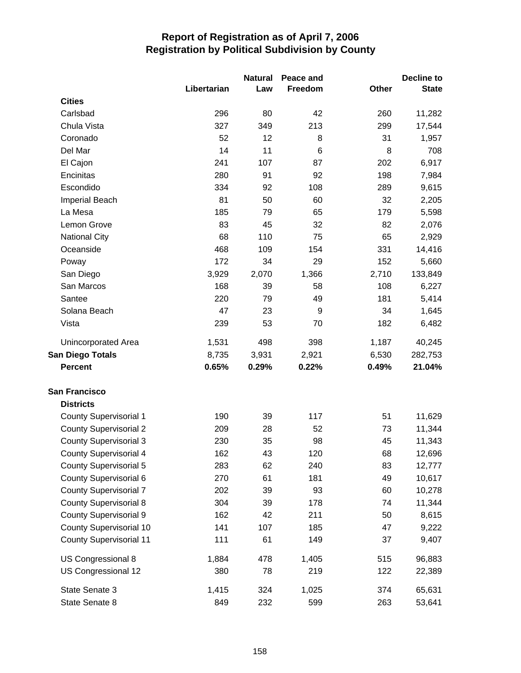|                                |             | <b>Natural</b> | Peace and |       | Decline to   |
|--------------------------------|-------------|----------------|-----------|-------|--------------|
|                                | Libertarian | Law            | Freedom   | Other | <b>State</b> |
| <b>Cities</b>                  |             |                |           |       |              |
| Carlsbad                       | 296         | 80             | 42        | 260   | 11,282       |
| Chula Vista                    | 327         | 349            | 213       | 299   | 17,544       |
| Coronado                       | 52          | 12             | 8         | 31    | 1,957        |
| Del Mar                        | 14          | 11             | 6         | 8     | 708          |
| El Cajon                       | 241         | 107            | 87        | 202   | 6,917        |
| Encinitas                      | 280         | 91             | 92        | 198   | 7,984        |
| Escondido                      | 334         | 92             | 108       | 289   | 9,615        |
| <b>Imperial Beach</b>          | 81          | 50             | 60        | 32    | 2,205        |
| La Mesa                        | 185         | 79             | 65        | 179   | 5,598        |
| Lemon Grove                    | 83          | 45             | 32        | 82    | 2,076        |
| <b>National City</b>           | 68          | 110            | 75        | 65    | 2,929        |
| Oceanside                      | 468         | 109            | 154       | 331   | 14,416       |
| Poway                          | 172         | 34             | 29        | 152   | 5,660        |
| San Diego                      | 3,929       | 2,070          | 1,366     | 2,710 | 133,849      |
| San Marcos                     | 168         | 39             | 58        | 108   | 6,227        |
| Santee                         | 220         | 79             | 49        | 181   | 5,414        |
| Solana Beach                   | 47          | 23             | 9         | 34    | 1,645        |
| Vista                          | 239         | 53             | 70        | 182   | 6,482        |
| <b>Unincorporated Area</b>     | 1,531       | 498            | 398       | 1,187 | 40,245       |
| <b>San Diego Totals</b>        | 8,735       | 3,931          | 2,921     | 6,530 | 282,753      |
| <b>Percent</b>                 | 0.65%       | 0.29%          | 0.22%     | 0.49% | 21.04%       |
| <b>San Francisco</b>           |             |                |           |       |              |
| <b>Districts</b>               |             |                |           |       |              |
| <b>County Supervisorial 1</b>  | 190         | 39             | 117       | 51    | 11,629       |
| <b>County Supervisorial 2</b>  | 209         | 28             | 52        | 73    | 11,344       |
| <b>County Supervisorial 3</b>  | 230         | 35             | 98        | 45    | 11,343       |
| County Supervisorial 4         | 162         | 43             | 120       | 68    | 12,696       |
| <b>County Supervisorial 5</b>  | 283         | 62             | 240       | 83    | 12,777       |
| County Supervisorial 6         | 270         | 61             | 181       | 49    | 10,617       |
| <b>County Supervisorial 7</b>  | 202         | 39             | 93        | 60    | 10,278       |
| <b>County Supervisorial 8</b>  | 304         | 39             | 178       | 74    | 11,344       |
| <b>County Supervisorial 9</b>  | 162         | 42             | 211       | 50    | 8,615        |
| County Supervisorial 10        | 141         | 107            | 185       | 47    | 9,222        |
| <b>County Supervisorial 11</b> | 111         | 61             | 149       | 37    | 9,407        |
| US Congressional 8             | 1,884       | 478            | 1,405     | 515   | 96,883       |
| US Congressional 12            | 380         | 78             | 219       | 122   | 22,389       |
| State Senate 3                 | 1,415       | 324            | 1,025     | 374   | 65,631       |
| State Senate 8                 | 849         | 232            | 599       | 263   | 53,641       |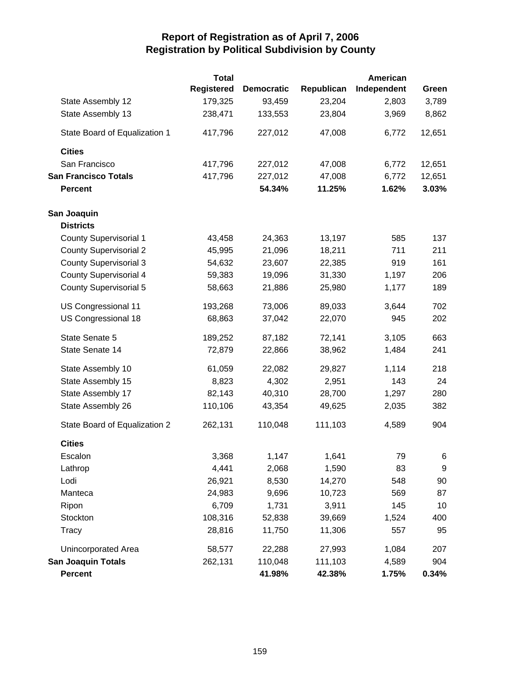|                               | <b>Total</b>      |                   |            | <b>American</b> |        |
|-------------------------------|-------------------|-------------------|------------|-----------------|--------|
|                               | <b>Registered</b> | <b>Democratic</b> | Republican | Independent     | Green  |
| State Assembly 12             | 179,325           | 93,459            | 23,204     | 2,803           | 3,789  |
| State Assembly 13             | 238,471           | 133,553           | 23,804     | 3,969           | 8,862  |
| State Board of Equalization 1 | 417,796           | 227,012           | 47,008     | 6,772           | 12,651 |
| <b>Cities</b>                 |                   |                   |            |                 |        |
| San Francisco                 | 417,796           | 227,012           | 47,008     | 6,772           | 12,651 |
| <b>San Francisco Totals</b>   | 417,796           | 227,012           | 47,008     | 6,772           | 12,651 |
| <b>Percent</b>                |                   | 54.34%            | 11.25%     | 1.62%           | 3.03%  |
| San Joaquin                   |                   |                   |            |                 |        |
| <b>Districts</b>              |                   |                   |            |                 |        |
| <b>County Supervisorial 1</b> | 43,458            | 24,363            | 13,197     | 585             | 137    |
| <b>County Supervisorial 2</b> | 45,995            | 21,096            | 18,211     | 711             | 211    |
| <b>County Supervisorial 3</b> | 54,632            | 23,607            | 22,385     | 919             | 161    |
| <b>County Supervisorial 4</b> | 59,383            | 19,096            | 31,330     | 1,197           | 206    |
| <b>County Supervisorial 5</b> | 58,663            | 21,886            | 25,980     | 1,177           | 189    |
| US Congressional 11           | 193,268           | 73,006            | 89,033     | 3,644           | 702    |
| US Congressional 18           | 68,863            | 37,042            | 22,070     | 945             | 202    |
| State Senate 5                | 189,252           | 87,182            | 72,141     | 3,105           | 663    |
| State Senate 14               | 72,879            | 22,866            | 38,962     | 1,484           | 241    |
| State Assembly 10             | 61,059            | 22,082            | 29,827     | 1,114           | 218    |
| State Assembly 15             | 8,823             | 4,302             | 2,951      | 143             | 24     |
| State Assembly 17             | 82,143            | 40,310            | 28,700     | 1,297           | 280    |
| State Assembly 26             | 110,106           | 43,354            | 49,625     | 2,035           | 382    |
| State Board of Equalization 2 | 262,131           | 110,048           | 111,103    | 4,589           | 904    |
| <b>Cities</b>                 |                   |                   |            |                 |        |
| Escalon                       | 3,368             | 1,147             | 1,641      | 79              | 6      |
| Lathrop                       | 4,441             | 2,068             | 1,590      | 83              | 9      |
| Lodi                          | 26,921            | 8,530             | 14,270     | 548             | 90     |
| Manteca                       | 24,983            | 9,696             | 10,723     | 569             | 87     |
| Ripon                         | 6,709             | 1,731             | 3,911      | 145             | 10     |
| Stockton                      | 108,316           | 52,838            | 39,669     | 1,524           | 400    |
| <b>Tracy</b>                  | 28,816            | 11,750            | 11,306     | 557             | 95     |
| Unincorporated Area           | 58,577            | 22,288            | 27,993     | 1,084           | 207    |
| <b>San Joaquin Totals</b>     | 262,131           | 110,048           | 111,103    | 4,589           | 904    |
| <b>Percent</b>                |                   | 41.98%            | 42.38%     | 1.75%           | 0.34%  |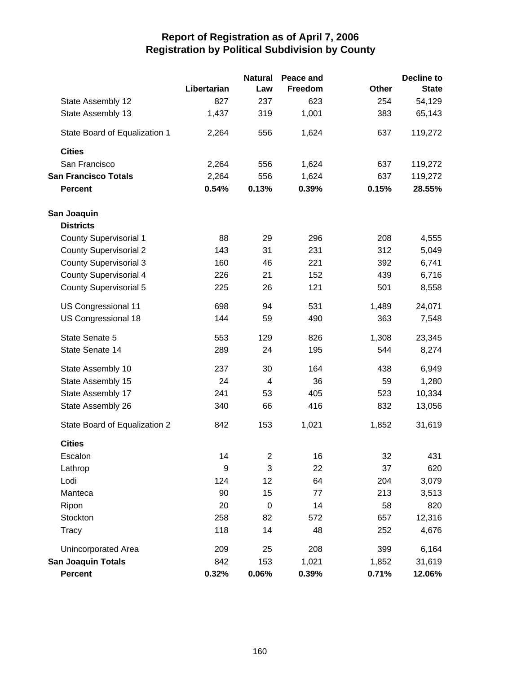|                               |             | <b>Natural</b>          | Peace and |       | <b>Decline to</b> |
|-------------------------------|-------------|-------------------------|-----------|-------|-------------------|
|                               | Libertarian | Law                     | Freedom   | Other | <b>State</b>      |
| State Assembly 12             | 827         | 237                     | 623       | 254   | 54,129            |
| State Assembly 13             | 1,437       | 319                     | 1,001     | 383   | 65,143            |
| State Board of Equalization 1 | 2,264       | 556                     | 1,624     | 637   | 119,272           |
| <b>Cities</b>                 |             |                         |           |       |                   |
| San Francisco                 | 2,264       | 556                     | 1,624     | 637   | 119,272           |
| <b>San Francisco Totals</b>   | 2,264       | 556                     | 1,624     | 637   | 119,272           |
| <b>Percent</b>                | 0.54%       | 0.13%                   | 0.39%     | 0.15% | 28.55%            |
| San Joaquin                   |             |                         |           |       |                   |
| <b>Districts</b>              |             |                         |           |       |                   |
| <b>County Supervisorial 1</b> | 88          | 29                      | 296       | 208   | 4,555             |
| <b>County Supervisorial 2</b> | 143         | 31                      | 231       | 312   | 5,049             |
| <b>County Supervisorial 3</b> | 160         | 46                      | 221       | 392   | 6,741             |
| <b>County Supervisorial 4</b> | 226         | 21                      | 152       | 439   | 6,716             |
| <b>County Supervisorial 5</b> | 225         | 26                      | 121       | 501   | 8,558             |
| US Congressional 11           | 698         | 94                      | 531       | 1,489 | 24,071            |
| US Congressional 18           | 144         | 59                      | 490       | 363   | 7,548             |
| State Senate 5                | 553         | 129                     | 826       | 1,308 | 23,345            |
| State Senate 14               | 289         | 24                      | 195       | 544   | 8,274             |
| State Assembly 10             | 237         | 30                      | 164       | 438   | 6,949             |
| State Assembly 15             | 24          | 4                       | 36        | 59    | 1,280             |
| State Assembly 17             | 241         | 53                      | 405       | 523   | 10,334            |
| State Assembly 26             | 340         | 66                      | 416       | 832   | 13,056            |
| State Board of Equalization 2 | 842         | 153                     | 1,021     | 1,852 | 31,619            |
| <b>Cities</b>                 |             |                         |           |       |                   |
| Escalon                       | 14          | $\overline{\mathbf{c}}$ | 16        | 32    | 431               |
| Lathrop                       | 9           | 3                       | 22        | 37    | 620               |
| Lodi                          | 124         | 12                      | 64        | 204   | 3,079             |
| Manteca                       | 90          | 15                      | 77        | 213   | 3,513             |
| Ripon                         | 20          | $\boldsymbol{0}$        | 14        | 58    | 820               |
| Stockton                      | 258         | 82                      | 572       | 657   | 12,316            |
| Tracy                         | 118         | 14                      | 48        | 252   | 4,676             |
| <b>Unincorporated Area</b>    | 209         | 25                      | 208       | 399   | 6,164             |
| <b>San Joaquin Totals</b>     | 842         | 153                     | 1,021     | 1,852 | 31,619            |
| <b>Percent</b>                | 0.32%       | 0.06%                   | 0.39%     | 0.71% | 12.06%            |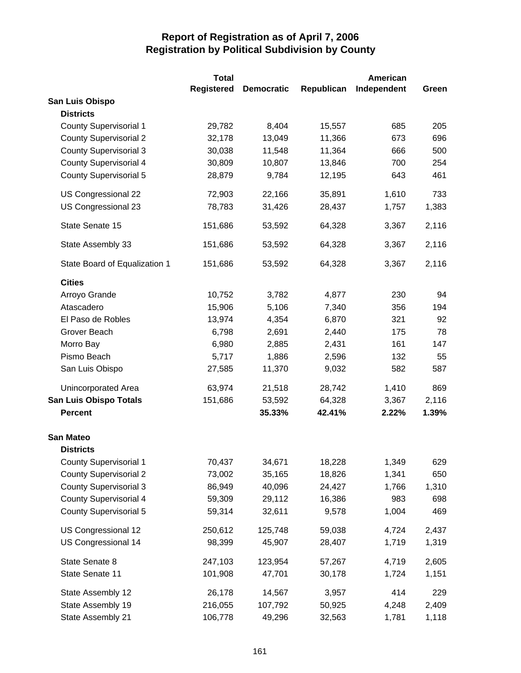|                               | <b>Total</b>      |                   |            | <b>American</b> |       |
|-------------------------------|-------------------|-------------------|------------|-----------------|-------|
|                               | <b>Registered</b> | <b>Democratic</b> | Republican | Independent     | Green |
| San Luis Obispo               |                   |                   |            |                 |       |
| <b>Districts</b>              |                   |                   |            |                 |       |
| <b>County Supervisorial 1</b> | 29,782            | 8,404             | 15,557     | 685             | 205   |
| <b>County Supervisorial 2</b> | 32,178            | 13,049            | 11,366     | 673             | 696   |
| <b>County Supervisorial 3</b> | 30,038            | 11,548            | 11,364     | 666             | 500   |
| <b>County Supervisorial 4</b> | 30,809            | 10,807            | 13,846     | 700             | 254   |
| <b>County Supervisorial 5</b> | 28,879            | 9,784             | 12,195     | 643             | 461   |
| US Congressional 22           | 72,903            | 22,166            | 35,891     | 1,610           | 733   |
| US Congressional 23           | 78,783            | 31,426            | 28,437     | 1,757           | 1,383 |
| State Senate 15               | 151,686           | 53,592            | 64,328     | 3,367           | 2,116 |
| State Assembly 33             | 151,686           | 53,592            | 64,328     | 3,367           | 2,116 |
| State Board of Equalization 1 | 151,686           | 53,592            | 64,328     | 3,367           | 2,116 |
| <b>Cities</b>                 |                   |                   |            |                 |       |
| Arroyo Grande                 | 10,752            | 3,782             | 4,877      | 230             | 94    |
| Atascadero                    | 15,906            | 5,106             | 7,340      | 356             | 194   |
| El Paso de Robles             | 13,974            | 4,354             | 6,870      | 321             | 92    |
| Grover Beach                  | 6,798             | 2,691             | 2,440      | 175             | 78    |
| Morro Bay                     | 6,980             | 2,885             | 2,431      | 161             | 147   |
| Pismo Beach                   | 5,717             | 1,886             | 2,596      | 132             | 55    |
| San Luis Obispo               | 27,585            | 11,370            | 9,032      | 582             | 587   |
| Unincorporated Area           | 63,974            | 21,518            | 28,742     | 1,410           | 869   |
| <b>San Luis Obispo Totals</b> | 151,686           | 53,592            | 64,328     | 3,367           | 2,116 |
| <b>Percent</b>                |                   | 35.33%            | 42.41%     | 2.22%           | 1.39% |
| <b>San Mateo</b>              |                   |                   |            |                 |       |
| <b>Districts</b>              |                   |                   |            |                 |       |
| <b>County Supervisorial 1</b> | 70,437            | 34,671            | 18,228     | 1,349           | 629   |
| <b>County Supervisorial 2</b> | 73,002            | 35,165            | 18,826     | 1,341           | 650   |
| <b>County Supervisorial 3</b> | 86,949            | 40,096            | 24,427     | 1,766           | 1,310 |
| <b>County Supervisorial 4</b> | 59,309            | 29,112            | 16,386     | 983             | 698   |
| <b>County Supervisorial 5</b> | 59,314            | 32,611            | 9,578      | 1,004           | 469   |
| US Congressional 12           | 250,612           | 125,748           | 59,038     | 4,724           | 2,437 |
| US Congressional 14           | 98,399            | 45,907            | 28,407     | 1,719           | 1,319 |
| State Senate 8                | 247,103           | 123,954           | 57,267     | 4,719           | 2,605 |
| State Senate 11               | 101,908           | 47,701            | 30,178     | 1,724           | 1,151 |
| State Assembly 12             | 26,178            | 14,567            | 3,957      | 414             | 229   |
| State Assembly 19             | 216,055           | 107,792           | 50,925     | 4,248           | 2,409 |
| State Assembly 21             | 106,778           | 49,296            | 32,563     | 1,781           | 1,118 |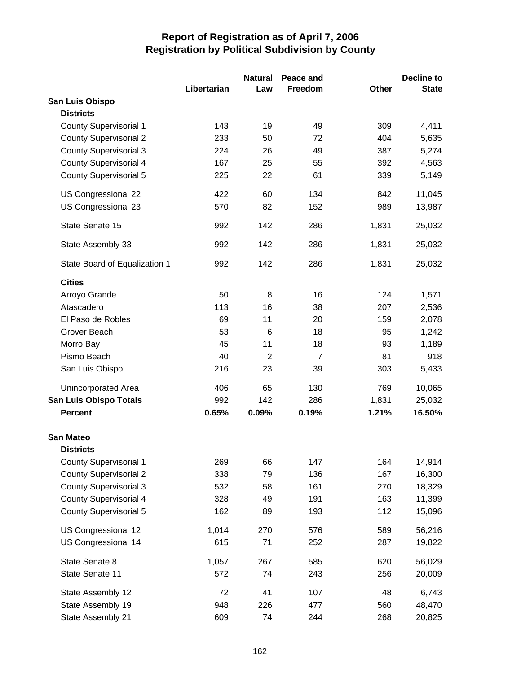|                               |             | <b>Natural</b> | Peace and      |              | <b>Decline to</b> |
|-------------------------------|-------------|----------------|----------------|--------------|-------------------|
|                               | Libertarian | Law            | Freedom        | <b>Other</b> | <b>State</b>      |
| San Luis Obispo               |             |                |                |              |                   |
| <b>Districts</b>              |             |                |                |              |                   |
| <b>County Supervisorial 1</b> | 143         | 19             | 49             | 309          | 4,411             |
| <b>County Supervisorial 2</b> | 233         | 50             | 72             | 404          | 5,635             |
| <b>County Supervisorial 3</b> | 224         | 26             | 49             | 387          | 5,274             |
| <b>County Supervisorial 4</b> | 167         | 25             | 55             | 392          | 4,563             |
| <b>County Supervisorial 5</b> | 225         | 22             | 61             | 339          | 5,149             |
| US Congressional 22           | 422         | 60             | 134            | 842          | 11,045            |
| US Congressional 23           | 570         | 82             | 152            | 989          | 13,987            |
| State Senate 15               | 992         | 142            | 286            | 1,831        | 25,032            |
| State Assembly 33             | 992         | 142            | 286            | 1,831        | 25,032            |
| State Board of Equalization 1 | 992         | 142            | 286            | 1,831        | 25,032            |
| <b>Cities</b>                 |             |                |                |              |                   |
| Arroyo Grande                 | 50          | 8              | 16             | 124          | 1,571             |
| Atascadero                    | 113         | 16             | 38             | 207          | 2,536             |
| El Paso de Robles             | 69          | 11             | 20             | 159          | 2,078             |
| Grover Beach                  | 53          | 6              | 18             | 95           | 1,242             |
| Morro Bay                     | 45          | 11             | 18             | 93           | 1,189             |
| Pismo Beach                   | 40          | $\overline{2}$ | $\overline{7}$ | 81           | 918               |
| San Luis Obispo               | 216         | 23             | 39             | 303          | 5,433             |
| Unincorporated Area           | 406         | 65             | 130            | 769          | 10,065            |
| <b>San Luis Obispo Totals</b> | 992         | 142            | 286            | 1,831        | 25,032            |
| <b>Percent</b>                | 0.65%       | 0.09%          | 0.19%          | 1.21%        | 16.50%            |
| <b>San Mateo</b>              |             |                |                |              |                   |
| <b>Districts</b>              |             |                |                |              |                   |
| <b>County Supervisorial 1</b> | 269         | 66             | 147            | 164          | 14,914            |
| <b>County Supervisorial 2</b> | 338         | 79             | 136            | 167          | 16,300            |
| <b>County Supervisorial 3</b> | 532         | 58             | 161            | 270          | 18,329            |
| <b>County Supervisorial 4</b> | 328         | 49             | 191            | 163          | 11,399            |
| <b>County Supervisorial 5</b> | 162         | 89             | 193            | 112          | 15,096            |
| US Congressional 12           | 1,014       | 270            | 576            | 589          | 56,216            |
| US Congressional 14           | 615         | 71             | 252            | 287          | 19,822            |
| State Senate 8                | 1,057       | 267            | 585            | 620          | 56,029            |
| State Senate 11               | 572         | 74             | 243            | 256          | 20,009            |
| State Assembly 12             | 72          | 41             | 107            | 48           | 6,743             |
| State Assembly 19             | 948         | 226            | 477            | 560          | 48,470            |
| State Assembly 21             | 609         | 74             | 244            | 268          | 20,825            |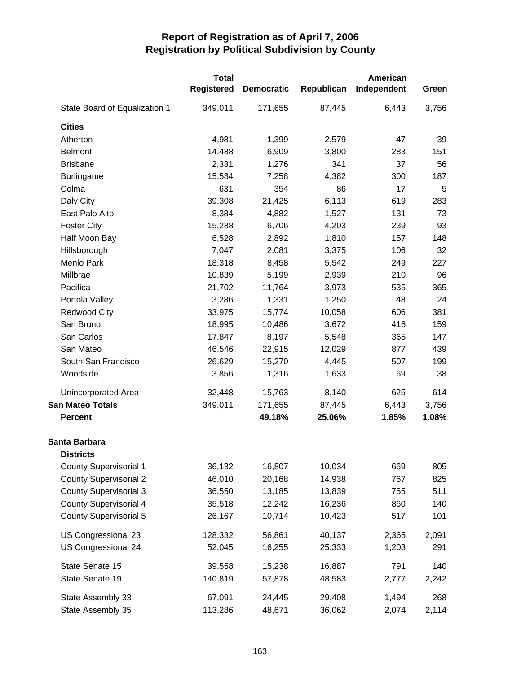|                               | <b>Total</b><br><b>Registered</b> | <b>Democratic</b> | Republican | American<br>Independent | Green      |
|-------------------------------|-----------------------------------|-------------------|------------|-------------------------|------------|
| State Board of Equalization 1 | 349,011                           | 171,655           | 87,445     | 6,443                   | 3,756      |
| <b>Cities</b>                 |                                   |                   |            |                         |            |
| Atherton                      | 4,981                             | 1,399             | 2,579      | 47                      | 39         |
| <b>Belmont</b>                | 14,488                            | 6,909             | 3,800      | 283                     | 151        |
| <b>Brisbane</b>               | 2,331                             | 1,276             | 341        | 37                      | 56         |
| <b>Burlingame</b>             | 15,584                            | 7,258             | 4,382      | 300                     | 187        |
| Colma                         | 631                               | 354               | 86         | 17                      | 5          |
| Daly City                     | 39,308                            | 21,425            | 6,113      | 619                     | 283        |
| East Palo Alto                | 8,384                             | 4,882             | 1,527      | 131                     | 73         |
| <b>Foster City</b>            | 15,288                            | 6,706             | 4,203      | 239                     | 93         |
| Half Moon Bay                 | 6,528                             | 2,892             | 1,810      | 157                     | 148        |
| Hillsborough                  | 7,047                             | 2,081             | 3,375      | 106                     | 32         |
| Menlo Park                    | 18,318                            | 8,458             | 5,542      | 249                     | 227        |
| Millbrae                      | 10,839                            | 5,199             | 2,939      | 210                     | 96         |
| Pacifica                      | 21,702                            | 11,764            | 3,973      | 535                     | 365        |
| Portola Valley                | 3,286                             | 1,331             | 1,250      | 48                      | 24         |
| <b>Redwood City</b>           | 33,975                            | 15,774            | 10,058     | 606                     | 381        |
| San Bruno                     | 18,995                            | 10,486            | 3,672      | 416                     | 159        |
| San Carlos                    | 17,847                            | 8,197             | 5,548      | 365                     | 147        |
| San Mateo                     | 46,546                            | 22,915            | 12,029     | 877                     | 439        |
| South San Francisco           | 26,629                            | 15,270            | 4,445      | 507                     | 199        |
| Woodside                      | 3,856                             | 1,316             | 1,633      | 69                      | 38         |
| Unincorporated Area           | 32,448                            | 15,763            | 8,140      | 625                     | 614        |
| <b>San Mateo Totals</b>       | 349,011                           | 171,655           | 87,445     | 6,443                   | 3,756      |
| <b>Percent</b>                |                                   | 49.18%            | 25.06%     | 1.85%                   | 1.08%      |
| Santa Barbara                 |                                   |                   |            |                         |            |
| <b>Districts</b>              |                                   | 16,807            | 10,034     | 669                     |            |
| <b>County Supervisorial 1</b> | 36,132<br>46,010                  | 20,168            | 14,938     | 767                     | 805        |
| <b>County Supervisorial 2</b> |                                   | 13,185            | 13,839     | 755                     | 825<br>511 |
| <b>County Supervisorial 3</b> | 36,550                            |                   |            | 860                     |            |
| <b>County Supervisorial 4</b> | 35,518                            | 12,242            | 16,236     |                         | 140        |
| <b>County Supervisorial 5</b> | 26,167                            | 10,714            | 10,423     | 517                     | 101        |
| US Congressional 23           | 128,332                           | 56,861            | 40,137     | 2,365                   | 2,091      |
| US Congressional 24           | 52,045                            | 16,255            | 25,333     | 1,203                   | 291        |
| State Senate 15               | 39,558                            | 15,238            | 16,887     | 791                     | 140        |
| State Senate 19               | 140,819                           | 57,878            | 48,583     | 2,777                   | 2,242      |
| State Assembly 33             | 67,091                            | 24,445            | 29,408     | 1,494                   | 268        |
| State Assembly 35             | 113,286                           | 48,671            | 36,062     | 2,074                   | 2,114      |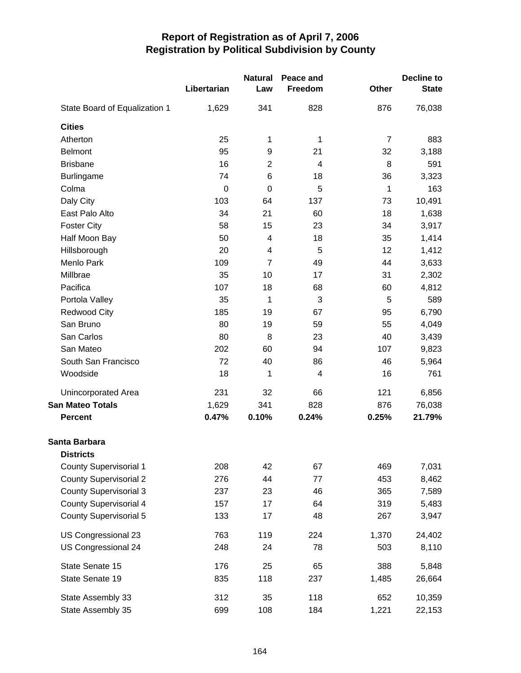|                               |             | <b>Natural</b> | Peace and      |                | <b>Decline to</b> |  |
|-------------------------------|-------------|----------------|----------------|----------------|-------------------|--|
|                               | Libertarian | Law            | Freedom        | Other          | <b>State</b>      |  |
| State Board of Equalization 1 | 1,629       | 341            | 828            | 876            | 76,038            |  |
| <b>Cities</b>                 |             |                |                |                |                   |  |
| Atherton                      | 25          | 1              | 1              | $\overline{7}$ | 883               |  |
| <b>Belmont</b>                | 95          | 9              | 21             | 32             | 3,188             |  |
| <b>Brisbane</b>               | 16          | $\overline{c}$ | $\overline{4}$ | 8              | 591               |  |
| <b>Burlingame</b>             | 74          | 6              | 18             | 36             | 3,323             |  |
| Colma                         | $\mathbf 0$ | $\mathbf 0$    | 5              | 1              | 163               |  |
| Daly City                     | 103         | 64             | 137            | 73             | 10,491            |  |
| East Palo Alto                | 34          | 21             | 60             | 18             | 1,638             |  |
| <b>Foster City</b>            | 58          | 15             | 23             | 34             | 3,917             |  |
| Half Moon Bay                 | 50          | 4              | 18             | 35             | 1,414             |  |
| Hillsborough                  | 20          | 4              | 5              | 12             | 1,412             |  |
| Menlo Park                    | 109         | $\overline{7}$ | 49             | 44             | 3,633             |  |
| Millbrae                      | 35          | 10             | 17             | 31             | 2,302             |  |
| Pacifica                      | 107         | 18             | 68             | 60             | 4,812             |  |
| Portola Valley                | 35          | 1              | 3              | 5              | 589               |  |
| <b>Redwood City</b>           | 185         | 19             | 67             | 95             | 6,790             |  |
| San Bruno                     | 80          | 19             | 59             | 55             | 4,049             |  |
| San Carlos                    | 80          | 8              | 23             | 40             | 3,439             |  |
| San Mateo                     | 202         | 60             | 94             | 107            | 9,823             |  |
| South San Francisco           | 72          | 40             | 86             | 46             | 5,964             |  |
| Woodside                      | 18          | 1              | 4              | 16             | 761               |  |
| Unincorporated Area           | 231         | 32             | 66             | 121            | 6,856             |  |
| <b>San Mateo Totals</b>       | 1,629       | 341            | 828            | 876            | 76,038            |  |
| <b>Percent</b>                | 0.47%       | 0.10%          | 0.24%          | 0.25%          | 21.79%            |  |
| Santa Barbara                 |             |                |                |                |                   |  |
| <b>Districts</b>              |             |                |                |                |                   |  |
| <b>County Supervisorial 1</b> | 208         | 42             | 67             | 469            | 7,031             |  |
| <b>County Supervisorial 2</b> | 276         | 44             | 77             | 453            | 8,462             |  |
| <b>County Supervisorial 3</b> | 237         | 23             | 46             | 365            | 7,589             |  |
| <b>County Supervisorial 4</b> | 157         | 17             | 64             | 319            | 5,483             |  |
| <b>County Supervisorial 5</b> | 133         | 17             | 48             | 267            | 3,947             |  |
| US Congressional 23           | 763         | 119            | 224            | 1,370          | 24,402            |  |
| US Congressional 24           | 248         | 24             | 78             | 503            | 8,110             |  |
| State Senate 15               | 176         | 25             | 65             | 388            | 5,848             |  |
| State Senate 19               | 835         | 118            | 237            | 1,485          | 26,664            |  |
| State Assembly 33             | 312         | 35             | 118            | 652            | 10,359            |  |
| State Assembly 35             | 699         | 108            | 184            | 1,221          | 22,153            |  |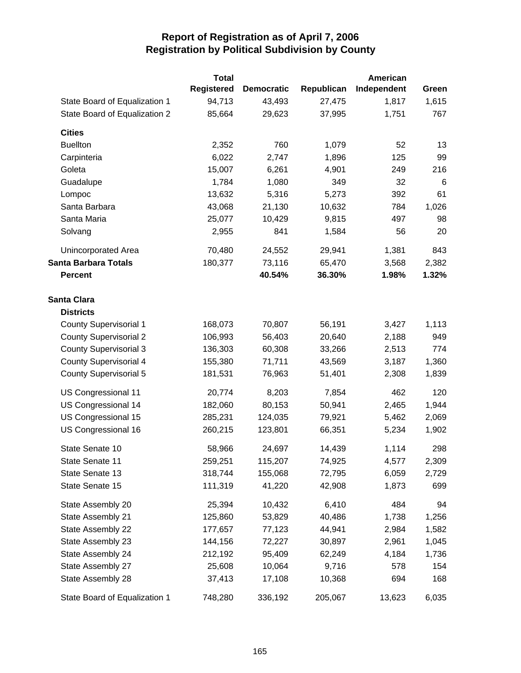|                               | <b>Total</b> |                   |            | <b>American</b> |       |
|-------------------------------|--------------|-------------------|------------|-----------------|-------|
|                               | Registered   | <b>Democratic</b> | Republican | Independent     | Green |
| State Board of Equalization 1 | 94,713       | 43,493            | 27,475     | 1,817           | 1,615 |
| State Board of Equalization 2 | 85,664       | 29,623            | 37,995     | 1,751           | 767   |
| <b>Cities</b>                 |              |                   |            |                 |       |
| <b>Buellton</b>               | 2,352        | 760               | 1,079      | 52              | 13    |
| Carpinteria                   | 6,022        | 2,747             | 1,896      | 125             | 99    |
| Goleta                        | 15,007       | 6,261             | 4,901      | 249             | 216   |
| Guadalupe                     | 1,784        | 1,080             | 349        | 32              | 6     |
| Lompoc                        | 13,632       | 5,316             | 5,273      | 392             | 61    |
| Santa Barbara                 | 43,068       | 21,130            | 10,632     | 784             | 1,026 |
| Santa Maria                   | 25,077       | 10,429            | 9,815      | 497             | 98    |
| Solvang                       | 2,955        | 841               | 1,584      | 56              | 20    |
| Unincorporated Area           | 70,480       | 24,552            | 29,941     | 1,381           | 843   |
| <b>Santa Barbara Totals</b>   | 180,377      | 73,116            | 65,470     | 3,568           | 2,382 |
| <b>Percent</b>                |              | 40.54%            | 36.30%     | 1.98%           | 1.32% |
| <b>Santa Clara</b>            |              |                   |            |                 |       |
| <b>Districts</b>              |              |                   |            |                 |       |
| <b>County Supervisorial 1</b> | 168,073      | 70,807            | 56,191     | 3,427           | 1,113 |
| <b>County Supervisorial 2</b> | 106,993      | 56,403            | 20,640     | 2,188           | 949   |
| <b>County Supervisorial 3</b> | 136,303      | 60,308            | 33,266     | 2,513           | 774   |
| County Supervisorial 4        | 155,380      | 71,711            | 43,569     | 3,187           | 1,360 |
| County Supervisorial 5        | 181,531      | 76,963            | 51,401     | 2,308           | 1,839 |
| US Congressional 11           | 20,774       | 8,203             | 7,854      | 462             | 120   |
| US Congressional 14           | 182,060      | 80,153            | 50,941     | 2,465           | 1,944 |
| US Congressional 15           | 285,231      | 124,035           | 79,921     | 5,462           | 2,069 |
| US Congressional 16           | 260,215      | 123,801           | 66,351     | 5,234           | 1,902 |
| State Senate 10               | 58,966       | 24,697            | 14,439     | 1,114           | 298   |
| State Senate 11               | 259,251      | 115,207           | 74,925     | 4,577           | 2,309 |
| State Senate 13               | 318,744      | 155,068           | 72,795     | 6,059           | 2,729 |
| State Senate 15               | 111,319      | 41,220            | 42,908     | 1,873           | 699   |
| State Assembly 20             | 25,394       | 10,432            | 6,410      | 484             | 94    |
| State Assembly 21             | 125,860      | 53,829            | 40,486     | 1,738           | 1,256 |
| State Assembly 22             | 177,657      | 77,123            | 44,941     | 2,984           | 1,582 |
| State Assembly 23             | 144,156      | 72,227            | 30,897     | 2,961           | 1,045 |
| State Assembly 24             | 212,192      | 95,409            | 62,249     | 4,184           | 1,736 |
| State Assembly 27             | 25,608       | 10,064            | 9,716      | 578             | 154   |
| State Assembly 28             | 37,413       | 17,108            | 10,368     | 694             | 168   |
| State Board of Equalization 1 | 748,280      | 336,192           | 205,067    | 13,623          | 6,035 |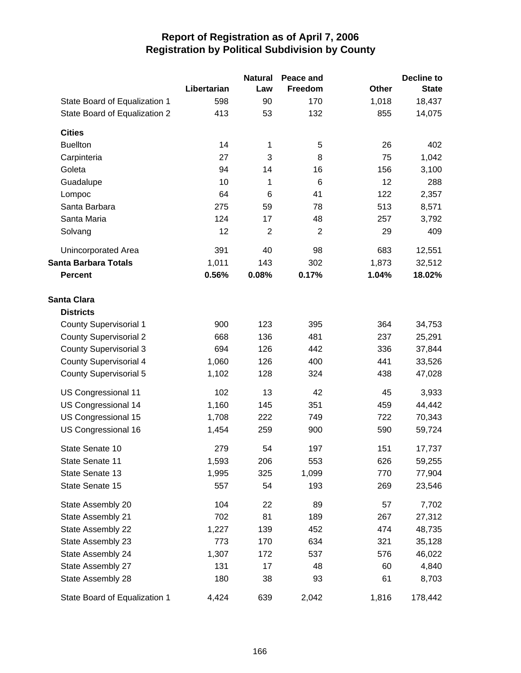|                               |             | <b>Natural</b> | Peace and      |              | <b>Decline to</b> |
|-------------------------------|-------------|----------------|----------------|--------------|-------------------|
|                               | Libertarian | Law            | Freedom        | <b>Other</b> | <b>State</b>      |
| State Board of Equalization 1 | 598         | 90             | 170            | 1,018        | 18,437            |
| State Board of Equalization 2 | 413         | 53             | 132            | 855          | 14,075            |
| <b>Cities</b>                 |             |                |                |              |                   |
| <b>Buellton</b>               | 14          | 1              | 5              | 26           | 402               |
| Carpinteria                   | 27          | 3              | 8              | 75           | 1,042             |
| Goleta                        | 94          | 14             | 16             | 156          | 3,100             |
| Guadalupe                     | 10          | 1              | 6              | 12           | 288               |
| Lompoc                        | 64          | 6              | 41             | 122          | 2,357             |
| Santa Barbara                 | 275         | 59             | 78             | 513          | 8,571             |
| Santa Maria                   | 124         | 17             | 48             | 257          | 3,792             |
| Solvang                       | 12          | $\overline{2}$ | $\overline{2}$ | 29           | 409               |
| Unincorporated Area           | 391         | 40             | 98             | 683          | 12,551            |
| <b>Santa Barbara Totals</b>   | 1,011       | 143            | 302            | 1,873        | 32,512            |
| <b>Percent</b>                | 0.56%       | 0.08%          | 0.17%          | 1.04%        | 18.02%            |
| <b>Santa Clara</b>            |             |                |                |              |                   |
| <b>Districts</b>              |             |                |                |              |                   |
| County Supervisorial 1        | 900         | 123            | 395            | 364          | 34,753            |
| <b>County Supervisorial 2</b> | 668         | 136            | 481            | 237          | 25,291            |
| <b>County Supervisorial 3</b> | 694         | 126            | 442            | 336          | 37,844            |
| <b>County Supervisorial 4</b> | 1,060       | 126            | 400            | 441          | 33,526            |
| <b>County Supervisorial 5</b> | 1,102       | 128            | 324            | 438          | 47,028            |
| US Congressional 11           | 102         | 13             | 42             | 45           | 3,933             |
| US Congressional 14           | 1,160       | 145            | 351            | 459          | 44,442            |
| US Congressional 15           | 1,708       | 222            | 749            | 722          | 70,343            |
| US Congressional 16           | 1,454       | 259            | 900            | 590          | 59,724            |
| State Senate 10               | 279         | 54             | 197            | 151          | 17,737            |
| State Senate 11               | 1,593       | 206            | 553            | 626          | 59,255            |
| State Senate 13               | 1,995       | 325            | 1,099          | 770          | 77,904            |
| State Senate 15               | 557         | 54             | 193            | 269          | 23,546            |
| State Assembly 20             | 104         | 22             | 89             | 57           | 7,702             |
| State Assembly 21             | 702         | 81             | 189            | 267          | 27,312            |
| State Assembly 22             | 1,227       | 139            | 452            | 474          | 48,735            |
| State Assembly 23             | 773         | 170            | 634            | 321          | 35,128            |
| State Assembly 24             | 1,307       | 172            | 537            | 576          | 46,022            |
| State Assembly 27             | 131         | 17             | 48             | 60           | 4,840             |
| State Assembly 28             | 180         | 38             | 93             | 61           | 8,703             |
| State Board of Equalization 1 | 4,424       | 639            | 2,042          | 1,816        | 178,442           |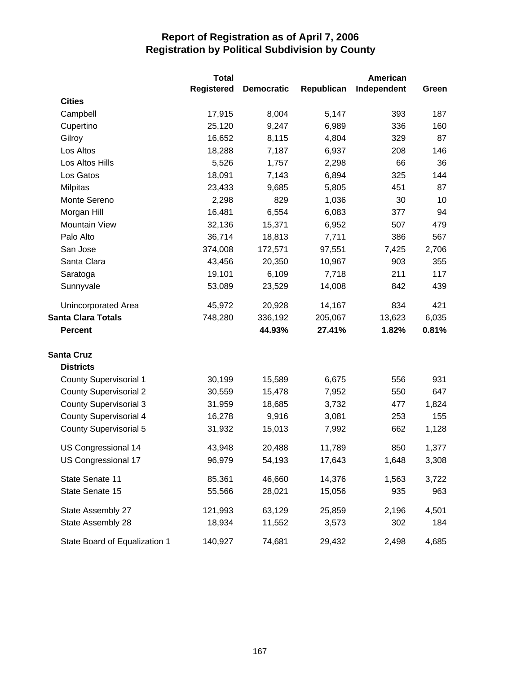|                               | <b>Total</b>      |                   |            | American    |       |
|-------------------------------|-------------------|-------------------|------------|-------------|-------|
|                               | <b>Registered</b> | <b>Democratic</b> | Republican | Independent | Green |
| <b>Cities</b>                 |                   |                   |            |             |       |
| Campbell                      | 17,915            | 8,004             | 5,147      | 393         | 187   |
| Cupertino                     | 25,120            | 9,247             | 6,989      | 336         | 160   |
| Gilroy                        | 16,652            | 8,115             | 4,804      | 329         | 87    |
| Los Altos                     | 18,288            | 7,187             | 6,937      | 208         | 146   |
| Los Altos Hills               | 5,526             | 1,757             | 2,298      | 66          | 36    |
| Los Gatos                     | 18,091            | 7,143             | 6,894      | 325         | 144   |
| <b>Milpitas</b>               | 23,433            | 9,685             | 5,805      | 451         | 87    |
| Monte Sereno                  | 2,298             | 829               | 1,036      | 30          | 10    |
| Morgan Hill                   | 16,481            | 6,554             | 6,083      | 377         | 94    |
| <b>Mountain View</b>          | 32,136            | 15,371            | 6,952      | 507         | 479   |
| Palo Alto                     | 36,714            | 18,813            | 7,711      | 386         | 567   |
| San Jose                      | 374,008           | 172,571           | 97,551     | 7,425       | 2,706 |
| Santa Clara                   | 43,456            | 20,350            | 10,967     | 903         | 355   |
| Saratoga                      | 19,101            | 6,109             | 7,718      | 211         | 117   |
| Sunnyvale                     | 53,089            | 23,529            | 14,008     | 842         | 439   |
| Unincorporated Area           | 45,972            | 20,928            | 14,167     | 834         | 421   |
| <b>Santa Clara Totals</b>     | 748,280           | 336,192           | 205,067    | 13,623      | 6,035 |
| <b>Percent</b>                |                   | 44.93%            | 27.41%     | 1.82%       | 0.81% |
| <b>Santa Cruz</b>             |                   |                   |            |             |       |
| <b>Districts</b>              |                   |                   |            |             |       |
| <b>County Supervisorial 1</b> | 30,199            | 15,589            | 6,675      | 556         | 931   |
| <b>County Supervisorial 2</b> | 30,559            | 15,478            | 7,952      | 550         | 647   |
| <b>County Supervisorial 3</b> | 31,959            | 18,685            | 3,732      | 477         | 1,824 |
| <b>County Supervisorial 4</b> | 16,278            | 9,916             | 3,081      | 253         | 155   |
| <b>County Supervisorial 5</b> | 31,932            | 15,013            | 7,992      | 662         | 1,128 |
| US Congressional 14           | 43,948            | 20,488            | 11,789     | 850         | 1,377 |
| US Congressional 17           | 96,979            | 54,193            | 17,643     | 1,648       | 3,308 |
| State Senate 11               | 85,361            | 46,660            | 14,376     | 1,563       | 3,722 |
| State Senate 15               | 55,566            | 28,021            | 15,056     | 935         | 963   |
| State Assembly 27             | 121,993           | 63,129            | 25,859     | 2,196       | 4,501 |
| State Assembly 28             | 18,934            | 11,552            | 3,573      | 302         | 184   |
| State Board of Equalization 1 | 140,927           | 74,681            | 29,432     | 2,498       | 4,685 |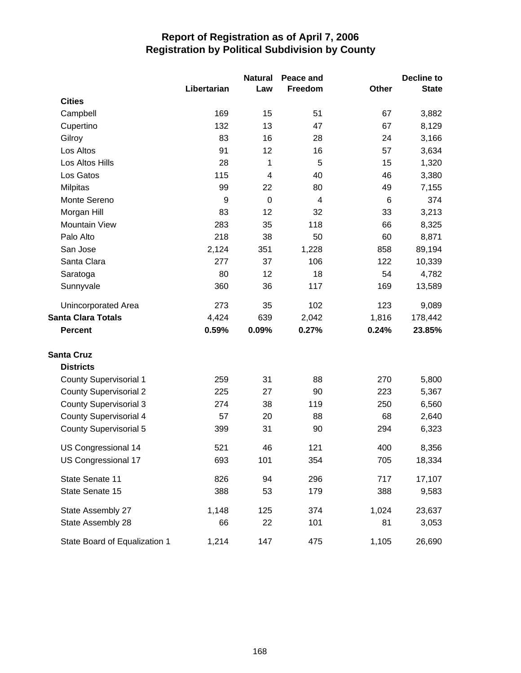|                               |             | <b>Natural</b>          | Peace and      |              | Decline to   |
|-------------------------------|-------------|-------------------------|----------------|--------------|--------------|
|                               | Libertarian | Law                     | Freedom        | <b>Other</b> | <b>State</b> |
| <b>Cities</b>                 |             |                         |                |              |              |
| Campbell                      | 169         | 15                      | 51             | 67           | 3,882        |
| Cupertino                     | 132         | 13                      | 47             | 67           | 8,129        |
| Gilroy                        | 83          | 16                      | 28             | 24           | 3,166        |
| Los Altos                     | 91          | 12                      | 16             | 57           | 3,634        |
| Los Altos Hills               | 28          | 1                       | 5              | 15           | 1,320        |
| Los Gatos                     | 115         | $\overline{\mathbf{4}}$ | 40             | 46           | 3,380        |
| Milpitas                      | 99          | 22                      | 80             | 49           | 7,155        |
| Monte Sereno                  | 9           | $\mathbf 0$             | $\overline{4}$ | 6            | 374          |
| Morgan Hill                   | 83          | 12                      | 32             | 33           | 3,213        |
| Mountain View                 | 283         | 35                      | 118            | 66           | 8,325        |
| Palo Alto                     | 218         | 38                      | 50             | 60           | 8,871        |
| San Jose                      | 2,124       | 351                     | 1,228          | 858          | 89,194       |
| Santa Clara                   | 277         | 37                      | 106            | 122          | 10,339       |
| Saratoga                      | 80          | 12                      | 18             | 54           | 4,782        |
| Sunnyvale                     | 360         | 36                      | 117            | 169          | 13,589       |
| Unincorporated Area           | 273         | 35                      | 102            | 123          | 9,089        |
| <b>Santa Clara Totals</b>     | 4,424       | 639                     | 2,042          | 1,816        | 178,442      |
| <b>Percent</b>                | 0.59%       | 0.09%                   | 0.27%          | 0.24%        | 23.85%       |
| <b>Santa Cruz</b>             |             |                         |                |              |              |
| <b>Districts</b>              |             |                         |                |              |              |
| <b>County Supervisorial 1</b> | 259         | 31                      | 88             | 270          | 5,800        |
| <b>County Supervisorial 2</b> | 225         | 27                      | 90             | 223          | 5,367        |
| <b>County Supervisorial 3</b> | 274         | 38                      | 119            | 250          | 6,560        |
| County Supervisorial 4        | 57          | 20                      | 88             | 68           | 2,640        |
| <b>County Supervisorial 5</b> | 399         | 31                      | 90             | 294          | 6,323        |
| US Congressional 14           | 521         | 46                      | 121            | 400          | 8,356        |
| US Congressional 17           | 693         | 101                     | 354            | 705          | 18,334       |
| State Senate 11               | 826         | 94                      | 296            | 717          | 17,107       |
| State Senate 15               | 388         | 53                      | 179            | 388          | 9,583        |
| State Assembly 27             | 1,148       | 125                     | 374            | 1,024        | 23,637       |
| State Assembly 28             | 66          | 22                      | 101            | 81           | 3,053        |
| State Board of Equalization 1 | 1,214       | 147                     | 475            | 1,105        | 26,690       |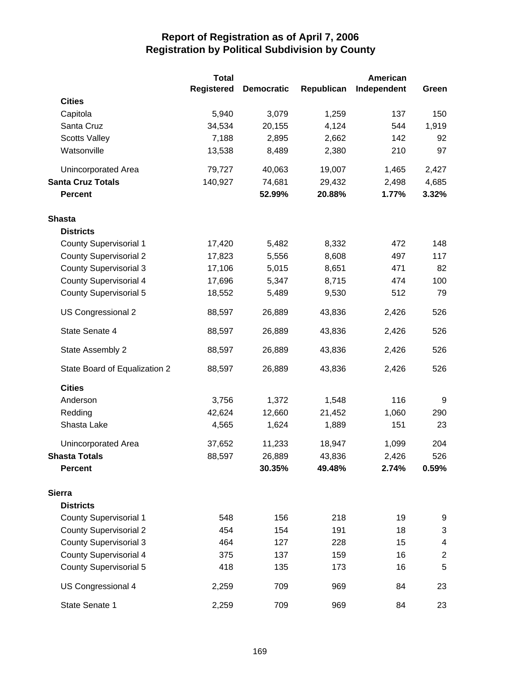|                               | <b>Total</b>      |                   |            | <b>American</b> |                  |
|-------------------------------|-------------------|-------------------|------------|-----------------|------------------|
|                               | <b>Registered</b> | <b>Democratic</b> | Republican | Independent     | Green            |
| <b>Cities</b>                 |                   |                   |            |                 |                  |
| Capitola                      | 5,940             | 3,079             | 1,259      | 137             | 150              |
| Santa Cruz                    | 34,534            | 20,155            | 4,124      | 544             | 1,919            |
| <b>Scotts Valley</b>          | 7,188             | 2,895             | 2,662      | 142             | 92               |
| Watsonville                   | 13,538            | 8,489             | 2,380      | 210             | 97               |
| Unincorporated Area           | 79,727            | 40,063            | 19,007     | 1,465           | 2,427            |
| <b>Santa Cruz Totals</b>      | 140,927           | 74,681            | 29,432     | 2,498           | 4,685            |
| <b>Percent</b>                |                   | 52.99%            | 20.88%     | 1.77%           | 3.32%            |
| <b>Shasta</b>                 |                   |                   |            |                 |                  |
| <b>Districts</b>              |                   |                   |            |                 |                  |
| <b>County Supervisorial 1</b> | 17,420            | 5,482             | 8,332      | 472             | 148              |
| <b>County Supervisorial 2</b> | 17,823            | 5,556             | 8,608      | 497             | 117              |
| <b>County Supervisorial 3</b> | 17,106            | 5,015             | 8,651      | 471             | 82               |
| <b>County Supervisorial 4</b> | 17,696            | 5,347             | 8,715      | 474             | 100              |
| <b>County Supervisorial 5</b> | 18,552            | 5,489             | 9,530      | 512             | 79               |
| US Congressional 2            | 88,597            | 26,889            | 43,836     | 2,426           | 526              |
| State Senate 4                | 88,597            | 26,889            | 43,836     | 2,426           | 526              |
| State Assembly 2              | 88,597            | 26,889            | 43,836     | 2,426           | 526              |
| State Board of Equalization 2 | 88,597            | 26,889            | 43,836     | 2,426           | 526              |
| <b>Cities</b>                 |                   |                   |            |                 |                  |
| Anderson                      | 3,756             | 1,372             | 1,548      | 116             | 9                |
| Redding                       | 42,624            | 12,660            | 21,452     | 1,060           | 290              |
| Shasta Lake                   | 4,565             | 1,624             | 1,889      | 151             | 23               |
| Unincorporated Area           | 37,652            | 11,233            | 18,947     | 1,099           | 204              |
| <b>Shasta Totals</b>          | 88,597            | 26,889            | 43,836     | 2,426           | 526              |
| <b>Percent</b>                |                   | 30.35%            | 49.48%     | 2.74%           | 0.59%            |
| <b>Sierra</b>                 |                   |                   |            |                 |                  |
| <b>Districts</b>              |                   |                   |            |                 |                  |
| <b>County Supervisorial 1</b> | 548               | 156               | 218        | 19              | 9                |
| <b>County Supervisorial 2</b> | 454               | 154               | 191        | 18              | 3                |
| <b>County Supervisorial 3</b> | 464               | 127               | 228        | 15              | 4                |
| <b>County Supervisorial 4</b> | 375               | 137               | 159        | 16              | $\boldsymbol{2}$ |
| <b>County Supervisorial 5</b> | 418               | 135               | 173        | 16              | 5                |
| US Congressional 4            | 2,259             | 709               | 969        | 84              | 23               |
| State Senate 1                | 2,259             | 709               | 969        | 84              | 23               |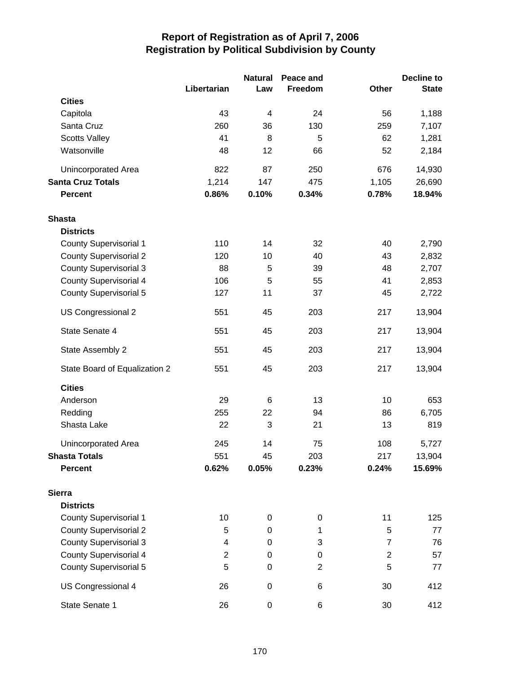|                               |                | <b>Natural</b> | Peace and      |                | <b>Decline to</b> |
|-------------------------------|----------------|----------------|----------------|----------------|-------------------|
|                               | Libertarian    | Law            | Freedom        | Other          | <b>State</b>      |
| <b>Cities</b>                 |                |                |                |                |                   |
| Capitola                      | 43             | 4              | 24             | 56             | 1,188             |
| Santa Cruz                    | 260            | 36             | 130            | 259            | 7,107             |
| <b>Scotts Valley</b>          | 41             | 8              | 5              | 62             | 1,281             |
| Watsonville                   | 48             | 12             | 66             | 52             | 2,184             |
| Unincorporated Area           | 822            | 87             | 250            | 676            | 14,930            |
| <b>Santa Cruz Totals</b>      | 1,214          | 147            | 475            | 1,105          | 26,690            |
| <b>Percent</b>                | 0.86%          | 0.10%          | 0.34%          | 0.78%          | 18.94%            |
| <b>Shasta</b>                 |                |                |                |                |                   |
| <b>Districts</b>              |                |                |                |                |                   |
| <b>County Supervisorial 1</b> | 110            | 14             | 32             | 40             | 2,790             |
| <b>County Supervisorial 2</b> | 120            | 10             | 40             | 43             | 2,832             |
| <b>County Supervisorial 3</b> | 88             | 5              | 39             | 48             | 2,707             |
| <b>County Supervisorial 4</b> | 106            | 5              | 55             | 41             | 2,853             |
| <b>County Supervisorial 5</b> | 127            | 11             | 37             | 45             | 2,722             |
| US Congressional 2            | 551            | 45             | 203            | 217            | 13,904            |
| State Senate 4                | 551            | 45             | 203            | 217            | 13,904            |
| State Assembly 2              | 551            | 45             | 203            | 217            | 13,904            |
| State Board of Equalization 2 | 551            | 45             | 203            | 217            | 13,904            |
| <b>Cities</b>                 |                |                |                |                |                   |
| Anderson                      | 29             | 6              | 13             | 10             | 653               |
| Redding                       | 255            | 22             | 94             | 86             | 6,705             |
| Shasta Lake                   | 22             | 3              | 21             | 13             | 819               |
| Unincorporated Area           | 245            | 14             | 75             | 108            | 5,727             |
| <b>Shasta Totals</b>          | 551            | 45             | 203            | 217            | 13,904            |
| <b>Percent</b>                | 0.62%          | 0.05%          | 0.23%          | 0.24%          | 15.69%            |
| <b>Sierra</b>                 |                |                |                |                |                   |
| <b>Districts</b>              |                |                |                |                |                   |
| County Supervisorial 1        | 10             | $\pmb{0}$      | 0              | 11             | 125               |
| <b>County Supervisorial 2</b> | 5              | $\mathbf 0$    | 1              | 5              | 77                |
| <b>County Supervisorial 3</b> | 4              | 0              | 3              | $\overline{7}$ | 76                |
| <b>County Supervisorial 4</b> | $\overline{2}$ | 0              | 0              | $\overline{2}$ | 57                |
| <b>County Supervisorial 5</b> | 5              | $\pmb{0}$      | $\overline{2}$ | 5              | 77                |
| US Congressional 4            | 26             | $\pmb{0}$      | 6              | 30             | 412               |
| State Senate 1                | 26             | $\pmb{0}$      | 6              | 30             | 412               |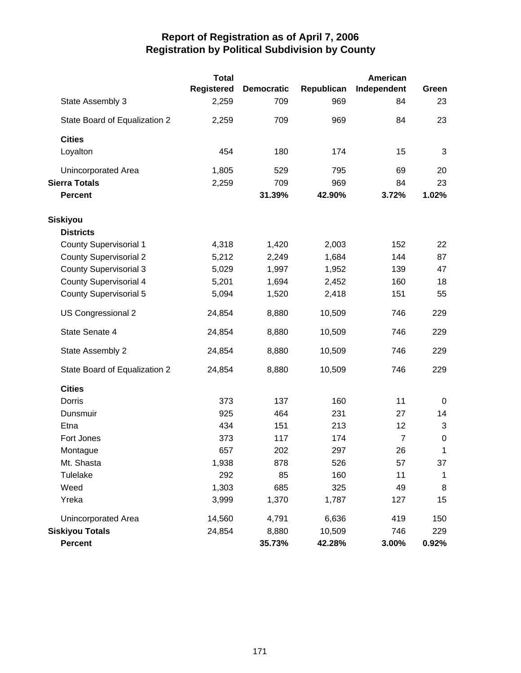|                               | <b>Total</b> |                   |            | American       |              |
|-------------------------------|--------------|-------------------|------------|----------------|--------------|
|                               | Registered   | <b>Democratic</b> | Republican | Independent    | Green        |
| State Assembly 3              | 2,259        | 709               | 969        | 84             | 23           |
| State Board of Equalization 2 | 2,259        | 709               | 969        | 84             | 23           |
| <b>Cities</b>                 |              |                   |            |                |              |
| Loyalton                      | 454          | 180               | 174        | 15             | 3            |
| <b>Unincorporated Area</b>    | 1,805        | 529               | 795        | 69             | 20           |
| <b>Sierra Totals</b>          | 2,259        | 709               | 969        | 84             | 23           |
| <b>Percent</b>                |              | 31.39%            | 42.90%     | 3.72%          | 1.02%        |
| Siskiyou                      |              |                   |            |                |              |
| <b>Districts</b>              |              |                   |            |                |              |
| <b>County Supervisorial 1</b> | 4,318        | 1,420             | 2,003      | 152            | 22           |
| <b>County Supervisorial 2</b> | 5,212        | 2,249             | 1,684      | 144            | 87           |
| <b>County Supervisorial 3</b> | 5,029        | 1,997             | 1,952      | 139            | 47           |
| <b>County Supervisorial 4</b> | 5,201        | 1,694             | 2,452      | 160            | 18           |
| <b>County Supervisorial 5</b> | 5,094        | 1,520             | 2,418      | 151            | 55           |
| US Congressional 2            | 24,854       | 8,880             | 10,509     | 746            | 229          |
| State Senate 4                | 24,854       | 8,880             | 10,509     | 746            | 229          |
| State Assembly 2              | 24,854       | 8,880             | 10,509     | 746            | 229          |
| State Board of Equalization 2 | 24,854       | 8,880             | 10,509     | 746            | 229          |
| <b>Cities</b>                 |              |                   |            |                |              |
| Dorris                        | 373          | 137               | 160        | 11             | 0            |
| Dunsmuir                      | 925          | 464               | 231        | 27             | 14           |
| Etna                          | 434          | 151               | 213        | 12             | 3            |
| Fort Jones                    | 373          | 117               | 174        | $\overline{7}$ | $\mathbf 0$  |
| Montague                      | 657          | 202               | 297        | 26             | 1            |
| Mt. Shasta                    | 1,938        | 878               | 526        | 57             | 37           |
| Tulelake                      | 292          | 85                | 160        | 11             | $\mathbf{1}$ |
| Weed                          | 1,303        | 685               | 325        | 49             | 8            |
| Yreka                         | 3,999        | 1,370             | 1,787      | 127            | 15           |
| Unincorporated Area           | 14,560       | 4,791             | 6,636      | 419            | 150          |
| <b>Siskiyou Totals</b>        | 24,854       | 8,880             | 10,509     | 746            | 229          |
| Percent                       |              | 35.73%            | 42.28%     | 3.00%          | $0.92\%$     |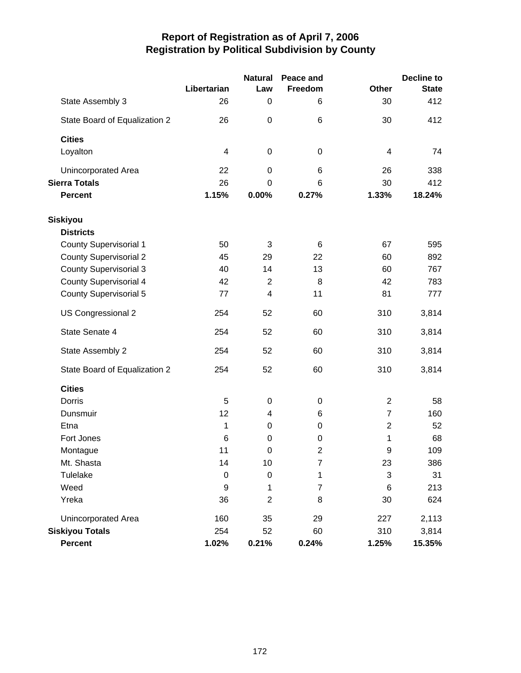|                               | Libertarian              | <b>Natural</b><br>Law | Peace and<br>Freedom | <b>Other</b>            | <b>Decline to</b><br><b>State</b> |
|-------------------------------|--------------------------|-----------------------|----------------------|-------------------------|-----------------------------------|
| State Assembly 3              | 26                       | 0                     | 6                    | 30                      | 412                               |
| State Board of Equalization 2 | 26                       | $\mathbf 0$           | 6                    | 30                      | 412                               |
| <b>Cities</b>                 |                          |                       |                      |                         |                                   |
| Loyalton                      | $\overline{\mathcal{A}}$ | 0                     | 0                    | $\overline{\mathbf{4}}$ | 74                                |
| Unincorporated Area           | 22                       | $\mathbf 0$           | 6                    | 26                      | 338                               |
| <b>Sierra Totals</b>          | 26                       | 0                     | 6                    | 30                      | 412                               |
| <b>Percent</b>                | 1.15%                    | 0.00%                 | 0.27%                | 1.33%                   | 18.24%                            |
| <b>Siskiyou</b>               |                          |                       |                      |                         |                                   |
| <b>Districts</b>              |                          |                       |                      |                         |                                   |
| <b>County Supervisorial 1</b> | 50                       | 3                     | 6                    | 67                      | 595                               |
| <b>County Supervisorial 2</b> | 45                       | 29                    | 22                   | 60                      | 892                               |
| <b>County Supervisorial 3</b> | 40                       | 14                    | 13                   | 60                      | 767                               |
| <b>County Supervisorial 4</b> | 42                       | $\overline{2}$        | 8                    | 42                      | 783                               |
| <b>County Supervisorial 5</b> | 77                       | $\overline{4}$        | 11                   | 81                      | 777                               |
| US Congressional 2            | 254                      | 52                    | 60                   | 310                     | 3,814                             |
| State Senate 4                | 254                      | 52                    | 60                   | 310                     | 3,814                             |
| State Assembly 2              | 254                      | 52                    | 60                   | 310                     | 3,814                             |
| State Board of Equalization 2 | 254                      | 52                    | 60                   | 310                     | 3,814                             |
| <b>Cities</b>                 |                          |                       |                      |                         |                                   |
| Dorris                        | 5                        | 0                     | 0                    | $\overline{2}$          | 58                                |
| Dunsmuir                      | 12                       | 4                     | 6                    | $\overline{7}$          | 160                               |
| Etna                          | 1                        | 0                     | 0                    | $\overline{2}$          | 52                                |
| Fort Jones                    | 6                        | 0                     | 0                    | 1                       | 68                                |
| Montague                      | 11                       | 0                     | 2                    | 9                       | 109                               |
| Mt. Shasta                    | 14                       | 10                    | 7                    | 23                      | 386                               |
| Tulelake                      | $\pmb{0}$                | $\pmb{0}$             | 1                    | 3                       | 31                                |
| Weed                          | 9                        | 1                     | 7                    | $\,6$                   | 213                               |
| Yreka                         | 36                       | $\overline{c}$        | 8                    | 30                      | 624                               |
| Unincorporated Area           | 160                      | 35                    | 29                   | 227                     | 2,113                             |
| <b>Siskiyou Totals</b>        | 254                      | 52                    | 60                   | 310                     | 3,814                             |
| Percent                       | 1.02%                    | 0.21%                 | 0.24%                | 1.25%                   | 15.35%                            |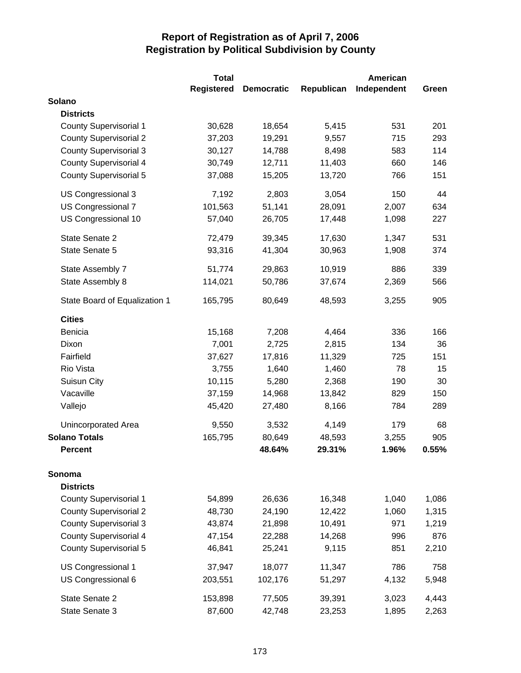|                               | <b>Total</b>      |                   |            | American    |       |
|-------------------------------|-------------------|-------------------|------------|-------------|-------|
|                               | <b>Registered</b> | <b>Democratic</b> | Republican | Independent | Green |
| Solano                        |                   |                   |            |             |       |
| <b>Districts</b>              |                   |                   |            |             |       |
| <b>County Supervisorial 1</b> | 30,628            | 18,654            | 5,415      | 531         | 201   |
| <b>County Supervisorial 2</b> | 37,203            | 19,291            | 9,557      | 715         | 293   |
| <b>County Supervisorial 3</b> | 30,127            | 14,788            | 8,498      | 583         | 114   |
| <b>County Supervisorial 4</b> | 30,749            | 12,711            | 11,403     | 660         | 146   |
| <b>County Supervisorial 5</b> | 37,088            | 15,205            | 13,720     | 766         | 151   |
| US Congressional 3            | 7,192             | 2,803             | 3,054      | 150         | 44    |
| US Congressional 7            | 101,563           | 51,141            | 28,091     | 2,007       | 634   |
| US Congressional 10           | 57,040            | 26,705            | 17,448     | 1,098       | 227   |
| State Senate 2                | 72,479            | 39,345            | 17,630     | 1,347       | 531   |
| State Senate 5                | 93,316            | 41,304            | 30,963     | 1,908       | 374   |
| State Assembly 7              | 51,774            | 29,863            | 10,919     | 886         | 339   |
| State Assembly 8              | 114,021           | 50,786            | 37,674     | 2,369       | 566   |
| State Board of Equalization 1 | 165,795           | 80,649            | 48,593     | 3,255       | 905   |
| <b>Cities</b>                 |                   |                   |            |             |       |
| Benicia                       | 15,168            | 7,208             | 4,464      | 336         | 166   |
| Dixon                         | 7,001             | 2,725             | 2,815      | 134         | 36    |
| Fairfield                     | 37,627            | 17,816            | 11,329     | 725         | 151   |
| Rio Vista                     | 3,755             | 1,640             | 1,460      | 78          | 15    |
| Suisun City                   | 10,115            | 5,280             | 2,368      | 190         | 30    |
| Vacaville                     | 37,159            | 14,968            | 13,842     | 829         | 150   |
| Vallejo                       | 45,420            | 27,480            | 8,166      | 784         | 289   |
| Unincorporated Area           | 9,550             | 3,532             | 4,149      | 179         | 68    |
| <b>Solano Totals</b>          | 165,795           | 80,649            | 48,593     | 3,255       | 905   |
| <b>Percent</b>                |                   | 48.64%            | 29.31%     | 1.96%       | 0.55% |
| Sonoma                        |                   |                   |            |             |       |
| <b>Districts</b>              |                   |                   |            |             |       |
| <b>County Supervisorial 1</b> | 54,899            | 26,636            | 16,348     | 1,040       | 1,086 |
| <b>County Supervisorial 2</b> | 48,730            | 24,190            | 12,422     | 1,060       | 1,315 |
| <b>County Supervisorial 3</b> | 43,874            | 21,898            | 10,491     | 971         | 1,219 |
| <b>County Supervisorial 4</b> | 47,154            | 22,288            | 14,268     | 996         | 876   |
| County Supervisorial 5        | 46,841            | 25,241            | 9,115      | 851         | 2,210 |
| US Congressional 1            | 37,947            | 18,077            | 11,347     | 786         | 758   |
| US Congressional 6            | 203,551           | 102,176           | 51,297     | 4,132       | 5,948 |
| State Senate 2                | 153,898           | 77,505            | 39,391     | 3,023       | 4,443 |
| State Senate 3                | 87,600            | 42,748            | 23,253     | 1,895       | 2,263 |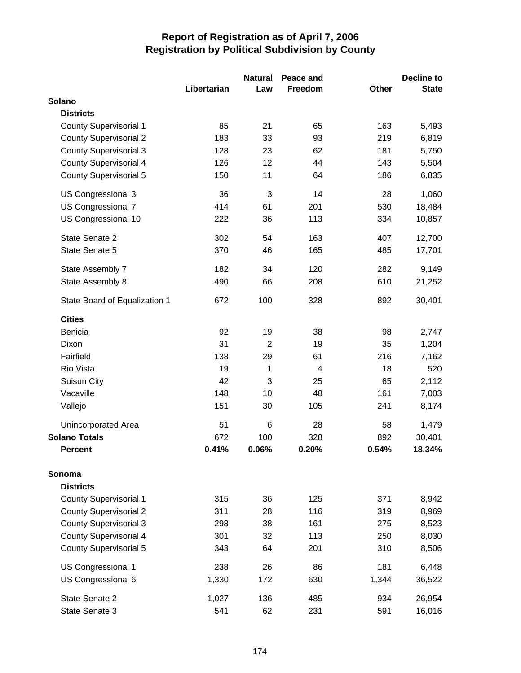|                               |             | <b>Natural</b> | Peace and |              | <b>Decline to</b> |
|-------------------------------|-------------|----------------|-----------|--------------|-------------------|
|                               | Libertarian | Law            | Freedom   | <b>Other</b> | <b>State</b>      |
| Solano                        |             |                |           |              |                   |
| <b>Districts</b>              |             |                |           |              |                   |
| <b>County Supervisorial 1</b> | 85          | 21             | 65        | 163          | 5,493             |
| <b>County Supervisorial 2</b> | 183         | 33             | 93        | 219          | 6,819             |
| <b>County Supervisorial 3</b> | 128         | 23             | 62        | 181          | 5,750             |
| <b>County Supervisorial 4</b> | 126         | 12             | 44        | 143          | 5,504             |
| <b>County Supervisorial 5</b> | 150         | 11             | 64        | 186          | 6,835             |
| US Congressional 3            | 36          | 3              | 14        | 28           | 1,060             |
| US Congressional 7            | 414         | 61             | 201       | 530          | 18,484            |
| US Congressional 10           | 222         | 36             | 113       | 334          | 10,857            |
| State Senate 2                | 302         | 54             | 163       | 407          | 12,700            |
| State Senate 5                | 370         | 46             | 165       | 485          | 17,701            |
| State Assembly 7              | 182         | 34             | 120       | 282          | 9,149             |
| State Assembly 8              | 490         | 66             | 208       | 610          | 21,252            |
| State Board of Equalization 1 | 672         | 100            | 328       | 892          | 30,401            |
| <b>Cities</b>                 |             |                |           |              |                   |
| Benicia                       | 92          | 19             | 38        | 98           | 2,747             |
| Dixon                         | 31          | $\overline{2}$ | 19        | 35           | 1,204             |
| Fairfield                     | 138         | 29             | 61        | 216          | 7,162             |
| Rio Vista                     | 19          | 1              | 4         | 18           | 520               |
| Suisun City                   | 42          | 3              | 25        | 65           | 2,112             |
| Vacaville                     | 148         | 10             | 48        | 161          | 7,003             |
| Vallejo                       | 151         | 30             | 105       | 241          | 8,174             |
| Unincorporated Area           | 51          | 6              | 28        | 58           | 1,479             |
| <b>Solano Totals</b>          | 672         | 100            | 328       | 892          | 30,401            |
| <b>Percent</b>                | 0.41%       | 0.06%          | 0.20%     | 0.54%        | 18.34%            |
| Sonoma                        |             |                |           |              |                   |
| <b>Districts</b>              |             |                |           |              |                   |
| <b>County Supervisorial 1</b> | 315         | 36             | 125       | 371          | 8,942             |
| <b>County Supervisorial 2</b> | 311         | 28             | 116       | 319          | 8,969             |
| <b>County Supervisorial 3</b> | 298         | 38             | 161       | 275          | 8,523             |
| <b>County Supervisorial 4</b> | 301         | 32             | 113       | 250          | 8,030             |
| <b>County Supervisorial 5</b> | 343         | 64             | 201       | 310          | 8,506             |
| US Congressional 1            | 238         | 26             | 86        | 181          | 6,448             |
| US Congressional 6            | 1,330       | 172            | 630       | 1,344        | 36,522            |
| State Senate 2                | 1,027       | 136            | 485       | 934          | 26,954            |
| State Senate 3                | 541         | 62             | 231       | 591          | 16,016            |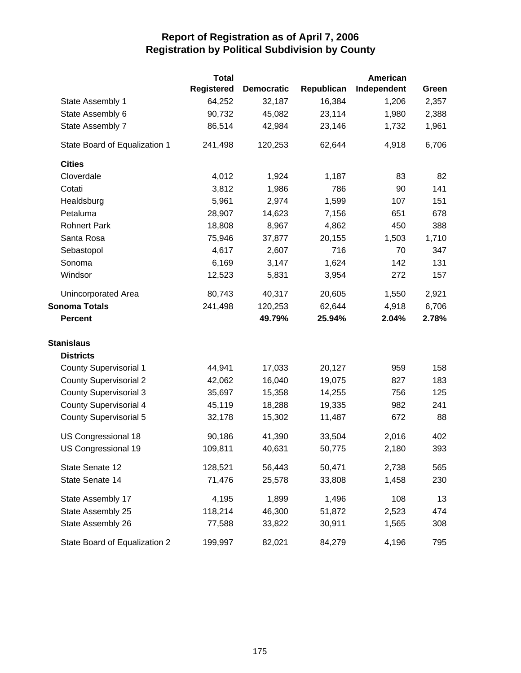|                               | <b>Total</b>      |                   |            | <b>American</b> |       |
|-------------------------------|-------------------|-------------------|------------|-----------------|-------|
|                               | <b>Registered</b> | <b>Democratic</b> | Republican | Independent     | Green |
| State Assembly 1              | 64,252            | 32,187            | 16,384     | 1,206           | 2,357 |
| State Assembly 6              | 90,732            | 45,082            | 23,114     | 1,980           | 2,388 |
| State Assembly 7              | 86,514            | 42,984            | 23,146     | 1,732           | 1,961 |
| State Board of Equalization 1 | 241,498           | 120,253           | 62,644     | 4,918           | 6,706 |
| <b>Cities</b>                 |                   |                   |            |                 |       |
| Cloverdale                    | 4,012             | 1,924             | 1,187      | 83              | 82    |
| Cotati                        | 3,812             | 1,986             | 786        | 90              | 141   |
| Healdsburg                    | 5,961             | 2,974             | 1,599      | 107             | 151   |
| Petaluma                      | 28,907            | 14,623            | 7,156      | 651             | 678   |
| <b>Rohnert Park</b>           | 18,808            | 8,967             | 4,862      | 450             | 388   |
| Santa Rosa                    | 75,946            | 37,877            | 20,155     | 1,503           | 1,710 |
| Sebastopol                    | 4,617             | 2,607             | 716        | 70              | 347   |
| Sonoma                        | 6,169             | 3,147             | 1,624      | 142             | 131   |
| Windsor                       | 12,523            | 5,831             | 3,954      | 272             | 157   |
| Unincorporated Area           | 80,743            | 40,317            | 20,605     | 1,550           | 2,921 |
| <b>Sonoma Totals</b>          | 241,498           | 120,253           | 62,644     | 4,918           | 6,706 |
| <b>Percent</b>                |                   | 49.79%            | 25.94%     | 2.04%           | 2.78% |
| <b>Stanislaus</b>             |                   |                   |            |                 |       |
| <b>Districts</b>              |                   |                   |            |                 |       |
| <b>County Supervisorial 1</b> | 44,941            | 17,033            | 20,127     | 959             | 158   |
| <b>County Supervisorial 2</b> | 42,062            | 16,040            | 19,075     | 827             | 183   |
| <b>County Supervisorial 3</b> | 35,697            | 15,358            | 14,255     | 756             | 125   |
| <b>County Supervisorial 4</b> | 45,119            | 18,288            | 19,335     | 982             | 241   |
| <b>County Supervisorial 5</b> | 32,178            | 15,302            | 11,487     | 672             | 88    |
| US Congressional 18           | 90,186            | 41,390            | 33,504     | 2,016           | 402   |
| US Congressional 19           | 109,811           | 40,631            | 50,775     | 2,180           | 393   |
| State Senate 12               | 128,521           | 56,443            | 50,471     | 2,738           | 565   |
| State Senate 14               | 71,476            | 25,578            | 33,808     | 1,458           | 230   |
| State Assembly 17             | 4,195             | 1,899             | 1,496      | 108             | 13    |
| State Assembly 25             | 118,214           | 46,300            | 51,872     | 2,523           | 474   |
| State Assembly 26             | 77,588            | 33,822            | 30,911     | 1,565           | 308   |
| State Board of Equalization 2 | 199,997           | 82,021            | 84,279     | 4,196           | 795   |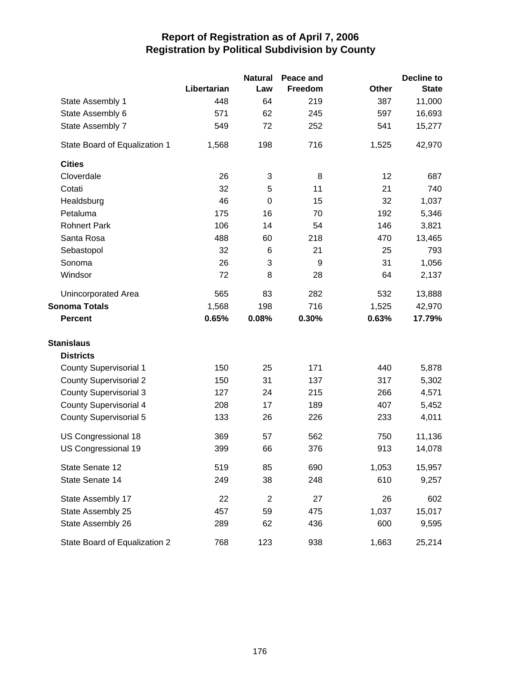|                               |             | <b>Natural</b> | Peace and |              | <b>Decline to</b> |
|-------------------------------|-------------|----------------|-----------|--------------|-------------------|
|                               | Libertarian | Law            | Freedom   | <b>Other</b> | <b>State</b>      |
| State Assembly 1              | 448         | 64             | 219       | 387          | 11,000            |
| State Assembly 6              | 571         | 62             | 245       | 597          | 16,693            |
| State Assembly 7              | 549         | 72             | 252       | 541          | 15,277            |
| State Board of Equalization 1 | 1,568       | 198            | 716       | 1,525        | 42,970            |
| <b>Cities</b>                 |             |                |           |              |                   |
| Cloverdale                    | 26          | 3              | 8         | 12           | 687               |
| Cotati                        | 32          | 5              | 11        | 21           | 740               |
| Healdsburg                    | 46          | $\mathbf 0$    | 15        | 32           | 1,037             |
| Petaluma                      | 175         | 16             | 70        | 192          | 5,346             |
| <b>Rohnert Park</b>           | 106         | 14             | 54        | 146          | 3,821             |
| Santa Rosa                    | 488         | 60             | 218       | 470          | 13,465            |
| Sebastopol                    | 32          | 6              | 21        | 25           | 793               |
| Sonoma                        | 26          | 3              | 9         | 31           | 1,056             |
| Windsor                       | 72          | 8              | 28        | 64           | 2,137             |
| Unincorporated Area           | 565         | 83             | 282       | 532          | 13,888            |
| <b>Sonoma Totals</b>          | 1,568       | 198            | 716       | 1,525        | 42,970            |
| <b>Percent</b>                | 0.65%       | 0.08%          | 0.30%     | 0.63%        | 17.79%            |
| <b>Stanislaus</b>             |             |                |           |              |                   |
| <b>Districts</b>              |             |                |           |              |                   |
| <b>County Supervisorial 1</b> | 150         | 25             | 171       | 440          | 5,878             |
| <b>County Supervisorial 2</b> | 150         | 31             | 137       | 317          | 5,302             |
| <b>County Supervisorial 3</b> | 127         | 24             | 215       | 266          | 4,571             |
| <b>County Supervisorial 4</b> | 208         | 17             | 189       | 407          | 5,452             |
| <b>County Supervisorial 5</b> | 133         | 26             | 226       | 233          | 4,011             |
| US Congressional 18           | 369         | 57             | 562       | 750          | 11,136            |
| US Congressional 19           | 399         | 66             | 376       | 913          | 14,078            |
| State Senate 12               | 519         | 85             | 690       | 1,053        | 15,957            |
| State Senate 14               | 249         | 38             | 248       | 610          | 9,257             |
| State Assembly 17             | 22          | $\overline{2}$ | 27        | 26           | 602               |
| State Assembly 25             | 457         | 59             | 475       | 1,037        | 15,017            |
| State Assembly 26             | 289         | 62             | 436       | 600          | 9,595             |
| State Board of Equalization 2 | 768         | 123            | 938       | 1,663        | 25,214            |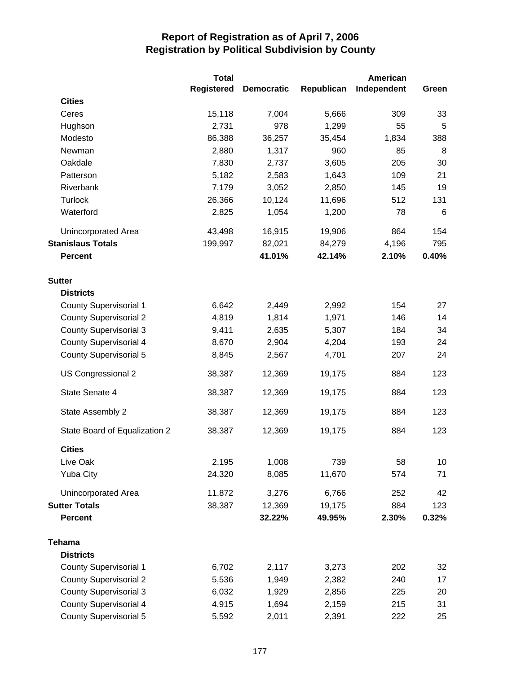|                               | <b>Total</b>      |                   |            | <b>American</b> |       |
|-------------------------------|-------------------|-------------------|------------|-----------------|-------|
|                               | <b>Registered</b> | <b>Democratic</b> | Republican | Independent     | Green |
| <b>Cities</b>                 |                   |                   |            |                 |       |
| Ceres                         | 15,118            | 7,004             | 5,666      | 309             | 33    |
| Hughson                       | 2,731             | 978               | 1,299      | 55              | 5     |
| Modesto                       | 86,388            | 36,257            | 35,454     | 1,834           | 388   |
| Newman                        | 2,880             | 1,317             | 960        | 85              | 8     |
| Oakdale                       | 7,830             | 2,737             | 3,605      | 205             | 30    |
| Patterson                     | 5,182             | 2,583             | 1,643      | 109             | 21    |
| Riverbank                     | 7,179             | 3,052             | 2,850      | 145             | 19    |
| Turlock                       | 26,366            | 10,124            | 11,696     | 512             | 131   |
| Waterford                     | 2,825             | 1,054             | 1,200      | 78              | 6     |
| <b>Unincorporated Area</b>    | 43,498            | 16,915            | 19,906     | 864             | 154   |
| <b>Stanislaus Totals</b>      | 199,997           | 82,021            | 84,279     | 4,196           | 795   |
| Percent                       |                   | 41.01%            | 42.14%     | 2.10%           | 0.40% |
| <b>Sutter</b>                 |                   |                   |            |                 |       |
| <b>Districts</b>              |                   |                   |            |                 |       |
| <b>County Supervisorial 1</b> | 6,642             | 2,449             | 2,992      | 154             | 27    |
| <b>County Supervisorial 2</b> | 4,819             | 1,814             | 1,971      | 146             | 14    |
| <b>County Supervisorial 3</b> | 9,411             | 2,635             | 5,307      | 184             | 34    |
| <b>County Supervisorial 4</b> | 8,670             | 2,904             | 4,204      | 193             | 24    |
| <b>County Supervisorial 5</b> | 8,845             | 2,567             | 4,701      | 207             | 24    |
| US Congressional 2            | 38,387            | 12,369            | 19,175     | 884             | 123   |
| State Senate 4                | 38,387            | 12,369            | 19,175     | 884             | 123   |
| State Assembly 2              | 38,387            | 12,369            | 19,175     | 884             | 123   |
| State Board of Equalization 2 | 38,387            | 12,369            | 19,175     | 884             | 123   |
| <b>Cities</b>                 |                   |                   |            |                 |       |
| Live Oak                      | 2,195             | 1,008             | 739        | 58              | 10    |
| <b>Yuba City</b>              | 24,320            | 8,085             | 11,670     | 574             | 71    |
| <b>Unincorporated Area</b>    | 11,872            | 3,276             | 6,766      | 252             | 42    |
| <b>Sutter Totals</b>          | 38,387            | 12,369            | 19,175     | 884             | 123   |
| <b>Percent</b>                |                   | 32.22%            | 49.95%     | 2.30%           | 0.32% |
| <b>Tehama</b>                 |                   |                   |            |                 |       |
| <b>Districts</b>              |                   |                   |            |                 |       |
| <b>County Supervisorial 1</b> | 6,702             | 2,117             | 3,273      | 202             | 32    |
| <b>County Supervisorial 2</b> | 5,536             | 1,949             | 2,382      | 240             | 17    |
| <b>County Supervisorial 3</b> | 6,032             | 1,929             | 2,856      | 225             | 20    |
| <b>County Supervisorial 4</b> | 4,915             | 1,694             | 2,159      | 215             | 31    |
| <b>County Supervisorial 5</b> | 5,592             | 2,011             | 2,391      | 222             | 25    |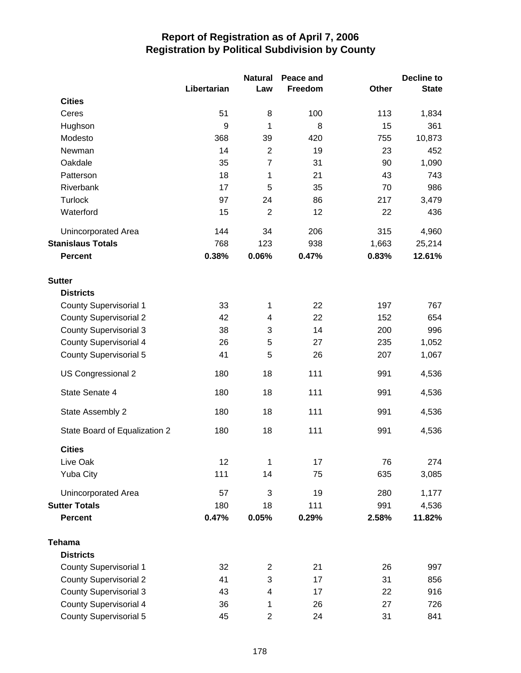|                               |             | <b>Natural</b>          | Peace and |       | Decline to   |
|-------------------------------|-------------|-------------------------|-----------|-------|--------------|
|                               | Libertarian | Law                     | Freedom   | Other | <b>State</b> |
| <b>Cities</b>                 |             |                         |           |       |              |
| Ceres                         | 51          | 8                       | 100       | 113   | 1,834        |
| Hughson                       | 9           | 1                       | 8         | 15    | 361          |
| Modesto                       | 368         | 39                      | 420       | 755   | 10,873       |
| Newman                        | 14          | $\overline{2}$          | 19        | 23    | 452          |
| Oakdale                       | 35          | $\overline{7}$          | 31        | 90    | 1,090        |
| Patterson                     | 18          | 1                       | 21        | 43    | 743          |
| Riverbank                     | 17          | 5                       | 35        | 70    | 986          |
| <b>Turlock</b>                | 97          | 24                      | 86        | 217   | 3,479        |
| Waterford                     | 15          | $\overline{2}$          | 12        | 22    | 436          |
| Unincorporated Area           | 144         | 34                      | 206       | 315   | 4,960        |
| <b>Stanislaus Totals</b>      | 768         | 123                     | 938       | 1,663 | 25,214       |
| <b>Percent</b>                | 0.38%       | 0.06%                   | 0.47%     | 0.83% | 12.61%       |
| <b>Sutter</b>                 |             |                         |           |       |              |
| <b>Districts</b>              |             |                         |           |       |              |
| <b>County Supervisorial 1</b> | 33          | 1                       | 22        | 197   | 767          |
| <b>County Supervisorial 2</b> | 42          | 4                       | 22        | 152   | 654          |
| <b>County Supervisorial 3</b> | 38          | 3                       | 14        | 200   | 996          |
| <b>County Supervisorial 4</b> | 26          | 5                       | 27        | 235   | 1,052        |
| <b>County Supervisorial 5</b> | 41          | 5                       | 26        | 207   | 1,067        |
| US Congressional 2            | 180         | 18                      | 111       | 991   | 4,536        |
| State Senate 4                | 180         | 18                      | 111       | 991   | 4,536        |
| State Assembly 2              | 180         | 18                      | 111       | 991   | 4,536        |
| State Board of Equalization 2 | 180         | 18                      | 111       | 991   | 4,536        |
| <b>Cities</b>                 |             |                         |           |       |              |
| Live Oak                      | 12          | 1                       | 17        | 76    | 274          |
| <b>Yuba City</b>              | 111         | 14                      | 75        | 635   | 3,085        |
| Unincorporated Area           | 57          | 3                       | 19        | 280   | 1,177        |
| <b>Sutter Totals</b>          | 180         | 18                      | 111       | 991   | 4,536        |
| <b>Percent</b>                | 0.47%       | 0.05%                   | 0.29%     | 2.58% | 11.82%       |
| <b>Tehama</b>                 |             |                         |           |       |              |
| <b>Districts</b>              |             |                         |           |       |              |
| <b>County Supervisorial 1</b> | 32          | 2                       | 21        | 26    | 997          |
| <b>County Supervisorial 2</b> | 41          | 3                       | 17        | 31    | 856          |
| <b>County Supervisorial 3</b> | 43          | 4                       | 17        | 22    | 916          |
| <b>County Supervisorial 4</b> | 36          | 1                       | 26        | 27    | 726          |
| <b>County Supervisorial 5</b> | 45          | $\overline{\mathbf{c}}$ | 24        | 31    | 841          |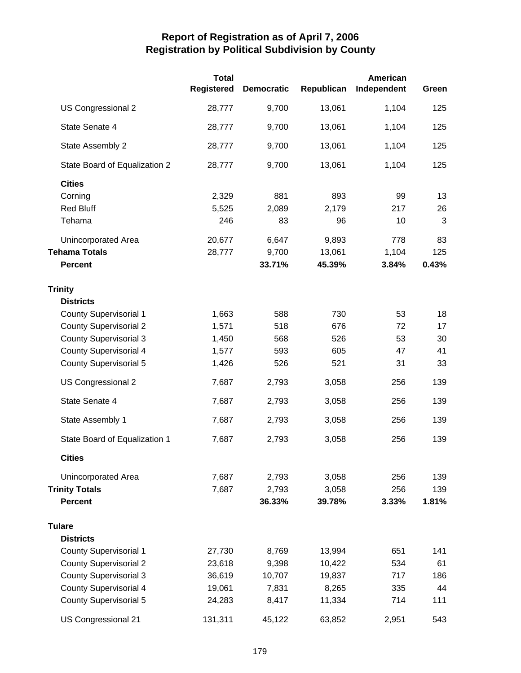|                               | <b>Total</b><br><b>Registered</b> | <b>Democratic</b> | Republican | American<br>Independent | Green |
|-------------------------------|-----------------------------------|-------------------|------------|-------------------------|-------|
| US Congressional 2            | 28,777                            | 9,700             | 13,061     | 1,104                   | 125   |
| State Senate 4                | 28,777                            | 9,700             | 13,061     | 1,104                   | 125   |
| State Assembly 2              | 28,777                            | 9,700             | 13,061     | 1,104                   | 125   |
| State Board of Equalization 2 | 28,777                            | 9,700             | 13,061     | 1,104                   | 125   |
| <b>Cities</b>                 |                                   |                   |            |                         |       |
| Corning                       | 2,329                             | 881               | 893        | 99                      | 13    |
| <b>Red Bluff</b>              | 5,525                             | 2,089             | 2,179      | 217                     | 26    |
| Tehama                        | 246                               | 83                | 96         | 10                      | 3     |
| <b>Unincorporated Area</b>    | 20,677                            | 6,647             | 9,893      | 778                     | 83    |
| <b>Tehama Totals</b>          | 28,777                            | 9,700             | 13,061     | 1,104                   | 125   |
| <b>Percent</b>                |                                   | 33.71%            | 45.39%     | 3.84%                   | 0.43% |
| Trinity                       |                                   |                   |            |                         |       |
| <b>Districts</b>              |                                   |                   |            |                         |       |
| <b>County Supervisorial 1</b> | 1,663                             | 588               | 730        | 53                      | 18    |
| <b>County Supervisorial 2</b> | 1,571                             | 518               | 676        | 72                      | 17    |
| <b>County Supervisorial 3</b> | 1,450                             | 568               | 526        | 53                      | 30    |
| <b>County Supervisorial 4</b> | 1,577                             | 593               | 605        | 47                      | 41    |
| <b>County Supervisorial 5</b> | 1,426                             | 526               | 521        | 31                      | 33    |
| US Congressional 2            | 7,687                             | 2,793             | 3,058      | 256                     | 139   |
| State Senate 4                | 7,687                             | 2,793             | 3,058      | 256                     | 139   |
| State Assembly 1              | 7,687                             | 2,793             | 3,058      | 256                     | 139   |
| State Board of Equalization 1 | 7,687                             | 2,793             | 3,058      | 256                     | 139   |
| <b>Cities</b>                 |                                   |                   |            |                         |       |
| Unincorporated Area           | 7,687                             | 2,793             | 3,058      | 256                     | 139   |
| <b>Trinity Totals</b>         | 7,687                             | 2,793             | 3,058      | 256                     | 139   |
| <b>Percent</b>                |                                   | 36.33%            | 39.78%     | 3.33%                   | 1.81% |
| <b>Tulare</b>                 |                                   |                   |            |                         |       |
| <b>Districts</b>              |                                   |                   |            |                         |       |
| <b>County Supervisorial 1</b> | 27,730                            | 8,769             | 13,994     | 651                     | 141   |
| <b>County Supervisorial 2</b> | 23,618                            | 9,398             | 10,422     | 534                     | 61    |
| <b>County Supervisorial 3</b> | 36,619                            | 10,707            | 19,837     | 717                     | 186   |
| <b>County Supervisorial 4</b> | 19,061                            | 7,831             | 8,265      | 335                     | 44    |
| <b>County Supervisorial 5</b> | 24,283                            | 8,417             | 11,334     | 714                     | 111   |
| US Congressional 21           | 131,311                           | 45,122            | 63,852     | 2,951                   | 543   |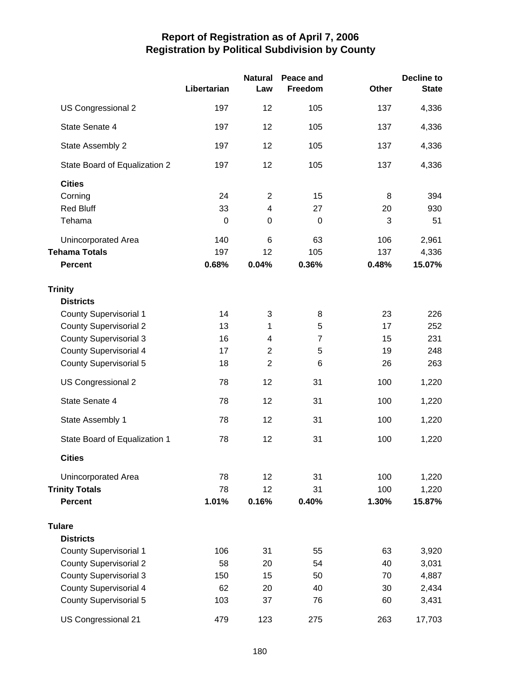|                               | Libertarian | <b>Natural</b><br>Law   | Peace and<br>Freedom | <b>Other</b> | <b>Decline to</b><br><b>State</b> |
|-------------------------------|-------------|-------------------------|----------------------|--------------|-----------------------------------|
| US Congressional 2            | 197         | 12                      | 105                  | 137          | 4,336                             |
| State Senate 4                | 197         | 12                      | 105                  | 137          | 4,336                             |
| State Assembly 2              | 197         | 12                      | 105                  | 137          | 4,336                             |
| State Board of Equalization 2 | 197         | 12                      | 105                  | 137          | 4,336                             |
| <b>Cities</b>                 |             |                         |                      |              |                                   |
| Corning                       | 24          | $\overline{2}$          | 15                   | 8            | 394                               |
| <b>Red Bluff</b>              | 33          | $\overline{\mathbf{4}}$ | 27                   | 20           | 930                               |
| Tehama                        | $\mathbf 0$ | 0                       | $\boldsymbol{0}$     | 3            | 51                                |
| Unincorporated Area           | 140         | 6                       | 63                   | 106          | 2,961                             |
| <b>Tehama Totals</b>          | 197         | 12                      | 105                  | 137          | 4,336                             |
| <b>Percent</b>                | 0.68%       | 0.04%                   | 0.36%                | 0.48%        | 15.07%                            |
| <b>Trinity</b>                |             |                         |                      |              |                                   |
| <b>Districts</b>              |             |                         |                      |              |                                   |
| <b>County Supervisorial 1</b> | 14          | 3                       | 8                    | 23           | 226                               |
| <b>County Supervisorial 2</b> | 13          | 1                       | 5                    | 17           | 252                               |
| <b>County Supervisorial 3</b> | 16          | 4                       | $\overline{7}$       | 15           | 231                               |
| <b>County Supervisorial 4</b> | 17          | $\overline{2}$          | 5                    | 19           | 248                               |
| <b>County Supervisorial 5</b> | 18          | $\overline{2}$          | 6                    | 26           | 263                               |
| US Congressional 2            | 78          | 12                      | 31                   | 100          | 1,220                             |
| State Senate 4                | 78          | 12                      | 31                   | 100          | 1,220                             |
| State Assembly 1              | 78          | 12                      | 31                   | 100          | 1,220                             |
| State Board of Equalization 1 | 78          | 12                      | 31                   | 100          | 1,220                             |
| <b>Cities</b>                 |             |                         |                      |              |                                   |
| Unincorporated Area           | 78          | 12                      | 31                   | 100          | 1,220                             |
| <b>Trinity Totals</b>         | 78          | 12                      | 31                   | 100          | 1,220                             |
| <b>Percent</b>                | 1.01%       | 0.16%                   | 0.40%                | 1.30%        | 15.87%                            |
| <b>Tulare</b>                 |             |                         |                      |              |                                   |
| <b>Districts</b>              |             |                         |                      |              |                                   |
| <b>County Supervisorial 1</b> | 106         | 31                      | 55                   | 63           | 3,920                             |
| <b>County Supervisorial 2</b> | 58          | 20                      | 54                   | 40           | 3,031                             |
| <b>County Supervisorial 3</b> | 150         | 15                      | 50                   | 70           | 4,887                             |
| <b>County Supervisorial 4</b> | 62          | 20                      | 40                   | 30           | 2,434                             |
| <b>County Supervisorial 5</b> | 103         | 37                      | 76                   | 60           | 3,431                             |
| US Congressional 21           | 479         | 123                     | 275                  | 263          | 17,703                            |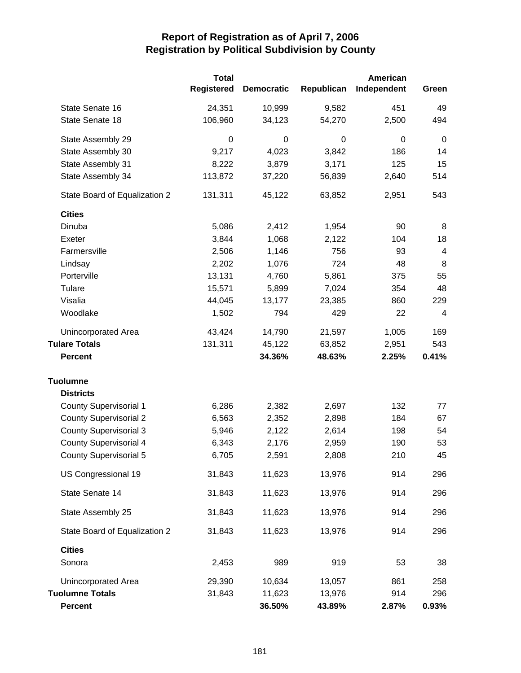|                               | <b>Total</b>      |                   |            | American    |                |
|-------------------------------|-------------------|-------------------|------------|-------------|----------------|
|                               | <b>Registered</b> | <b>Democratic</b> | Republican | Independent | Green          |
| State Senate 16               | 24,351            | 10,999            | 9,582      | 451         | 49             |
| State Senate 18               | 106,960           | 34,123            | 54,270     | 2,500       | 494            |
| State Assembly 29             | 0                 | 0                 | 0          | 0           | $\mathbf 0$    |
| State Assembly 30             | 9,217             | 4,023             | 3,842      | 186         | 14             |
| State Assembly 31             | 8,222             | 3,879             | 3,171      | 125         | 15             |
| State Assembly 34             | 113,872           | 37,220            | 56,839     | 2,640       | 514            |
| State Board of Equalization 2 | 131,311           | 45,122            | 63,852     | 2,951       | 543            |
| <b>Cities</b>                 |                   |                   |            |             |                |
| Dinuba                        | 5,086             | 2,412             | 1,954      | 90          | 8              |
| Exeter                        | 3,844             | 1,068             | 2,122      | 104         | 18             |
| Farmersville                  | 2,506             | 1,146             | 756        | 93          | $\overline{4}$ |
| Lindsay                       | 2,202             | 1,076             | 724        | 48          | 8              |
| Porterville                   | 13,131            | 4,760             | 5,861      | 375         | 55             |
| Tulare                        | 15,571            | 5,899             | 7,024      | 354         | 48             |
| Visalia                       | 44,045            | 13,177            | 23,385     | 860         | 229            |
| Woodlake                      | 1,502             | 794               | 429        | 22          | 4              |
| Unincorporated Area           | 43,424            | 14,790            | 21,597     | 1,005       | 169            |
| <b>Tulare Totals</b>          | 131,311           | 45,122            | 63,852     | 2,951       | 543            |
| <b>Percent</b>                |                   | 34.36%            | 48.63%     | 2.25%       | 0.41%          |
| <b>Tuolumne</b>               |                   |                   |            |             |                |
| <b>Districts</b>              |                   |                   |            |             |                |
| <b>County Supervisorial 1</b> | 6,286             | 2,382             | 2,697      | 132         | 77             |
| <b>County Supervisorial 2</b> | 6,563             | 2,352             | 2,898      | 184         | 67             |
| <b>County Supervisorial 3</b> | 5,946             | 2,122             | 2,614      | 198         | 54             |
| <b>County Supervisorial 4</b> | 6,343             | 2,176             | 2,959      | 190         | 53             |
| County Supervisorial 5        | 6,705             | 2,591             | 2,808      | 210         | 45             |
| US Congressional 19           | 31,843            | 11,623            | 13,976     | 914         | 296            |
| State Senate 14               | 31,843            | 11,623            | 13,976     | 914         | 296            |
| State Assembly 25             | 31,843            | 11,623            | 13,976     | 914         | 296            |
| State Board of Equalization 2 | 31,843            | 11,623            | 13,976     | 914         | 296            |
| <b>Cities</b>                 |                   |                   |            |             |                |
| Sonora                        | 2,453             | 989               | 919        | 53          | 38             |
| Unincorporated Area           | 29,390            | 10,634            | 13,057     | 861         | 258            |
| <b>Tuolumne Totals</b>        | 31,843            | 11,623            | 13,976     | 914         | 296            |
| <b>Percent</b>                |                   | 36.50%            | 43.89%     | 2.87%       | 0.93%          |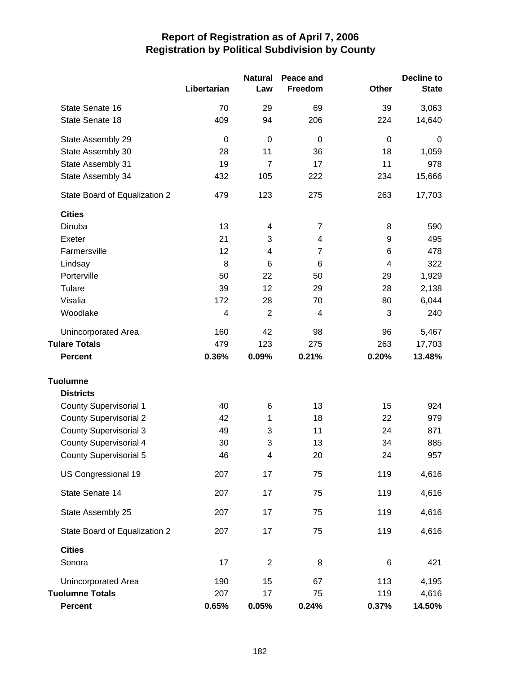|                               |             | <b>Natural</b>          | Peace and      |                         | <b>Decline to</b> |
|-------------------------------|-------------|-------------------------|----------------|-------------------------|-------------------|
|                               | Libertarian | Law                     | Freedom        | <b>Other</b>            | <b>State</b>      |
| State Senate 16               | 70          | 29                      | 69             | 39                      | 3,063             |
| State Senate 18               | 409         | 94                      | 206            | 224                     | 14,640            |
| State Assembly 29             | $\mathbf 0$ | 0                       | $\mathbf 0$    | $\mathbf 0$             | 0                 |
| State Assembly 30             | 28          | 11                      | 36             | 18                      | 1,059             |
| State Assembly 31             | 19          | $\overline{7}$          | 17             | 11                      | 978               |
| State Assembly 34             | 432         | 105                     | 222            | 234                     | 15,666            |
| State Board of Equalization 2 | 479         | 123                     | 275            | 263                     | 17,703            |
| <b>Cities</b>                 |             |                         |                |                         |                   |
| Dinuba                        | 13          | $\overline{\mathbf{4}}$ | $\overline{7}$ | 8                       | 590               |
| Exeter                        | 21          | 3                       | 4              | 9                       | 495               |
| Farmersville                  | 12          | 4                       | $\overline{7}$ | 6                       | 478               |
| Lindsay                       | 8           | 6                       | 6              | $\overline{\mathbf{4}}$ | 322               |
| Porterville                   | 50          | 22                      | 50             | 29                      | 1,929             |
| Tulare                        | 39          | 12                      | 29             | 28                      | 2,138             |
| Visalia                       | 172         | 28                      | 70             | 80                      | 6,044             |
| Woodlake                      | 4           | $\overline{2}$          | 4              | 3                       | 240               |
| Unincorporated Area           | 160         | 42                      | 98             | 96                      | 5,467             |
| <b>Tulare Totals</b>          | 479         | 123                     | 275            | 263                     | 17,703            |
| <b>Percent</b>                | 0.36%       | 0.09%                   | 0.21%          | 0.20%                   | 13.48%            |
| <b>Tuolumne</b>               |             |                         |                |                         |                   |
| <b>Districts</b>              |             |                         |                |                         |                   |
| <b>County Supervisorial 1</b> | 40          | 6                       | 13             | 15                      | 924               |
| <b>County Supervisorial 2</b> | 42          | 1                       | 18             | 22                      | 979               |
| <b>County Supervisorial 3</b> | 49          | 3                       | 11             | 24                      | 871               |
| <b>County Supervisorial 4</b> | 30          | 3                       | 13             | 34                      | 885               |
| <b>County Supervisorial 5</b> | 46          | 4                       | 20             | 24                      | 957               |
| US Congressional 19           | 207         | 17                      | 75             | 119                     | 4,616             |
| State Senate 14               | 207         | 17                      | 75             | 119                     | 4,616             |
| State Assembly 25             | 207         | 17                      | 75             | 119                     | 4,616             |
| State Board of Equalization 2 | 207         | 17                      | 75             | 119                     | 4,616             |
| <b>Cities</b>                 |             |                         |                |                         |                   |
| Sonora                        | 17          | $\overline{2}$          | 8              | 6                       | 421               |
| Unincorporated Area           | 190         | 15                      | 67             | 113                     | 4,195             |
| <b>Tuolumne Totals</b>        | 207         | 17                      | 75             | 119                     | 4,616             |
| <b>Percent</b>                | 0.65%       | 0.05%                   | 0.24%          | 0.37%                   | 14.50%            |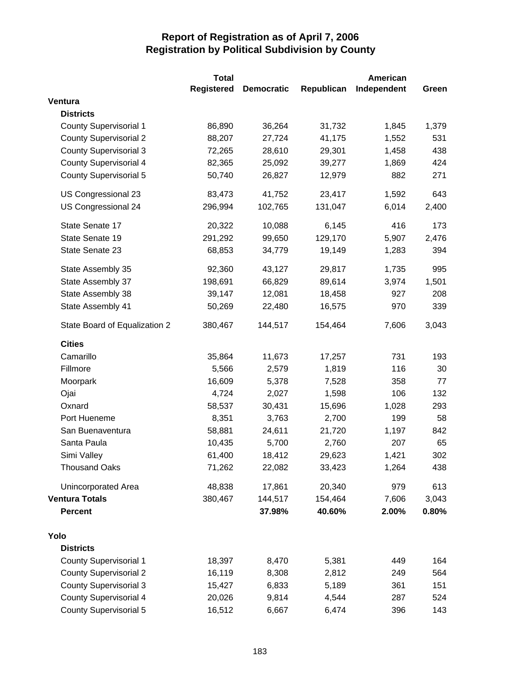|                               | <b>Total</b>      |                   | American   |             |       |
|-------------------------------|-------------------|-------------------|------------|-------------|-------|
|                               | <b>Registered</b> | <b>Democratic</b> | Republican | Independent | Green |
| Ventura                       |                   |                   |            |             |       |
| <b>Districts</b>              |                   |                   |            |             |       |
| <b>County Supervisorial 1</b> | 86,890            | 36,264            | 31,732     | 1,845       | 1,379 |
| <b>County Supervisorial 2</b> | 88,207            | 27,724            | 41,175     | 1,552       | 531   |
| <b>County Supervisorial 3</b> | 72,265            | 28,610            | 29,301     | 1,458       | 438   |
| <b>County Supervisorial 4</b> | 82,365            | 25,092            | 39,277     | 1,869       | 424   |
| <b>County Supervisorial 5</b> | 50,740            | 26,827            | 12,979     | 882         | 271   |
| US Congressional 23           | 83,473            | 41,752            | 23,417     | 1,592       | 643   |
| US Congressional 24           | 296,994           | 102,765           | 131,047    | 6,014       | 2,400 |
| State Senate 17               | 20,322            | 10,088            | 6,145      | 416         | 173   |
| State Senate 19               | 291,292           | 99,650            | 129,170    | 5,907       | 2,476 |
| State Senate 23               | 68,853            | 34,779            | 19,149     | 1,283       | 394   |
| State Assembly 35             | 92,360            | 43,127            | 29,817     | 1,735       | 995   |
| State Assembly 37             | 198,691           | 66,829            | 89,614     | 3,974       | 1,501 |
| State Assembly 38             | 39,147            | 12,081            | 18,458     | 927         | 208   |
| State Assembly 41             | 50,269            | 22,480            | 16,575     | 970         | 339   |
| State Board of Equalization 2 | 380,467           | 144,517           | 154,464    | 7,606       | 3,043 |
| <b>Cities</b>                 |                   |                   |            |             |       |
| Camarillo                     | 35,864            | 11,673            | 17,257     | 731         | 193   |
| Fillmore                      | 5,566             | 2,579             | 1,819      | 116         | 30    |
| Moorpark                      | 16,609            | 5,378             | 7,528      | 358         | 77    |
| Ojai                          | 4,724             | 2,027             | 1,598      | 106         | 132   |
| Oxnard                        | 58,537            | 30,431            | 15,696     | 1,028       | 293   |
| Port Hueneme                  | 8,351             | 3,763             | 2,700      | 199         | 58    |
| San Buenaventura              | 58,881            | 24,611            | 21,720     | 1,197       | 842   |
| Santa Paula                   | 10,435            | 5,700             | 2,760      | 207         | 65    |
| Simi Valley                   | 61,400            | 18,412            | 29,623     | 1,421       | 302   |
| <b>Thousand Oaks</b>          | 71,262            | 22,082            | 33,423     | 1,264       | 438   |
| Unincorporated Area           | 48,838            | 17,861            | 20,340     | 979         | 613   |
| <b>Ventura Totals</b>         | 380,467           | 144,517           | 154,464    | 7,606       | 3,043 |
| <b>Percent</b>                |                   | 37.98%            | 40.60%     | 2.00%       | 0.80% |
| Yolo                          |                   |                   |            |             |       |
| <b>Districts</b>              |                   |                   |            |             |       |
| <b>County Supervisorial 1</b> | 18,397            | 8,470             | 5,381      | 449         | 164   |
| <b>County Supervisorial 2</b> | 16,119            | 8,308             | 2,812      | 249         | 564   |
| <b>County Supervisorial 3</b> | 15,427            | 6,833             | 5,189      | 361         | 151   |
| <b>County Supervisorial 4</b> | 20,026            | 9,814             | 4,544      | 287         | 524   |
| <b>County Supervisorial 5</b> | 16,512            | 6,667             | 6,474      | 396         | 143   |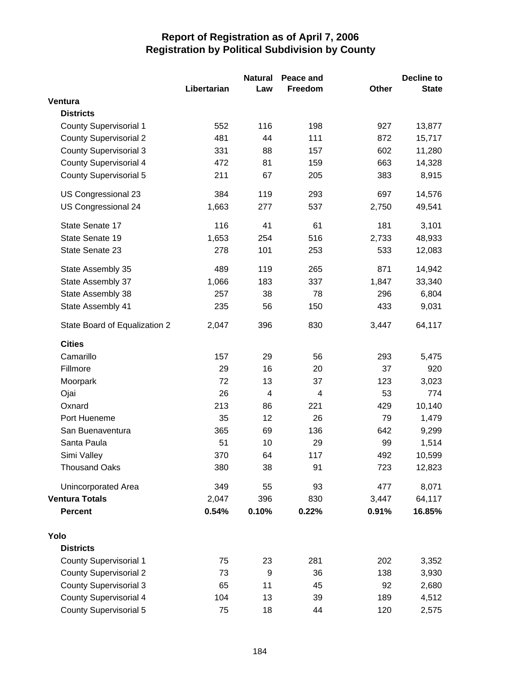|                               |             | <b>Natural</b> | Peace and |       | <b>Decline to</b> |
|-------------------------------|-------------|----------------|-----------|-------|-------------------|
|                               | Libertarian | Law            | Freedom   | Other | <b>State</b>      |
| Ventura                       |             |                |           |       |                   |
| <b>Districts</b>              |             |                |           |       |                   |
| <b>County Supervisorial 1</b> | 552         | 116            | 198       | 927   | 13,877            |
| <b>County Supervisorial 2</b> | 481         | 44             | 111       | 872   | 15,717            |
| <b>County Supervisorial 3</b> | 331         | 88             | 157       | 602   | 11,280            |
| <b>County Supervisorial 4</b> | 472         | 81             | 159       | 663   | 14,328            |
| <b>County Supervisorial 5</b> | 211         | 67             | 205       | 383   | 8,915             |
| US Congressional 23           | 384         | 119            | 293       | 697   | 14,576            |
| US Congressional 24           | 1,663       | 277            | 537       | 2,750 | 49,541            |
| State Senate 17               | 116         | 41             | 61        | 181   | 3,101             |
| State Senate 19               | 1,653       | 254            | 516       | 2,733 | 48,933            |
| State Senate 23               | 278         | 101            | 253       | 533   | 12,083            |
| State Assembly 35             | 489         | 119            | 265       | 871   | 14,942            |
| State Assembly 37             | 1,066       | 183            | 337       | 1,847 | 33,340            |
| State Assembly 38             | 257         | 38             | 78        | 296   | 6,804             |
| State Assembly 41             | 235         | 56             | 150       | 433   | 9,031             |
| State Board of Equalization 2 | 2,047       | 396            | 830       | 3,447 | 64,117            |
| <b>Cities</b>                 |             |                |           |       |                   |
| Camarillo                     | 157         | 29             | 56        | 293   | 5,475             |
| Fillmore                      | 29          | 16             | 20        | 37    | 920               |
| Moorpark                      | 72          | 13             | 37        | 123   | 3,023             |
| Ojai                          | 26          | $\overline{4}$ | 4         | 53    | 774               |
| Oxnard                        | 213         | 86             | 221       | 429   | 10,140            |
| Port Hueneme                  | 35          | 12             | 26        | 79    | 1,479             |
| San Buenaventura              | 365         | 69             | 136       | 642   | 9,299             |
| Santa Paula                   | 51          | 10             | 29        | 99    | 1,514             |
| Simi Valley                   | 370         | 64             | 117       | 492   | 10,599            |
| <b>Thousand Oaks</b>          | 380         | 38             | 91        | 723   | 12,823            |
| Unincorporated Area           | 349         | 55             | 93        | 477   | 8,071             |
| <b>Ventura Totals</b>         | 2,047       | 396            | 830       | 3,447 | 64,117            |
| <b>Percent</b>                | 0.54%       | 0.10%          | 0.22%     | 0.91% | 16.85%            |
| Yolo                          |             |                |           |       |                   |
| <b>Districts</b>              |             |                |           |       |                   |
| <b>County Supervisorial 1</b> | 75          | 23             | 281       | 202   | 3,352             |
| <b>County Supervisorial 2</b> | 73          | 9              | 36        | 138   | 3,930             |
| <b>County Supervisorial 3</b> | 65          | 11             | 45        | 92    | 2,680             |
| <b>County Supervisorial 4</b> | 104         | 13             | 39        | 189   | 4,512             |
| County Supervisorial 5        | 75          | 18             | 44        | 120   | 2,575             |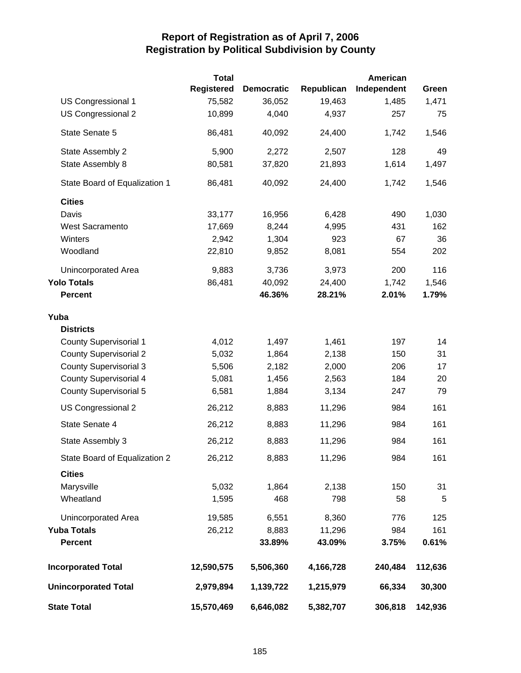|                               | <b>Total</b>      |                   |            | American    |         |
|-------------------------------|-------------------|-------------------|------------|-------------|---------|
|                               | <b>Registered</b> | <b>Democratic</b> | Republican | Independent | Green   |
| US Congressional 1            | 75,582            | 36,052            | 19,463     | 1,485       | 1,471   |
| US Congressional 2            | 10,899            | 4,040             | 4,937      | 257         | 75      |
| State Senate 5                | 86,481            | 40,092            | 24,400     | 1,742       | 1,546   |
| State Assembly 2              | 5,900             | 2,272             | 2,507      | 128         | 49      |
| State Assembly 8              | 80,581            | 37,820            | 21,893     | 1,614       | 1,497   |
| State Board of Equalization 1 | 86,481            | 40,092            | 24,400     | 1,742       | 1,546   |
| <b>Cities</b>                 |                   |                   |            |             |         |
| Davis                         | 33,177            | 16,956            | 6,428      | 490         | 1,030   |
| <b>West Sacramento</b>        | 17,669            | 8,244             | 4,995      | 431         | 162     |
| Winters                       | 2,942             | 1,304             | 923        | 67          | 36      |
| Woodland                      | 22,810            | 9,852             | 8,081      | 554         | 202     |
| Unincorporated Area           | 9,883             | 3,736             | 3,973      | 200         | 116     |
| <b>Yolo Totals</b>            | 86,481            | 40,092            | 24,400     | 1,742       | 1,546   |
| <b>Percent</b>                |                   | 46.36%            | 28.21%     | 2.01%       | 1.79%   |
| Yuba                          |                   |                   |            |             |         |
| <b>Districts</b>              |                   |                   |            |             |         |
| <b>County Supervisorial 1</b> | 4,012             | 1,497             | 1,461      | 197         | 14      |
| <b>County Supervisorial 2</b> | 5,032             | 1,864             | 2,138      | 150         | 31      |
| <b>County Supervisorial 3</b> | 5,506             | 2,182             | 2,000      | 206         | 17      |
| <b>County Supervisorial 4</b> | 5,081             | 1,456             | 2,563      | 184         | 20      |
| <b>County Supervisorial 5</b> | 6,581             | 1,884             | 3,134      | 247         | 79      |
| US Congressional 2            | 26,212            | 8,883             | 11,296     | 984         | 161     |
| State Senate 4                | 26,212            | 8,883             | 11,296     | 984         | 161     |
| State Assembly 3              | 26,212            | 8,883             | 11,296     | 984         | 161     |
| State Board of Equalization 2 | 26,212            | 8,883             | 11,296     | 984         | 161     |
| <b>Cities</b>                 |                   |                   |            |             |         |
| Marysville                    | 5,032             | 1,864             | 2,138      | 150         | 31      |
| Wheatland                     | 1,595             | 468               | 798        | 58          | 5       |
| Unincorporated Area           | 19,585            | 6,551             | 8,360      | 776         | 125     |
| <b>Yuba Totals</b>            | 26,212            | 8,883             | 11,296     | 984         | 161     |
| <b>Percent</b>                |                   | 33.89%            | 43.09%     | 3.75%       | 0.61%   |
| <b>Incorporated Total</b>     | 12,590,575        | 5,506,360         | 4,166,728  | 240,484     | 112,636 |
| <b>Unincorporated Total</b>   | 2,979,894         | 1,139,722         | 1,215,979  | 66,334      | 30,300  |
| <b>State Total</b>            | 15,570,469        | 6,646,082         | 5,382,707  | 306,818     | 142,936 |